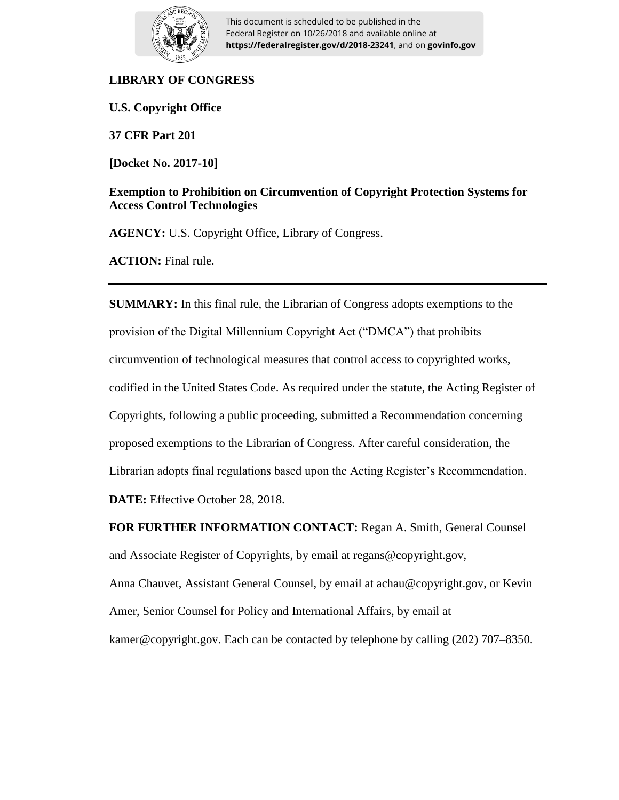

This document is scheduled to be published in the Federal Register on 10/26/2018 and available online at **https://federalregister.gov/d/2018-23241**, and on **govinfo.gov**

# **LIBRARY OF CONGRESS**

**U.S. Copyright Office** 

**37 CFR Part 201** 

**[Docket No. 2017-10]**

**Exemption to Prohibition on Circumvention of Copyright Protection Systems for Access Control Technologies**

**AGENCY:** U.S. Copyright Office, Library of Congress.

**ACTION:** Final rule.

**SUMMARY:** In this final rule, the Librarian of Congress adopts exemptions to the provision of the Digital Millennium Copyright Act ("DMCA") that prohibits circumvention of technological measures that control access to copyrighted works, codified in the United States Code. As required under the statute, the Acting Register of Copyrights, following a public proceeding, submitted a Recommendation concerning proposed exemptions to the Librarian of Congress. After careful consideration, the Librarian adopts final regulations based upon the Acting Register's Recommendation.

**DATE:** Effective October 28, 2018.

**FOR FURTHER INFORMATION CONTACT:** Regan A. Smith, General Counsel and Associate Register of Copyrights, by email at regans@copyright.gov,

Anna Chauvet, Assistant General Counsel, by email at achau@copyright.gov, or Kevin Amer, Senior Counsel for Policy and International Affairs, by email at

kamer@copyright.gov. Each can be contacted by telephone by calling (202) 707–8350.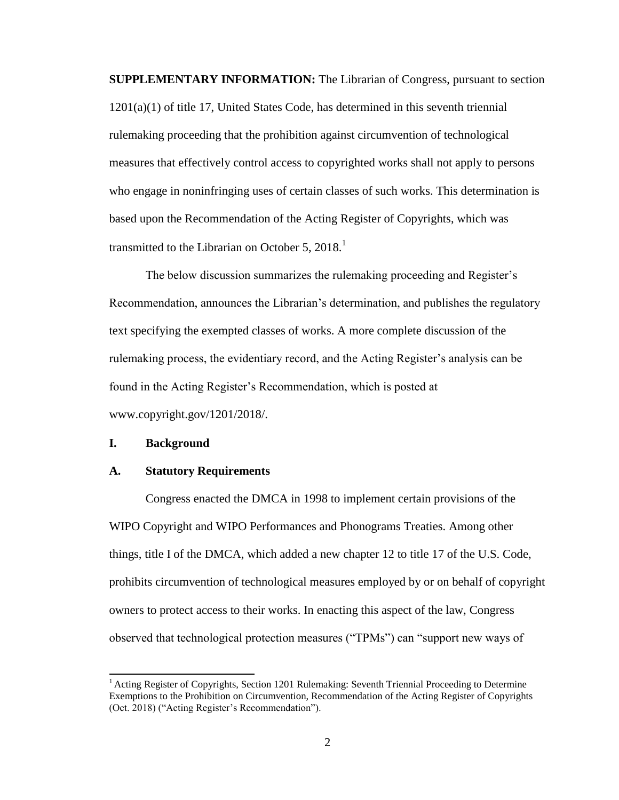**SUPPLEMENTARY INFORMATION:** The Librarian of Congress, pursuant to section 1201(a)(1) of title 17, United States Code, has determined in this seventh triennial rulemaking proceeding that the prohibition against circumvention of technological measures that effectively control access to copyrighted works shall not apply to persons who engage in noninfringing uses of certain classes of such works. This determination is based upon the Recommendation of the Acting Register of Copyrights, which was transmitted to the Librarian on October 5,  $2018$ <sup>1</sup>

The below discussion summarizes the rulemaking proceeding and Register's Recommendation, announces the Librarian's determination, and publishes the regulatory text specifying the exempted classes of works. A more complete discussion of the rulemaking process, the evidentiary record, and the Acting Register's analysis can be found in the Acting Register's Recommendation, which is posted at www.copyright.gov/1201/2018/.

## **I. Background**

### **A. Statutory Requirements**

Congress enacted the DMCA in 1998 to implement certain provisions of the WIPO Copyright and WIPO Performances and Phonograms Treaties. Among other things, title I of the DMCA, which added a new chapter 12 to title 17 of the U.S. Code, prohibits circumvention of technological measures employed by or on behalf of copyright owners to protect access to their works. In enacting this aspect of the law, Congress observed that technological protection measures ("TPMs") can "support new ways of

<sup>&</sup>lt;sup>1</sup> Acting Register of Copyrights, Section 1201 Rulemaking: Seventh Triennial Proceeding to Determine Exemptions to the Prohibition on Circumvention, Recommendation of the Acting Register of Copyrights (Oct. 2018) ("Acting Register's Recommendation").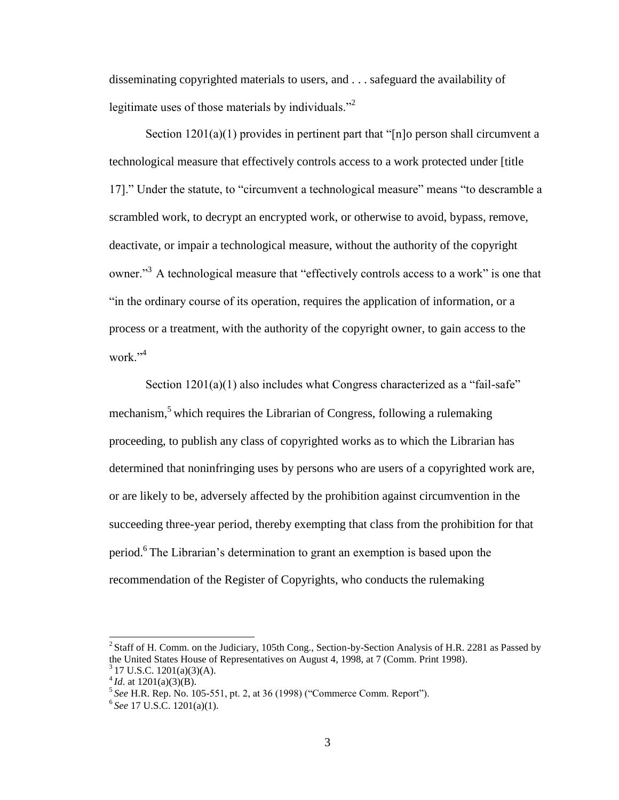disseminating copyrighted materials to users, and . . . safeguard the availability of legitimate uses of those materials by individuals."<sup>2</sup>

Section 1201(a)(1) provides in pertinent part that "[n]o person shall circumvent a technological measure that effectively controls access to a work protected under [title 17]." Under the statute, to "circumvent a technological measure" means "to descramble a scrambled work, to decrypt an encrypted work, or otherwise to avoid, bypass, remove, deactivate, or impair a technological measure, without the authority of the copyright owner."<sup>3</sup> A technological measure that "effectively controls access to a work" is one that "in the ordinary course of its operation, requires the application of information, or a process or a treatment, with the authority of the copyright owner, to gain access to the work $"''$ 

Section  $1201(a)(1)$  also includes what Congress characterized as a "fail-safe" mechanism,  $5\$  which requires the Librarian of Congress, following a rulemaking proceeding, to publish any class of copyrighted works as to which the Librarian has determined that noninfringing uses by persons who are users of a copyrighted work are, or are likely to be, adversely affected by the prohibition against circumvention in the succeeding three-year period, thereby exempting that class from the prohibition for that period.<sup>6</sup> The Librarian's determination to grant an exemption is based upon the recommendation of the Register of Copyrights, who conducts the rulemaking

<sup>&</sup>lt;sup>2</sup> Staff of H. Comm. on the Judiciary, 105th Cong., Section-by-Section Analysis of H.R. 2281 as Passed by the United States House of Representatives on August 4, 1998, at 7 (Comm. Print 1998).  $3$  17 U.S.C. 1201(a)(3)(A).

 $^{4}$ *Id.* at 1201(a)(3)(B).

<sup>5</sup>*See* H.R. Rep. No. 105-551, pt. 2, at 36 (1998) ("Commerce Comm. Report").

<sup>6</sup>*See* 17 U.S.C. 1201(a)(1).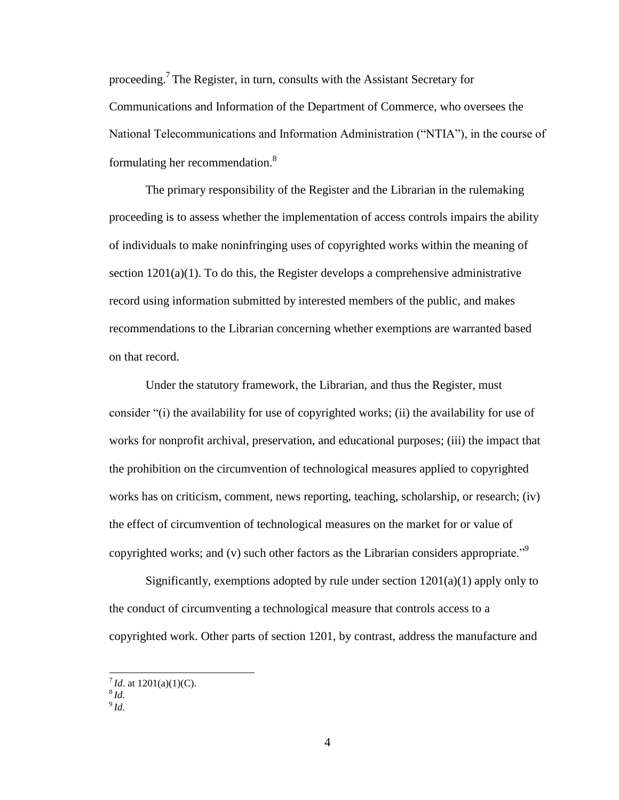proceeding.<sup>7</sup> The Register, in turn, consults with the Assistant Secretary for Communications and Information of the Department of Commerce, who oversees the National Telecommunications and Information Administration ("NTIA"), in the course of formulating her recommendation.<sup>8</sup>

The primary responsibility of the Register and the Librarian in the rulemaking proceeding is to assess whether the implementation of access controls impairs the ability of individuals to make noninfringing uses of copyrighted works within the meaning of section 1201(a)(1). To do this, the Register develops a comprehensive administrative record using information submitted by interested members of the public, and makes recommendations to the Librarian concerning whether exemptions are warranted based on that record.

Under the statutory framework, the Librarian, and thus the Register, must consider "(i) the availability for use of copyrighted works; (ii) the availability for use of works for nonprofit archival, preservation, and educational purposes; (iii) the impact that the prohibition on the circumvention of technological measures applied to copyrighted works has on criticism, comment, news reporting, teaching, scholarship, or research; (iv) the effect of circumvention of technological measures on the market for or value of copyrighted works; and (v) such other factors as the Librarian considers appropriate. $"$ <sup>9</sup>

Significantly, exemptions adopted by rule under section  $1201(a)(1)$  apply only to the conduct of circumventing a technological measure that controls access to a copyrighted work. Other parts of section 1201, by contrast, address the manufacture and

 $^{7}$ *Id.* at 1201(a)(1)(C).

<sup>8</sup>*Id.*

<sup>9</sup>*Id.*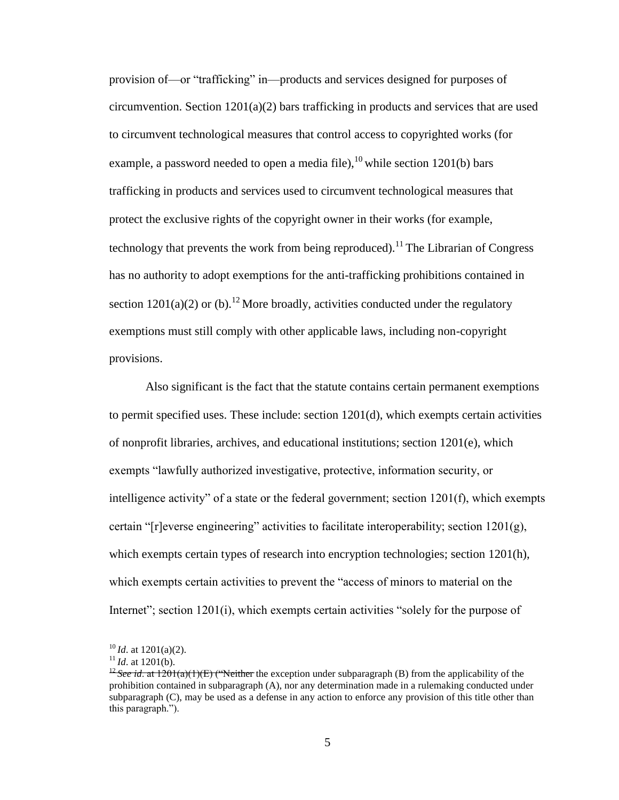provision of—or "trafficking" in—products and services designed for purposes of circumvention. Section  $1201(a)(2)$  bars trafficking in products and services that are used to circumvent technological measures that control access to copyrighted works (for example, a password needed to open a media file),  $^{10}$  while section 1201(b) bars trafficking in products and services used to circumvent technological measures that protect the exclusive rights of the copyright owner in their works (for example, technology that prevents the work from being reproduced).<sup>11</sup> The Librarian of Congress has no authority to adopt exemptions for the anti-trafficking prohibitions contained in section  $1201(a)(2)$  or (b).<sup>12</sup> More broadly, activities conducted under the regulatory exemptions must still comply with other applicable laws, including non-copyright provisions.

Also significant is the fact that the statute contains certain permanent exemptions to permit specified uses. These include: section 1201(d), which exempts certain activities of nonprofit libraries, archives, and educational institutions; section 1201(e), which exempts "lawfully authorized investigative, protective, information security, or intelligence activity" of a state or the federal government; section 1201(f), which exempts certain "[r]everse engineering" activities to facilitate interoperability; section 1201(g), which exempts certain types of research into encryption technologies; section 1201(h), which exempts certain activities to prevent the "access of minors to material on the Internet"; section 1201(i), which exempts certain activities "solely for the purpose of

<sup>10</sup>*Id*. at 1201(a)(2).

 $11$ *Id.* at 1201(b).

<sup>&</sup>lt;sup>12</sup> See id. at 1201(a)(1)(E) ("Neither the exception under subparagraph (B) from the applicability of the prohibition contained in subparagraph (A), nor any determination made in a rulemaking conducted under subparagraph (C), may be used as a defense in any action to enforce any provision of this title other than this paragraph.").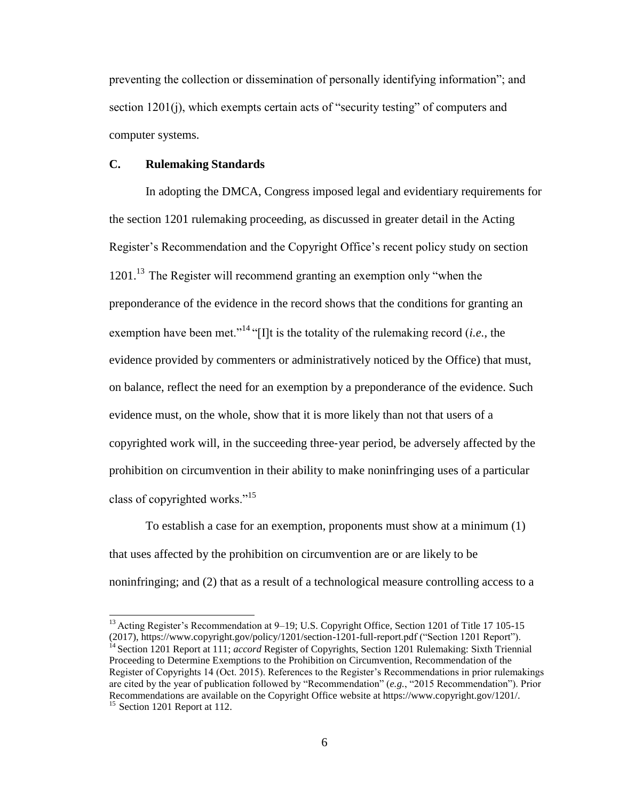preventing the collection or dissemination of personally identifying information"; and section 1201(j), which exempts certain acts of "security testing" of computers and computer systems.

### **C. Rulemaking Standards**

In adopting the DMCA, Congress imposed legal and evidentiary requirements for the section 1201 rulemaking proceeding, as discussed in greater detail in the Acting Register's Recommendation and the Copyright Office's recent policy study on section  $1201<sup>13</sup>$  The Register will recommend granting an exemption only "when the preponderance of the evidence in the record shows that the conditions for granting an exemption have been met."<sup>14</sup>"[I]t is the totality of the rulemaking record (*i.e.*, the evidence provided by commenters or administratively noticed by the Office) that must, on balance, reflect the need for an exemption by a preponderance of the evidence. Such evidence must, on the whole, show that it is more likely than not that users of a copyrighted work will, in the succeeding three‐year period, be adversely affected by the prohibition on circumvention in their ability to make noninfringing uses of a particular class of copyrighted works."<sup>15</sup>

To establish a case for an exemption, proponents must show at a minimum (1) that uses affected by the prohibition on circumvention are or are likely to be noninfringing; and (2) that as a result of a technological measure controlling access to a

<sup>&</sup>lt;sup>13</sup> Acting Register's Recommendation at 9–19; U.S. Copyright Office, Section 1201 of Title 17 105-15 (2017), https://www.copyright.gov/policy/1201/section-1201-full-report.pdf ("Section 1201 Report"). <sup>14</sup> Section 1201 Report at 111; *accord* Register of Copyrights, Section 1201 Rulemaking: Sixth Triennial Proceeding to Determine Exemptions to the Prohibition on Circumvention, Recommendation of the Register of Copyrights 14 (Oct. 2015). References to the Register's Recommendations in prior rulemakings are cited by the year of publication followed by "Recommendation" (*e.g.*, "2015 Recommendation"). Prior Recommendations are available on the Copyright Office website at https://www.copyright.gov/1201/. <sup>15</sup> Section 1201 Report at 112.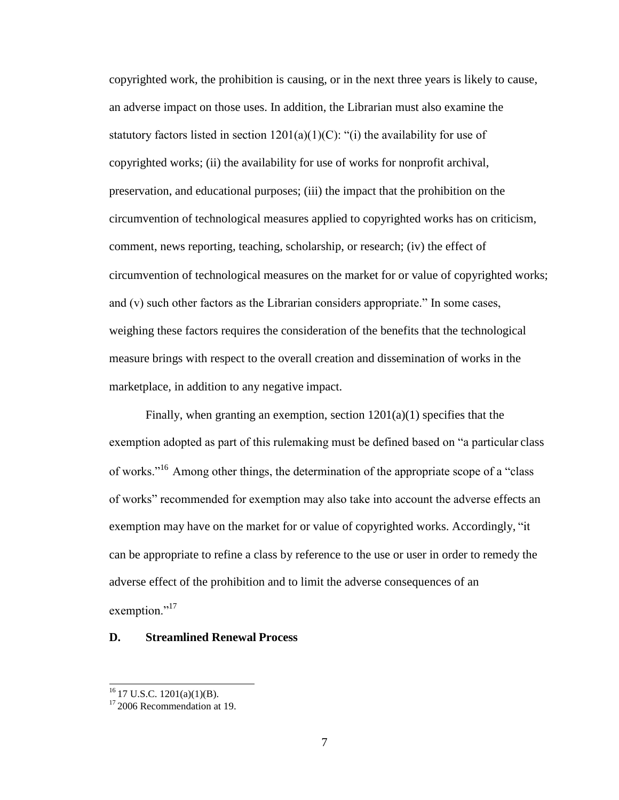copyrighted work, the prohibition is causing, or in the next three years is likely to cause, an adverse impact on those uses. In addition, the Librarian must also examine the statutory factors listed in section  $1201(a)(1)(C)$ : "(i) the availability for use of copyrighted works; (ii) the availability for use of works for nonprofit archival, preservation, and educational purposes; (iii) the impact that the prohibition on the circumvention of technological measures applied to copyrighted works has on criticism, comment, news reporting, teaching, scholarship, or research; (iv) the effect of circumvention of technological measures on the market for or value of copyrighted works; and (v) such other factors as the Librarian considers appropriate." In some cases, weighing these factors requires the consideration of the benefits that the technological measure brings with respect to the overall creation and dissemination of works in the marketplace, in addition to any negative impact.

Finally, when granting an exemption, section  $1201(a)(1)$  specifies that the exemption adopted as part of this rulemaking must be defined based on "a particular class of works."<sup>16</sup> Among other things, the determination of the appropriate scope of a "class" of works" recommended for exemption may also take into account the adverse effects an exemption may have on the market for or value of copyrighted works. Accordingly, "it can be appropriate to refine a class by reference to the use or user in order to remedy the adverse effect of the prohibition and to limit the adverse consequences of an exemption."<sup>17</sup>

# **D. Streamlined Renewal Process**

 $16$  17 U.S.C. 1201(a)(1)(B).

<sup>&</sup>lt;sup>17</sup> 2006 Recommendation at 19.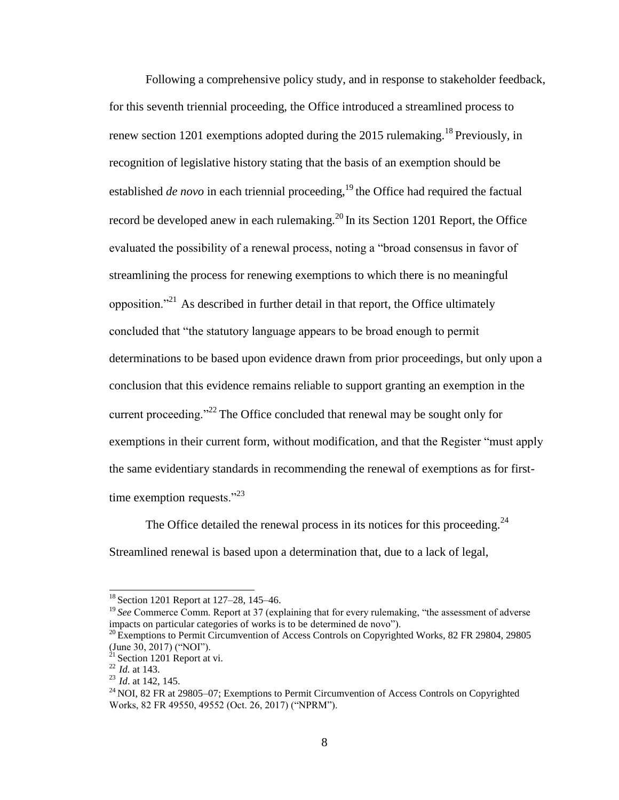Following a comprehensive policy study, and in response to stakeholder feedback, for this seventh triennial proceeding, the Office introduced a streamlined process to renew section 1201 exemptions adopted during the 2015 rulemaking.<sup>18</sup> Previously, in recognition of legislative history stating that the basis of an exemption should be established *de novo* in each triennial proceeding,<sup>19</sup> the Office had required the factual record be developed anew in each rulemaking.<sup>20</sup> In its Section 1201 Report, the Office evaluated the possibility of a renewal process, noting a "broad consensus in favor of streamlining the process for renewing exemptions to which there is no meaningful opposition. $12^{21}$  As described in further detail in that report, the Office ultimately concluded that "the statutory language appears to be broad enough to permit determinations to be based upon evidence drawn from prior proceedings, but only upon a conclusion that this evidence remains reliable to support granting an exemption in the current proceeding."<sup>22</sup>The Office concluded that renewal may be sought only for exemptions in their current form, without modification, and that the Register "must apply the same evidentiary standards in recommending the renewal of exemptions as for firsttime exemption requests."<sup>23</sup>

The Office detailed the renewal process in its notices for this proceeding.<sup>24</sup> Streamlined renewal is based upon a determination that, due to a lack of legal,

<sup>&</sup>lt;sup>18</sup> Section 1201 Report at 127–28, 145–46.

<sup>&</sup>lt;sup>19</sup> See Commerce Comm. Report at 37 (explaining that for every rulemaking, "the assessment of adverse" impacts on particular categories of works is to be determined de novo").

 $^{20}$  Exemptions to Permit Circumvention of Access Controls on Copyrighted Works, 82 FR 29804, 29805 (June 30, 2017) ("NOI").

 $21$  Section 1201 Report at vi.

<sup>22</sup>*Id.* at 143.

<sup>23</sup>*Id*. at 142, 145.

<sup>&</sup>lt;sup>24</sup> NOI, 82 FR at 29805–07; Exemptions to Permit Circumvention of Access Controls on Copyrighted Works, 82 FR 49550, 49552 (Oct. 26, 2017) ("NPRM").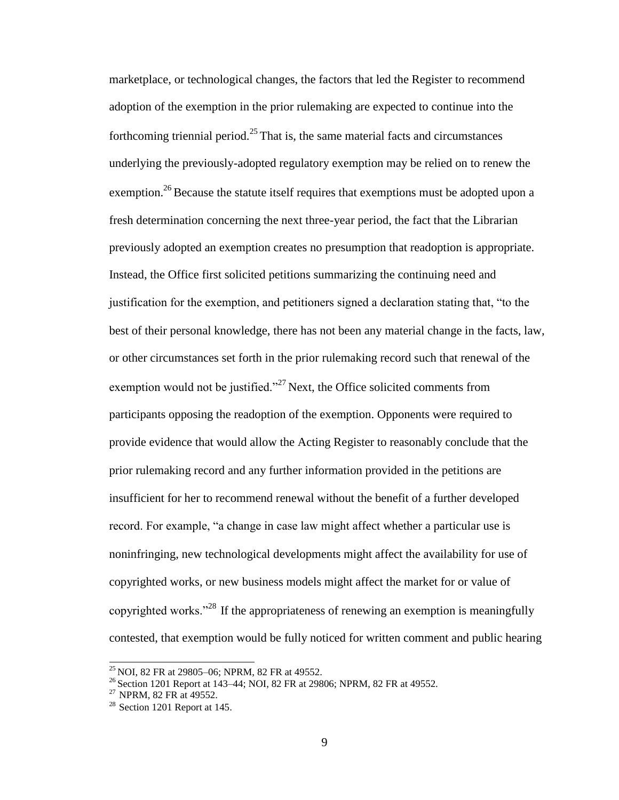marketplace, or technological changes, the factors that led the Register to recommend adoption of the exemption in the prior rulemaking are expected to continue into the forthcoming triennial period.<sup>25</sup> That is, the same material facts and circumstances underlying the previously-adopted regulatory exemption may be relied on to renew the exemption.<sup>26</sup> Because the statute itself requires that exemptions must be adopted upon a fresh determination concerning the next three-year period, the fact that the Librarian previously adopted an exemption creates no presumption that readoption is appropriate. Instead, the Office first solicited petitions summarizing the continuing need and justification for the exemption, and petitioners signed a declaration stating that, "to the best of their personal knowledge, there has not been any material change in the facts, law, or other circumstances set forth in the prior rulemaking record such that renewal of the exemption would not be justified."<sup>27</sup> Next, the Office solicited comments from participants opposing the readoption of the exemption. Opponents were required to provide evidence that would allow the Acting Register to reasonably conclude that the prior rulemaking record and any further information provided in the petitions are insufficient for her to recommend renewal without the benefit of a further developed record. For example, "a change in case law might affect whether a particular use is noninfringing, new technological developments might affect the availability for use of copyrighted works, or new business models might affect the market for or value of copyrighted works."<sup>28</sup> If the appropriateness of renewing an exemption is meaningfully contested, that exemption would be fully noticed for written comment and public hearing

<sup>&</sup>lt;sup>25</sup> NOI, 82 FR at 29805–06; NPRM, 82 FR at 49552.

<sup>&</sup>lt;sup>26</sup> Section 1201 Report at 143–44; NOI, 82 FR at 29806; NPRM, 82 FR at 49552.

<sup>&</sup>lt;sup>27</sup> NPRM, 82 FR at 49552.

 $28$  Section 1201 Report at 145.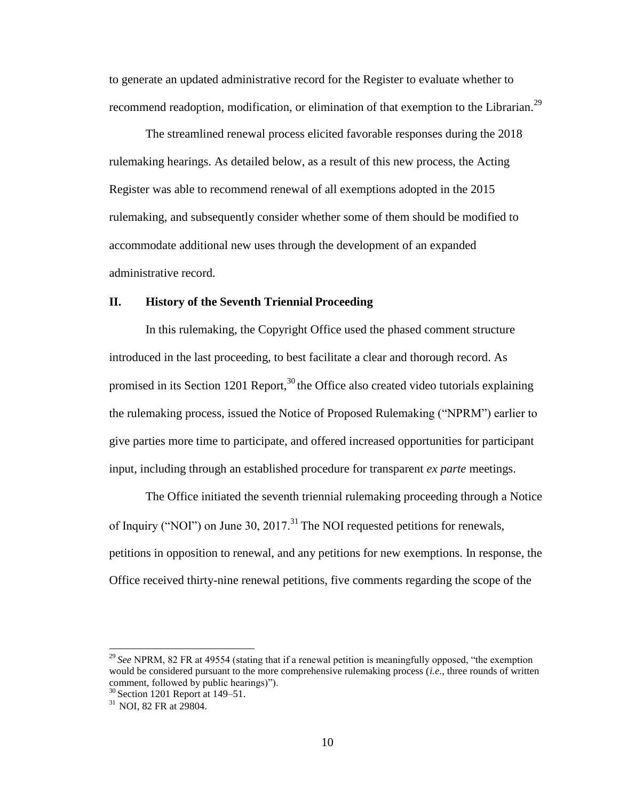to generate an updated administrative record for the Register to evaluate whether to recommend readoption, modification, or elimination of that exemption to the Librarian.<sup>29</sup>

The streamlined renewal process elicited favorable responses during the 2018 rulemaking hearings. As detailed below, as a result of this new process, the Acting Register was able to recommend renewal of all exemptions adopted in the 2015 rulemaking, and subsequently consider whether some of them should be modified to accommodate additional new uses through the development of an expanded administrative record.

### **II. History of the Seventh Triennial Proceeding**

In this rulemaking, the Copyright Office used the phased comment structure introduced in the last proceeding, to best facilitate a clear and thorough record. As promised in its Section 1201 Report,<sup>30</sup> the Office also created video tutorials explaining the rulemaking process, issued the Notice of Proposed Rulemaking ("NPRM") earlier to give parties more time to participate, and offered increased opportunities for participant input, including through an established procedure for transparent *ex parte* meetings.

The Office initiated the seventh triennial rulemaking proceeding through a Notice of Inquiry ("NOI") on June 30,  $2017<sup>31</sup>$  The NOI requested petitions for renewals, petitions in opposition to renewal, and any petitions for new exemptions. In response, the Office received thirty-nine renewal petitions, five comments regarding the scope of the

<sup>29</sup>*See* NPRM, 82 FR at 49554 (stating that if a renewal petition is meaningfully opposed, "the exemption would be considered pursuant to the more comprehensive rulemaking process (*i.e.*, three rounds of written comment, followed by public hearings)").

 $30$  Section 1201 Report at 149–51.

 $31$  NOI, 82 FR at 29804.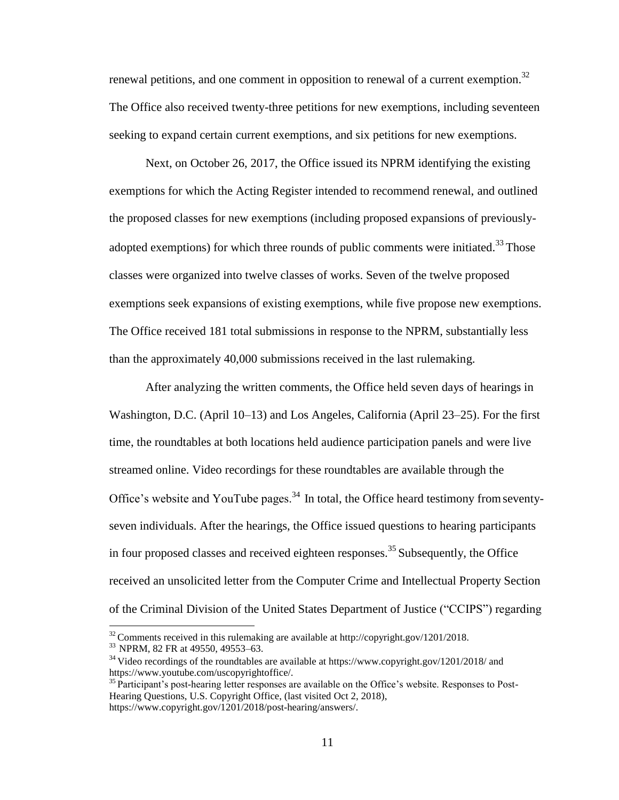renewal petitions, and one comment in opposition to renewal of a current exemption.<sup>32</sup> The Office also received twenty-three petitions for new exemptions, including seventeen seeking to expand certain current exemptions, and six petitions for new exemptions.

Next, on October 26, 2017, the Office issued its NPRM identifying the existing exemptions for which the Acting Register intended to recommend renewal, and outlined the proposed classes for new exemptions (including proposed expansions of previouslyadopted exemptions) for which three rounds of public comments were initiated.<sup>33</sup> Those classes were organized into twelve classes of works. Seven of the twelve proposed exemptions seek expansions of existing exemptions, while five propose new exemptions. The Office received 181 total submissions in response to the NPRM, substantially less than the approximately 40,000 submissions received in the last rulemaking.

After analyzing the written comments, the Office held seven days of hearings in Washington, D.C. (April 10–13) and Los Angeles, California (April 23–25). For the first time, the roundtables at both locations held audience participation panels and were live streamed online. Video recordings for these roundtables are available through the Office's website and YouTube pages.<sup>34</sup> In total, the Office heard testimony from seventyseven individuals. After the hearings, the Office issued questions to hearing participants in four proposed classes and received eighteen responses.<sup>35</sup> Subsequently, the Office received an unsolicited letter from the Computer Crime and Intellectual Property Section of the Criminal Division of the United States Department of Justice ("CCIPS") regarding

 $32$  Comments received in this rulemaking are available at http://copyright.gov/1201/2018. <sup>33</sup> NPRM, 82 FR at 49550, 49553-63.

 $34$  Video recordings of the roundtables are available at https://www.copyright.gov/1201/2018/ and https://www.youtube.com/uscopyrightoffice/.

<sup>&</sup>lt;sup>35</sup> Participant's post-hearing letter responses are available on the Office's website. Responses to Post-Hearing Questions, U.S. Copyright Office, (last visited Oct 2, 2018), https://www.copyright.gov/1201/2018/post-hearing/answers/.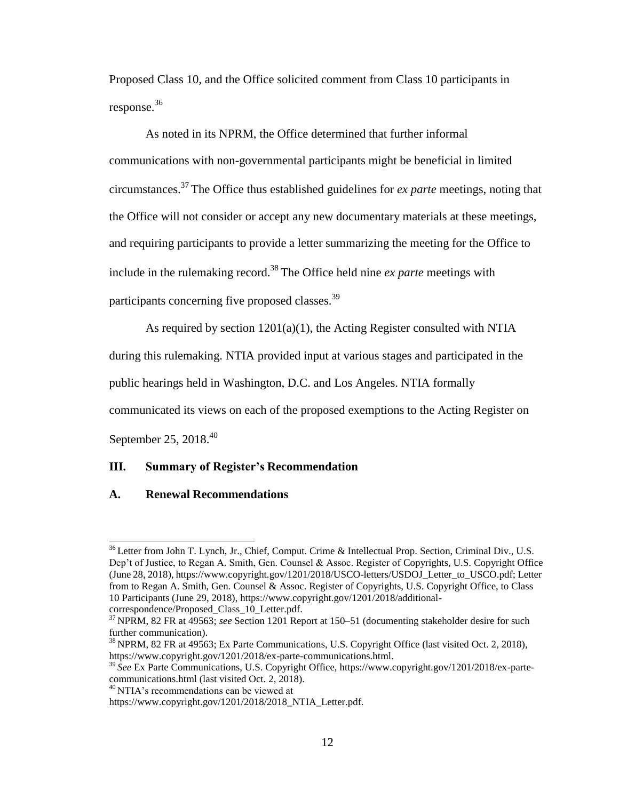Proposed Class 10, and the Office solicited comment from Class 10 participants in response.<sup>36</sup>

As noted in its NPRM, the Office determined that further informal communications with non-governmental participants might be beneficial in limited circumstances.<sup>37</sup>The Office thus established guidelines for *ex parte* meetings, noting that the Office will not consider or accept any new documentary materials at these meetings, and requiring participants to provide a letter summarizing the meeting for the Office to include in the rulemaking record.<sup>38</sup> The Office held nine *ex parte* meetings with participants concerning five proposed classes.<sup>39</sup>

As required by section 1201(a)(1), the Acting Register consulted with NTIA

during this rulemaking. NTIA provided input at various stages and participated in the

public hearings held in Washington, D.C. and Los Angeles. NTIA formally

communicated its views on each of the proposed exemptions to the Acting Register on

September 25, 2018. $40$ 

# **III. Summary of Register's Recommendation**

# **A. Renewal Recommendations**

<sup>&</sup>lt;sup>36</sup> Letter from John T. Lynch, Jr., Chief, Comput. Crime & Intellectual Prop. Section, Criminal Div., U.S. Dep't of Justice, to Regan A. Smith, Gen. Counsel & Assoc. Register of Copyrights, U.S. Copyright Office (June 28, 2018), https://www.copyright.gov/1201/2018/USCO-letters/USDOJ\_Letter\_to\_USCO.pdf; Letter from to Regan A. Smith, Gen. Counsel & Assoc. Register of Copyrights, U.S. Copyright Office, to Class 10 Participants (June 29, 2018), https://www.copyright.gov/1201/2018/additionalcorrespondence/Proposed\_Class\_10\_Letter.pdf.

<sup>37</sup>NPRM, 82 FR at 49563; *see* Section 1201 Report at 150–51 (documenting stakeholder desire for such further communication).

<sup>&</sup>lt;sup>38</sup> NPRM, 82 FR at 49563; Ex Parte Communications, U.S. Copyright Office (last visited Oct. 2, 2018), https://www.copyright.gov/1201/2018/ex-parte-communications.html.

<sup>&</sup>lt;sup>39</sup> See Ex Parte Communications, U.S. Copyright Office, https://www.copyright.gov/1201/2018/ex-partecommunications.html (last visited Oct. 2, 2018).

<sup>40</sup>NTIA's recommendations can be viewed at

https://www.copyright.gov/1201/2018/2018\_NTIA\_Letter.pdf.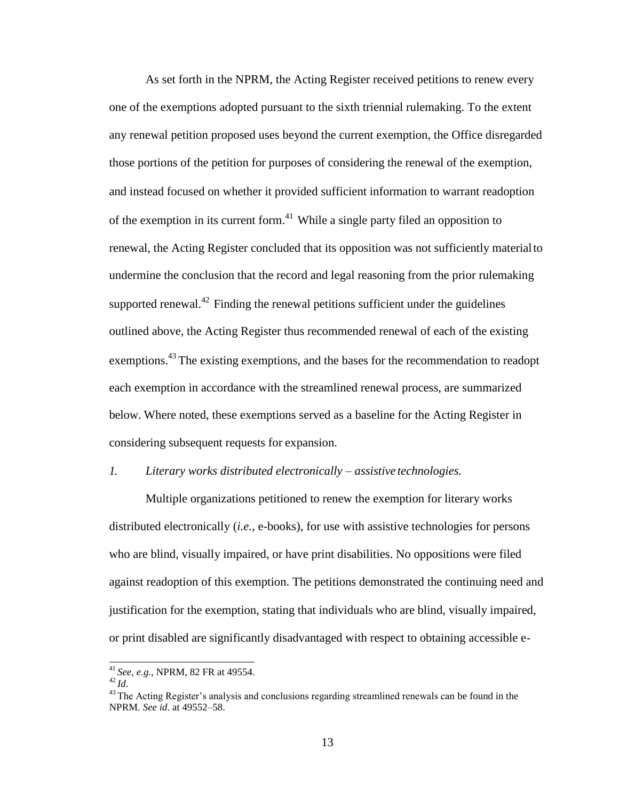As set forth in the NPRM, the Acting Register received petitions to renew every one of the exemptions adopted pursuant to the sixth triennial rulemaking. To the extent any renewal petition proposed uses beyond the current exemption, the Office disregarded those portions of the petition for purposes of considering the renewal of the exemption, and instead focused on whether it provided sufficient information to warrant readoption of the exemption in its current form.<sup>41</sup> While a single party filed an opposition to renewal, the Acting Register concluded that its opposition was not sufficiently materialto undermine the conclusion that the record and legal reasoning from the prior rulemaking supported renewal. $42$  Finding the renewal petitions sufficient under the guidelines outlined above, the Acting Register thus recommended renewal of each of the existing exemptions.<sup>43</sup> The existing exemptions, and the bases for the recommendation to readopt each exemption in accordance with the streamlined renewal process, are summarized below. Where noted, these exemptions served as a baseline for the Acting Register in considering subsequent requests for expansion.

### *1. Literary works distributed electronically – assistive technologies.*

Multiple organizations petitioned to renew the exemption for literary works distributed electronically (*i.e.*, e-books), for use with assistive technologies for persons who are blind, visually impaired, or have print disabilities. No oppositions were filed against readoption of this exemption. The petitions demonstrated the continuing need and justification for the exemption, stating that individuals who are blind, visually impaired, or print disabled are significantly disadvantaged with respect to obtaining accessible e-

<sup>41</sup>*See, e.g.*, NPRM, 82 FR at 49554.

 $42\tilde{I}$ *d*.

<sup>&</sup>lt;sup>43</sup> The Acting Register's analysis and conclusions regarding streamlined renewals can be found in the NPRM. *See id*. at 49552–58.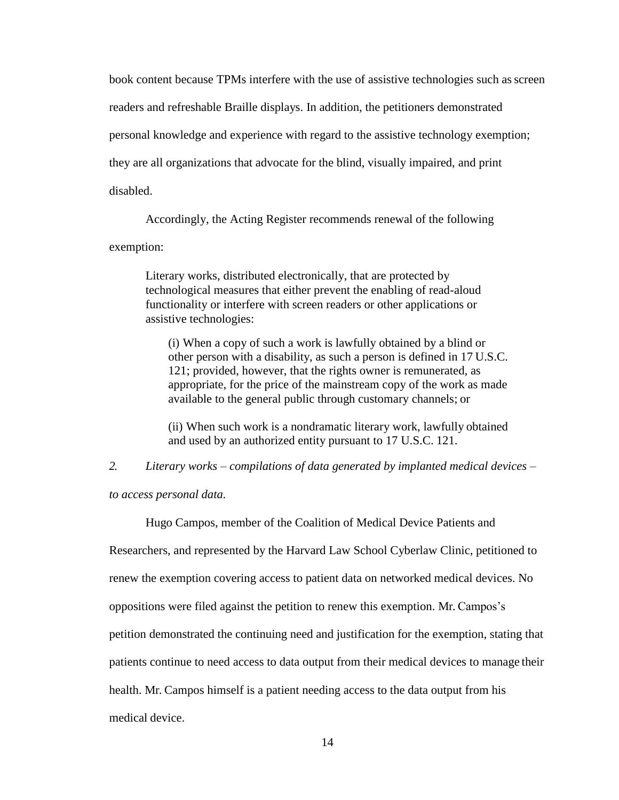book content because TPMs interfere with the use of assistive technologies such asscreen readers and refreshable Braille displays. In addition, the petitioners demonstrated personal knowledge and experience with regard to the assistive technology exemption; they are all organizations that advocate for the blind, visually impaired, and print disabled.

Accordingly, the Acting Register recommends renewal of the following

exemption:

Literary works, distributed electronically, that are protected by technological measures that either prevent the enabling of read-aloud functionality or interfere with screen readers or other applications or assistive technologies:

(i) When a copy of such a work is lawfully obtained by a blind or other person with a disability, as such a person is defined in 17 U.S.C. 121; provided, however, that the rights owner is remunerated, as appropriate, for the price of the mainstream copy of the work as made available to the general public through customary channels; or

(ii) When such work is a nondramatic literary work, lawfully obtained and used by an authorized entity pursuant to 17 U.S.C. 121.

*2. Literary works – compilations of data generated by implanted medical devices –*

*to access personal data.*

Hugo Campos, member of the Coalition of Medical Device Patients and Researchers, and represented by the Harvard Law School Cyberlaw Clinic, petitioned to renew the exemption covering access to patient data on networked medical devices. No oppositions were filed against the petition to renew this exemption. Mr. Campos's petition demonstrated the continuing need and justification for the exemption, stating that patients continue to need access to data output from their medical devices to manage their health. Mr. Campos himself is a patient needing access to the data output from his medical device.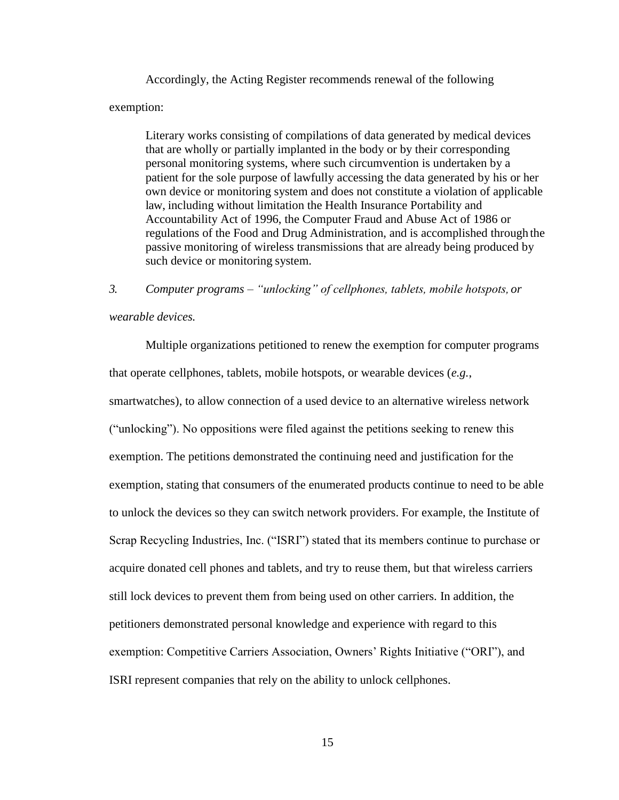Accordingly, the Acting Register recommends renewal of the following

exemption:

Literary works consisting of compilations of data generated by medical devices that are wholly or partially implanted in the body or by their corresponding personal monitoring systems, where such circumvention is undertaken by a patient for the sole purpose of lawfully accessing the data generated by his or her own device or monitoring system and does not constitute a violation of applicable law, including without limitation the Health Insurance Portability and Accountability Act of 1996, the Computer Fraud and Abuse Act of 1986 or regulations of the Food and Drug Administration, and is accomplished through the passive monitoring of wireless transmissions that are already being produced by such device or monitoring system.

*3. Computer programs – "unlocking" of cellphones, tablets, mobile hotspots, or* 

*wearable devices.*

Multiple organizations petitioned to renew the exemption for computer programs that operate cellphones, tablets, mobile hotspots, or wearable devices (*e.g.*, smartwatches), to allow connection of a used device to an alternative wireless network ("unlocking"). No oppositions were filed against the petitions seeking to renew this exemption. The petitions demonstrated the continuing need and justification for the exemption, stating that consumers of the enumerated products continue to need to be able to unlock the devices so they can switch network providers. For example, the Institute of Scrap Recycling Industries, Inc. ("ISRI") stated that its members continue to purchase or acquire donated cell phones and tablets, and try to reuse them, but that wireless carriers still lock devices to prevent them from being used on other carriers. In addition, the petitioners demonstrated personal knowledge and experience with regard to this exemption: Competitive Carriers Association, Owners' Rights Initiative ("ORI"), and ISRI represent companies that rely on the ability to unlock cellphones.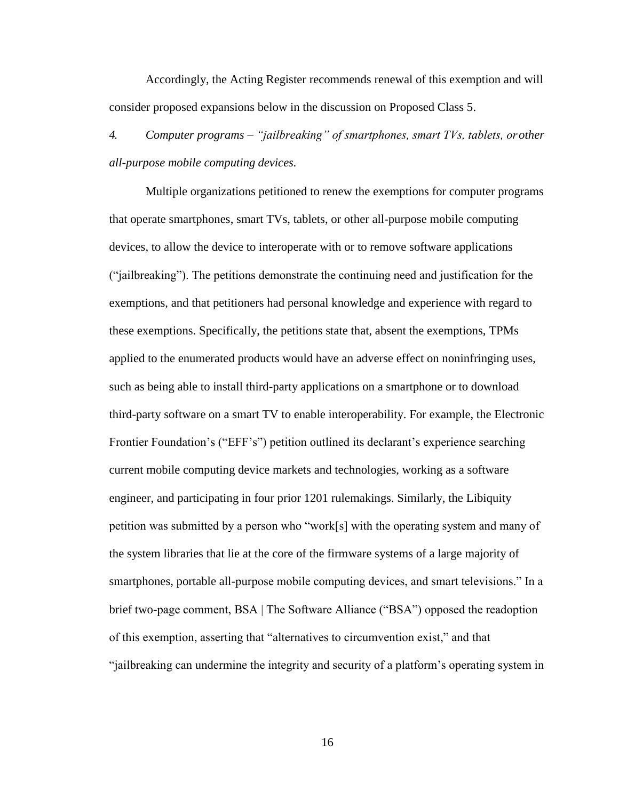Accordingly, the Acting Register recommends renewal of this exemption and will consider proposed expansions below in the discussion on Proposed Class 5.

# *4. Computer programs – "jailbreaking" of smartphones, smart TVs, tablets, orother all-purpose mobile computing devices.*

Multiple organizations petitioned to renew the exemptions for computer programs that operate smartphones, smart TVs, tablets, or other all-purpose mobile computing devices, to allow the device to interoperate with or to remove software applications ("jailbreaking"). The petitions demonstrate the continuing need and justification for the exemptions, and that petitioners had personal knowledge and experience with regard to these exemptions. Specifically, the petitions state that, absent the exemptions, TPMs applied to the enumerated products would have an adverse effect on noninfringing uses, such as being able to install third-party applications on a smartphone or to download third-party software on a smart TV to enable interoperability. For example, the Electronic Frontier Foundation's ("EFF's") petition outlined its declarant's experience searching current mobile computing device markets and technologies, working as a software engineer, and participating in four prior 1201 rulemakings. Similarly, the Libiquity petition was submitted by a person who "work[s] with the operating system and many of the system libraries that lie at the core of the firmware systems of a large majority of smartphones, portable all-purpose mobile computing devices, and smart televisions." In a brief two-page comment, BSA | The Software Alliance ("BSA") opposed the readoption of this exemption, asserting that "alternatives to circumvention exist," and that "jailbreaking can undermine the integrity and security of a platform's operating system in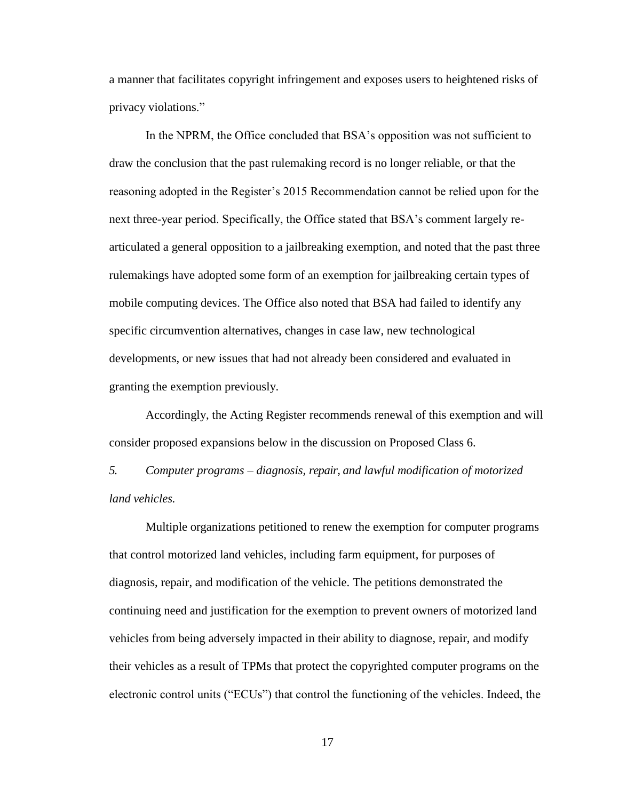a manner that facilitates copyright infringement and exposes users to heightened risks of privacy violations."

In the NPRM, the Office concluded that BSA's opposition was not sufficient to draw the conclusion that the past rulemaking record is no longer reliable, or that the reasoning adopted in the Register's 2015 Recommendation cannot be relied upon for the next three-year period. Specifically, the Office stated that BSA's comment largely rearticulated a general opposition to a jailbreaking exemption, and noted that the past three rulemakings have adopted some form of an exemption for jailbreaking certain types of mobile computing devices. The Office also noted that BSA had failed to identify any specific circumvention alternatives, changes in case law, new technological developments, or new issues that had not already been considered and evaluated in granting the exemption previously.

Accordingly, the Acting Register recommends renewal of this exemption and will consider proposed expansions below in the discussion on Proposed Class 6.

*5. Computer programs – diagnosis, repair, and lawful modification of motorized land vehicles.*

Multiple organizations petitioned to renew the exemption for computer programs that control motorized land vehicles, including farm equipment, for purposes of diagnosis, repair, and modification of the vehicle. The petitions demonstrated the continuing need and justification for the exemption to prevent owners of motorized land vehicles from being adversely impacted in their ability to diagnose, repair, and modify their vehicles as a result of TPMs that protect the copyrighted computer programs on the electronic control units ("ECUs") that control the functioning of the vehicles. Indeed, the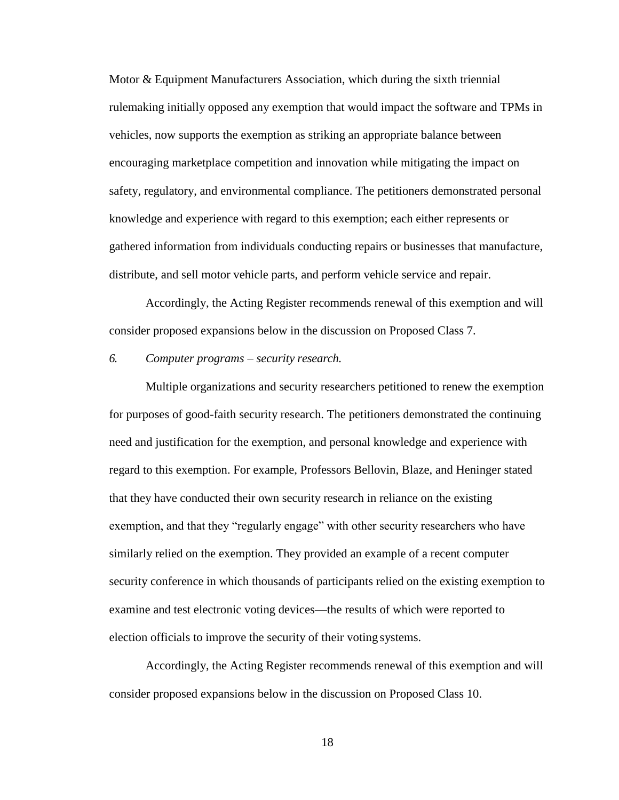Motor & Equipment Manufacturers Association, which during the sixth triennial rulemaking initially opposed any exemption that would impact the software and TPMs in vehicles, now supports the exemption as striking an appropriate balance between encouraging marketplace competition and innovation while mitigating the impact on safety, regulatory, and environmental compliance. The petitioners demonstrated personal knowledge and experience with regard to this exemption; each either represents or gathered information from individuals conducting repairs or businesses that manufacture, distribute, and sell motor vehicle parts, and perform vehicle service and repair.

Accordingly, the Acting Register recommends renewal of this exemption and will consider proposed expansions below in the discussion on Proposed Class 7.

### *6. Computer programs – security research.*

Multiple organizations and security researchers petitioned to renew the exemption for purposes of good-faith security research. The petitioners demonstrated the continuing need and justification for the exemption, and personal knowledge and experience with regard to this exemption. For example, Professors Bellovin, Blaze, and Heninger stated that they have conducted their own security research in reliance on the existing exemption, and that they "regularly engage" with other security researchers who have similarly relied on the exemption. They provided an example of a recent computer security conference in which thousands of participants relied on the existing exemption to examine and test electronic voting devices—the results of which were reported to election officials to improve the security of their voting systems.

Accordingly, the Acting Register recommends renewal of this exemption and will consider proposed expansions below in the discussion on Proposed Class 10.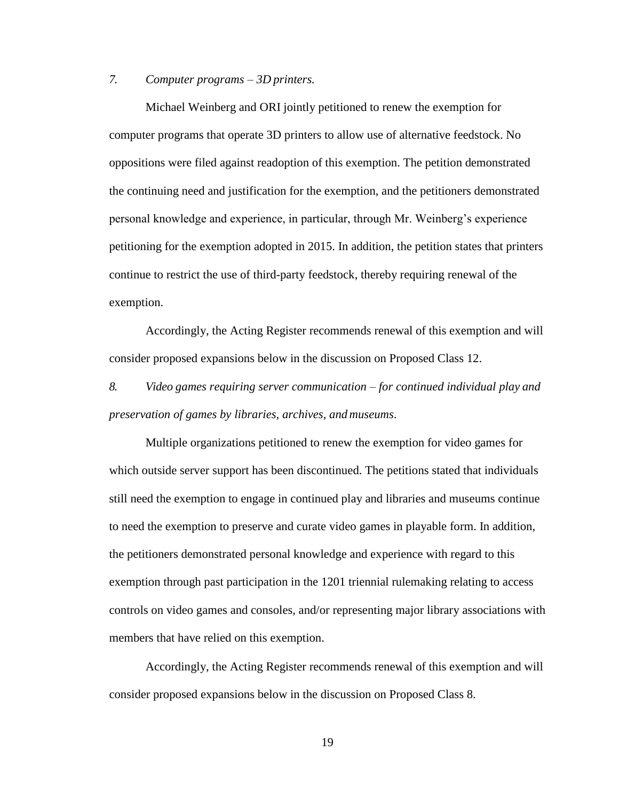# *7. Computer programs – 3D printers.*

Michael Weinberg and ORI jointly petitioned to renew the exemption for computer programs that operate 3D printers to allow use of alternative feedstock. No oppositions were filed against readoption of this exemption. The petition demonstrated the continuing need and justification for the exemption, and the petitioners demonstrated personal knowledge and experience, in particular, through Mr. Weinberg's experience petitioning for the exemption adopted in 2015. In addition, the petition states that printers continue to restrict the use of third-party feedstock, thereby requiring renewal of the exemption.

Accordingly, the Acting Register recommends renewal of this exemption and will consider proposed expansions below in the discussion on Proposed Class 12.

*8. Video games requiring server communication – for continued individual play and preservation of games by libraries, archives, and museums*.

Multiple organizations petitioned to renew the exemption for video games for which outside server support has been discontinued. The petitions stated that individuals still need the exemption to engage in continued play and libraries and museums continue to need the exemption to preserve and curate video games in playable form. In addition, the petitioners demonstrated personal knowledge and experience with regard to this exemption through past participation in the 1201 triennial rulemaking relating to access controls on video games and consoles, and/or representing major library associations with members that have relied on this exemption.

Accordingly, the Acting Register recommends renewal of this exemption and will consider proposed expansions below in the discussion on Proposed Class 8.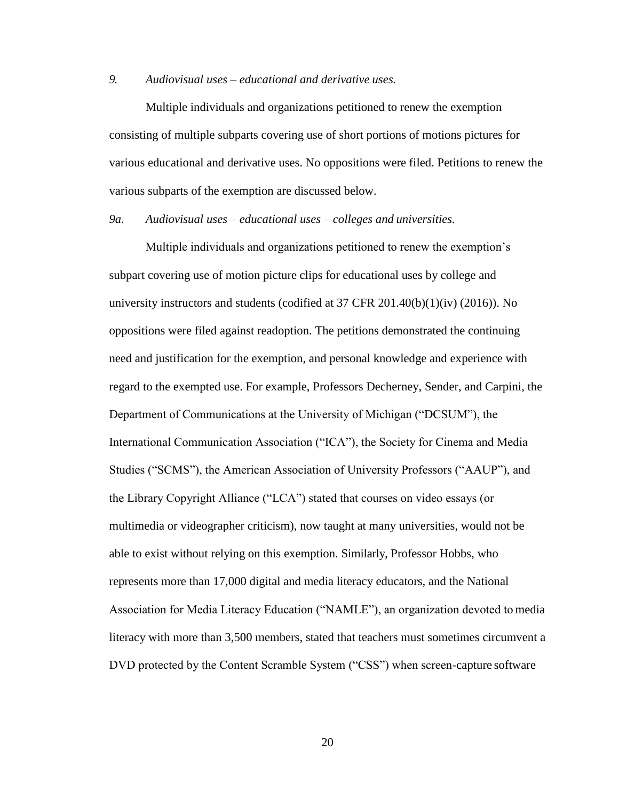# *9. Audiovisual uses – educational and derivative uses.*

Multiple individuals and organizations petitioned to renew the exemption consisting of multiple subparts covering use of short portions of motions pictures for various educational and derivative uses. No oppositions were filed. Petitions to renew the various subparts of the exemption are discussed below.

## *9a. Audiovisual uses – educational uses – colleges and universities.*

Multiple individuals and organizations petitioned to renew the exemption's subpart covering use of motion picture clips for educational uses by college and university instructors and students (codified at 37 CFR 201.40(b)(1)(iv) (2016)). No oppositions were filed against readoption. The petitions demonstrated the continuing need and justification for the exemption, and personal knowledge and experience with regard to the exempted use. For example, Professors Decherney, Sender, and Carpini, the Department of Communications at the University of Michigan ("DCSUM"), the International Communication Association ("ICA"), the Society for Cinema and Media Studies ("SCMS"), the American Association of University Professors ("AAUP"), and the Library Copyright Alliance ("LCA") stated that courses on video essays (or multimedia or videographer criticism), now taught at many universities, would not be able to exist without relying on this exemption. Similarly, Professor Hobbs, who represents more than 17,000 digital and media literacy educators, and the National Association for Media Literacy Education ("NAMLE"), an organization devoted to media literacy with more than 3,500 members, stated that teachers must sometimes circumvent a DVD protected by the Content Scramble System ("CSS") when screen-capture software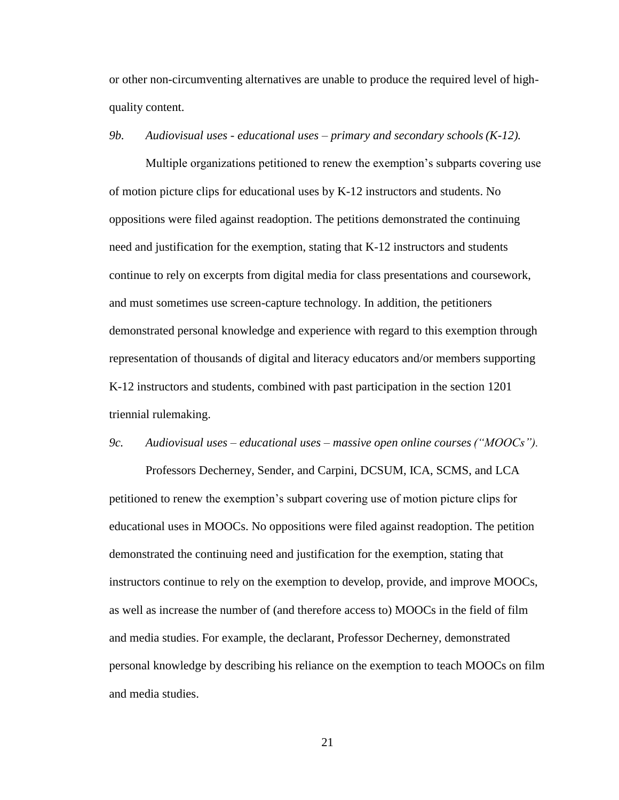or other non-circumventing alternatives are unable to produce the required level of highquality content.

### *9b. Audiovisual uses - educational uses – primary and secondary schools (K-12).*

Multiple organizations petitioned to renew the exemption's subparts covering use of motion picture clips for educational uses by K-12 instructors and students. No oppositions were filed against readoption. The petitions demonstrated the continuing need and justification for the exemption, stating that K-12 instructors and students continue to rely on excerpts from digital media for class presentations and coursework, and must sometimes use screen-capture technology. In addition, the petitioners demonstrated personal knowledge and experience with regard to this exemption through representation of thousands of digital and literacy educators and/or members supporting K-12 instructors and students, combined with past participation in the section 1201 triennial rulemaking.

#### *9c. Audiovisual uses – educational uses – massive open online courses("MOOCs").*

Professors Decherney, Sender, and Carpini, DCSUM, ICA, SCMS, and LCA petitioned to renew the exemption's subpart covering use of motion picture clips for educational uses in MOOCs. No oppositions were filed against readoption. The petition demonstrated the continuing need and justification for the exemption, stating that instructors continue to rely on the exemption to develop, provide, and improve MOOCs, as well as increase the number of (and therefore access to) MOOCs in the field of film and media studies. For example, the declarant, Professor Decherney, demonstrated personal knowledge by describing his reliance on the exemption to teach MOOCs on film and media studies.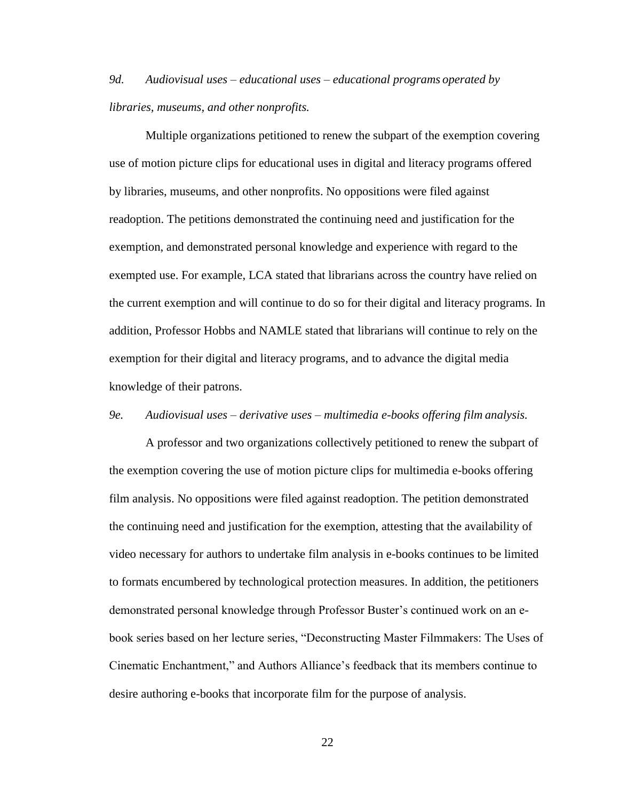# *9d. Audiovisual uses – educational uses – educational programs operated by libraries, museums, and other nonprofits.*

Multiple organizations petitioned to renew the subpart of the exemption covering use of motion picture clips for educational uses in digital and literacy programs offered by libraries, museums, and other nonprofits. No oppositions were filed against readoption. The petitions demonstrated the continuing need and justification for the exemption, and demonstrated personal knowledge and experience with regard to the exempted use. For example, LCA stated that librarians across the country have relied on the current exemption and will continue to do so for their digital and literacy programs. In addition, Professor Hobbs and NAMLE stated that librarians will continue to rely on the exemption for their digital and literacy programs, and to advance the digital media knowledge of their patrons.

### *9e. Audiovisual uses – derivative uses – multimedia e-books offering film analysis.*

A professor and two organizations collectively petitioned to renew the subpart of the exemption covering the use of motion picture clips for multimedia e-books offering film analysis. No oppositions were filed against readoption. The petition demonstrated the continuing need and justification for the exemption, attesting that the availability of video necessary for authors to undertake film analysis in e-books continues to be limited to formats encumbered by technological protection measures. In addition, the petitioners demonstrated personal knowledge through Professor Buster's continued work on an ebook series based on her lecture series, "Deconstructing Master Filmmakers: The Uses of Cinematic Enchantment," and Authors Alliance's feedback that its members continue to desire authoring e-books that incorporate film for the purpose of analysis.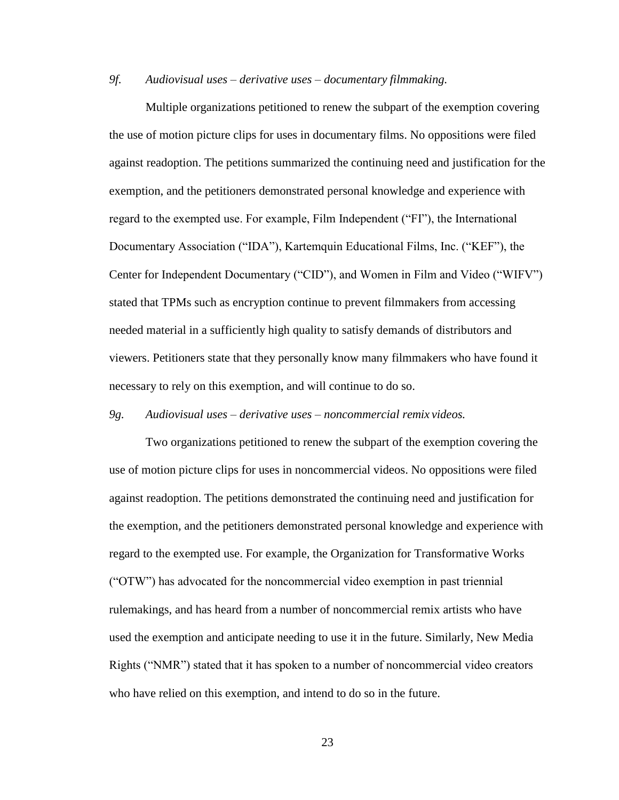### *9f. Audiovisual uses – derivative uses – documentary filmmaking.*

Multiple organizations petitioned to renew the subpart of the exemption covering the use of motion picture clips for uses in documentary films. No oppositions were filed against readoption. The petitions summarized the continuing need and justification for the exemption, and the petitioners demonstrated personal knowledge and experience with regard to the exempted use. For example, Film Independent ("FI"), the International Documentary Association ("IDA"), Kartemquin Educational Films, Inc. ("KEF"), the Center for Independent Documentary ("CID"), and Women in Film and Video ("WIFV") stated that TPMs such as encryption continue to prevent filmmakers from accessing needed material in a sufficiently high quality to satisfy demands of distributors and viewers. Petitioners state that they personally know many filmmakers who have found it necessary to rely on this exemption, and will continue to do so.

### *9g. Audiovisual uses – derivative uses – noncommercial remix videos.*

Two organizations petitioned to renew the subpart of the exemption covering the use of motion picture clips for uses in noncommercial videos. No oppositions were filed against readoption. The petitions demonstrated the continuing need and justification for the exemption, and the petitioners demonstrated personal knowledge and experience with regard to the exempted use. For example, the Organization for Transformative Works ("OTW") has advocated for the noncommercial video exemption in past triennial rulemakings, and has heard from a number of noncommercial remix artists who have used the exemption and anticipate needing to use it in the future. Similarly, New Media Rights ("NMR") stated that it has spoken to a number of noncommercial video creators who have relied on this exemption, and intend to do so in the future.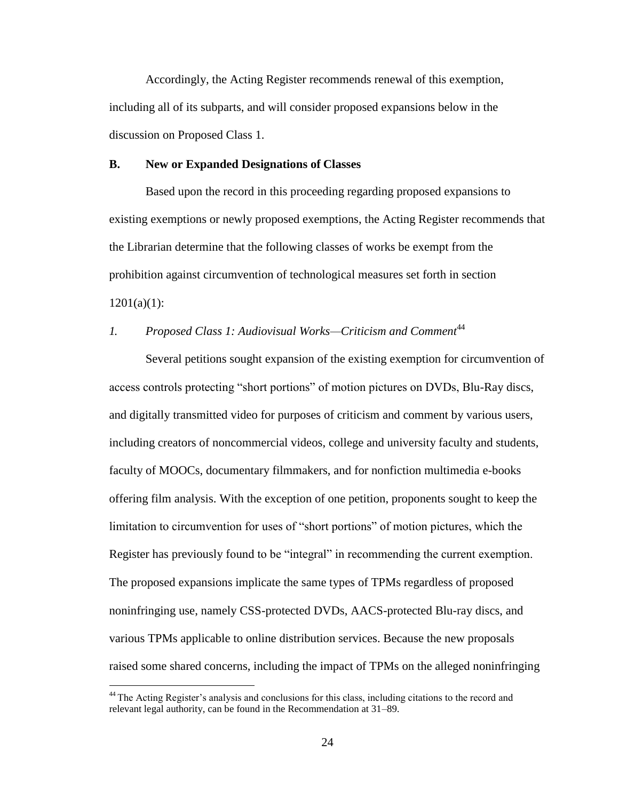Accordingly, the Acting Register recommends renewal of this exemption, including all of its subparts, and will consider proposed expansions below in the discussion on Proposed Class 1.

### **B. New or Expanded Designations of Classes**

Based upon the record in this proceeding regarding proposed expansions to existing exemptions or newly proposed exemptions, the Acting Register recommends that the Librarian determine that the following classes of works be exempt from the prohibition against circumvention of technological measures set forth in section  $1201(a)(1)$ :

# *1. Proposed Class 1: Audiovisual Works—Criticism and Comment*<sup>44</sup>

Several petitions sought expansion of the existing exemption for circumvention of access controls protecting "short portions" of motion pictures on DVDs, Blu-Ray discs, and digitally transmitted video for purposes of criticism and comment by various users, including creators of noncommercial videos, college and university faculty and students, faculty of MOOCs, documentary filmmakers, and for nonfiction multimedia e-books offering film analysis. With the exception of one petition, proponents sought to keep the limitation to circumvention for uses of "short portions" of motion pictures, which the Register has previously found to be "integral" in recommending the current exemption. The proposed expansions implicate the same types of TPMs regardless of proposed noninfringing use, namely CSS-protected DVDs, AACS-protected Blu-ray discs, and various TPMs applicable to online distribution services. Because the new proposals raised some shared concerns, including the impact of TPMs on the alleged noninfringing

<sup>&</sup>lt;sup>44</sup> The Acting Register's analysis and conclusions for this class, including citations to the record and relevant legal authority, can be found in the Recommendation at 31–89.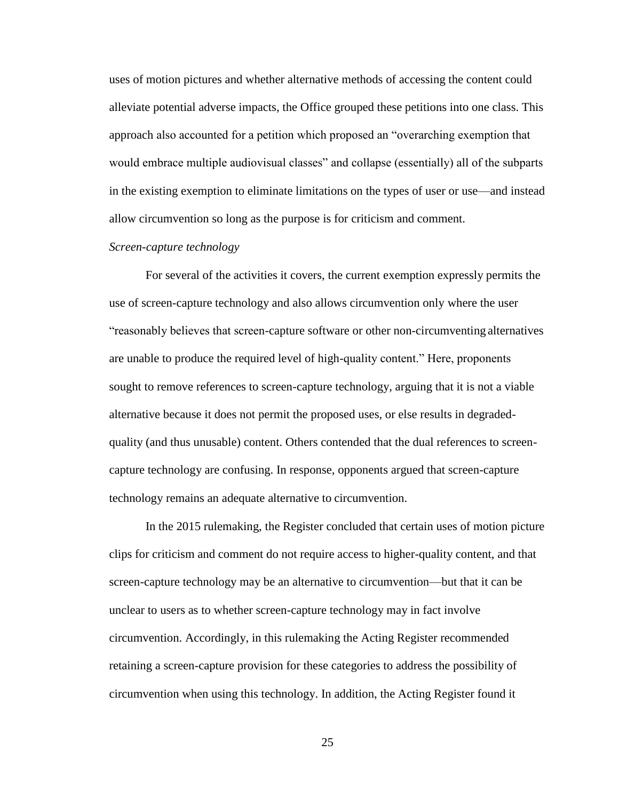uses of motion pictures and whether alternative methods of accessing the content could alleviate potential adverse impacts, the Office grouped these petitions into one class. This approach also accounted for a petition which proposed an "overarching exemption that would embrace multiple audiovisual classes" and collapse (essentially) all of the subparts in the existing exemption to eliminate limitations on the types of user or use—and instead allow circumvention so long as the purpose is for criticism and comment.

### *Screen-capture technology*

For several of the activities it covers, the current exemption expressly permits the use of screen-capture technology and also allows circumvention only where the user "reasonably believes that screen-capture software or other non-circumventing alternatives are unable to produce the required level of high-quality content." Here, proponents sought to remove references to screen-capture technology, arguing that it is not a viable alternative because it does not permit the proposed uses, or else results in degradedquality (and thus unusable) content. Others contended that the dual references to screencapture technology are confusing. In response, opponents argued that screen-capture technology remains an adequate alternative to circumvention.

In the 2015 rulemaking, the Register concluded that certain uses of motion picture clips for criticism and comment do not require access to higher-quality content, and that screen-capture technology may be an alternative to circumvention—but that it can be unclear to users as to whether screen-capture technology may in fact involve circumvention. Accordingly, in this rulemaking the Acting Register recommended retaining a screen-capture provision for these categories to address the possibility of circumvention when using this technology. In addition, the Acting Register found it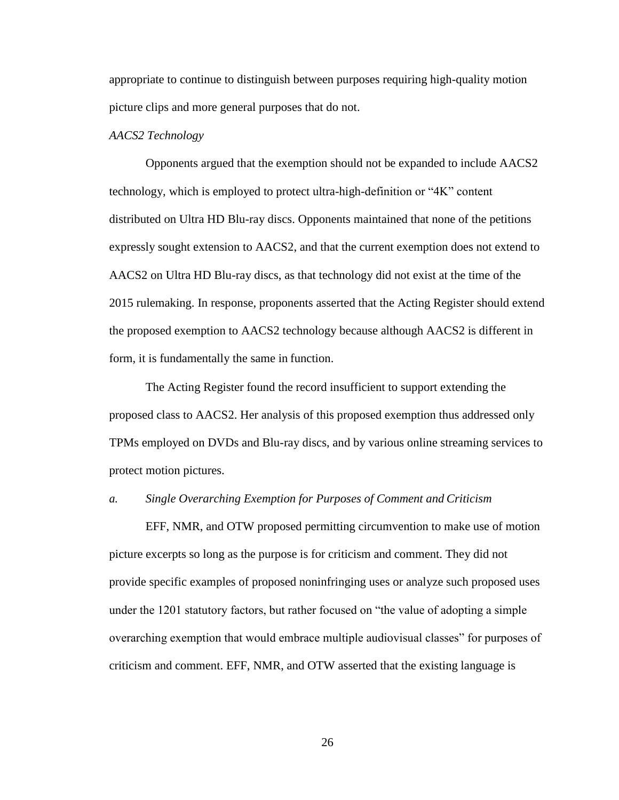appropriate to continue to distinguish between purposes requiring high-quality motion picture clips and more general purposes that do not.

# *AACS2 Technology*

Opponents argued that the exemption should not be expanded to include AACS2 technology, which is employed to protect ultra-high-definition or "4K" content distributed on Ultra HD Blu-ray discs. Opponents maintained that none of the petitions expressly sought extension to AACS2, and that the current exemption does not extend to AACS2 on Ultra HD Blu-ray discs, as that technology did not exist at the time of the 2015 rulemaking. In response, proponents asserted that the Acting Register should extend the proposed exemption to AACS2 technology because although AACS2 is different in form, it is fundamentally the same in function.

The Acting Register found the record insufficient to support extending the proposed class to AACS2. Her analysis of this proposed exemption thus addressed only TPMs employed on DVDs and Blu-ray discs, and by various online streaming services to protect motion pictures.

#### *a. Single Overarching Exemption for Purposes of Comment and Criticism*

EFF, NMR, and OTW proposed permitting circumvention to make use of motion picture excerpts so long as the purpose is for criticism and comment. They did not provide specific examples of proposed noninfringing uses or analyze such proposed uses under the 1201 statutory factors, but rather focused on "the value of adopting a simple overarching exemption that would embrace multiple audiovisual classes" for purposes of criticism and comment. EFF, NMR, and OTW asserted that the existing language is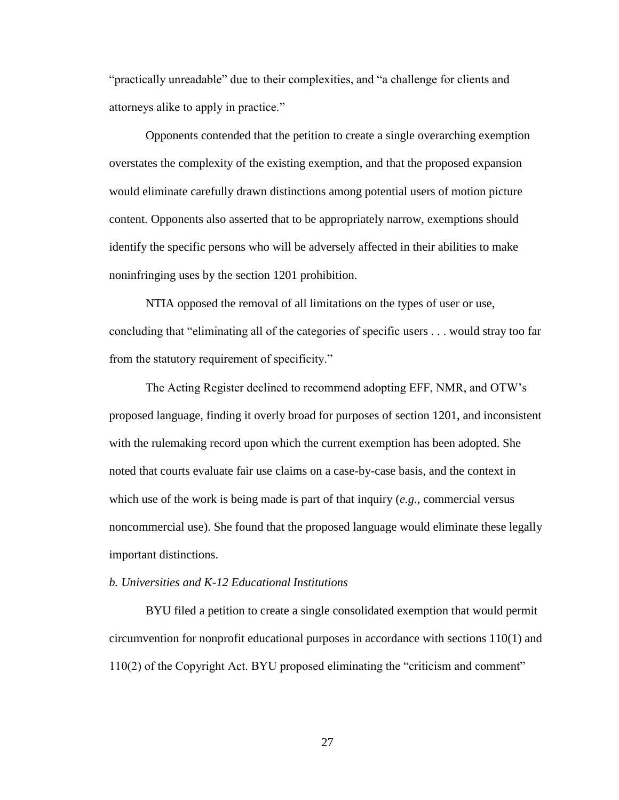"practically unreadable" due to their complexities, and "a challenge for clients and attorneys alike to apply in practice."

Opponents contended that the petition to create a single overarching exemption overstates the complexity of the existing exemption, and that the proposed expansion would eliminate carefully drawn distinctions among potential users of motion picture content. Opponents also asserted that to be appropriately narrow, exemptions should identify the specific persons who will be adversely affected in their abilities to make noninfringing uses by the section 1201 prohibition.

NTIA opposed the removal of all limitations on the types of user or use, concluding that "eliminating all of the categories of specific users . . . would stray too far from the statutory requirement of specificity."

The Acting Register declined to recommend adopting EFF, NMR, and OTW's proposed language, finding it overly broad for purposes of section 1201, and inconsistent with the rulemaking record upon which the current exemption has been adopted. She noted that courts evaluate fair use claims on a case-by-case basis, and the context in which use of the work is being made is part of that inquiry (*e.g.*, commercial versus noncommercial use). She found that the proposed language would eliminate these legally important distinctions.

## *b. Universities and K-12 Educational Institutions*

BYU filed a petition to create a single consolidated exemption that would permit circumvention for nonprofit educational purposes in accordance with sections 110(1) and 110(2) of the Copyright Act. BYU proposed eliminating the "criticism and comment"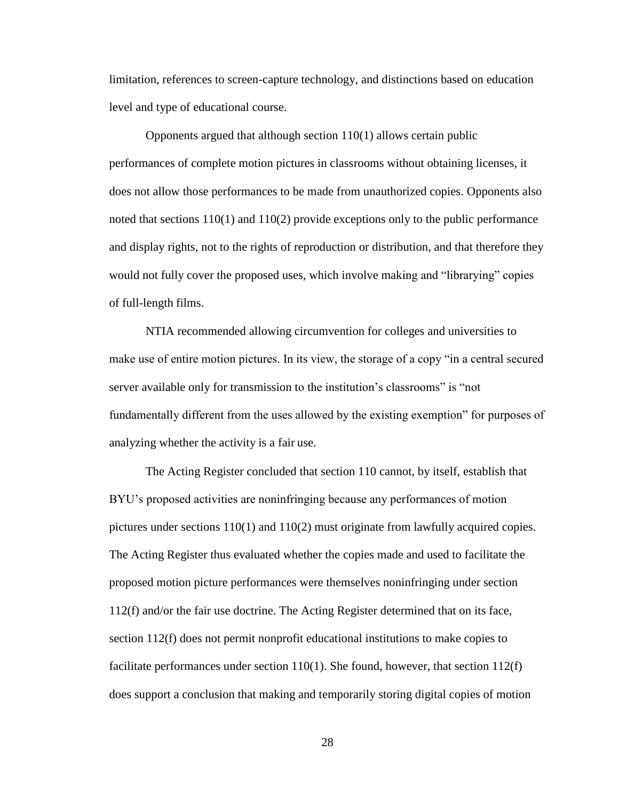limitation, references to screen-capture technology, and distinctions based on education level and type of educational course.

Opponents argued that although section 110(1) allows certain public performances of complete motion pictures in classrooms without obtaining licenses, it does not allow those performances to be made from unauthorized copies. Opponents also noted that sections 110(1) and 110(2) provide exceptions only to the public performance and display rights, not to the rights of reproduction or distribution, and that therefore they would not fully cover the proposed uses, which involve making and "librarying" copies of full-length films.

NTIA recommended allowing circumvention for colleges and universities to make use of entire motion pictures. In its view, the storage of a copy "in a central secured server available only for transmission to the institution's classrooms" is "not fundamentally different from the uses allowed by the existing exemption" for purposes of analyzing whether the activity is a fair use.

The Acting Register concluded that section 110 cannot, by itself, establish that BYU's proposed activities are noninfringing because any performances of motion pictures under sections 110(1) and 110(2) must originate from lawfully acquired copies. The Acting Register thus evaluated whether the copies made and used to facilitate the proposed motion picture performances were themselves noninfringing under section 112(f) and/or the fair use doctrine. The Acting Register determined that on its face, section 112(f) does not permit nonprofit educational institutions to make copies to facilitate performances under section 110(1). She found, however, that section 112(f) does support a conclusion that making and temporarily storing digital copies of motion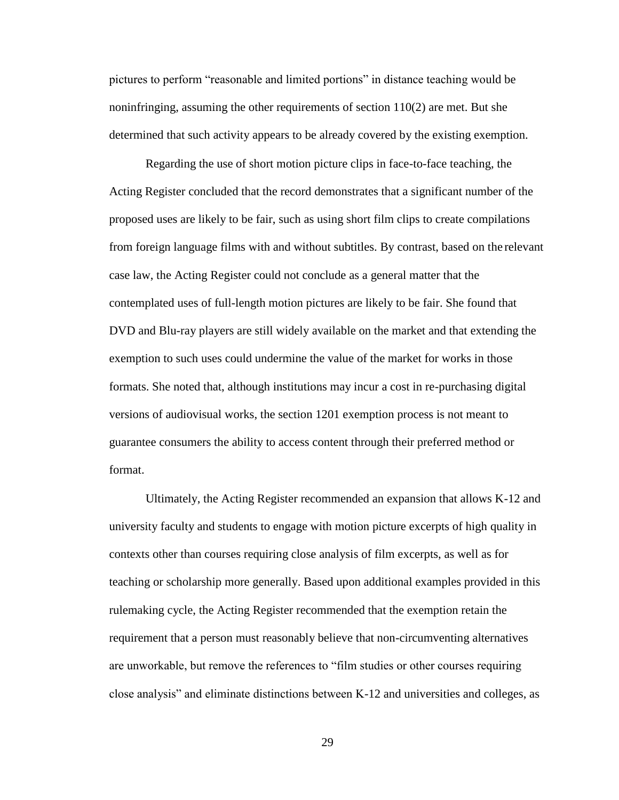pictures to perform "reasonable and limited portions" in distance teaching would be noninfringing, assuming the other requirements of section 110(2) are met. But she determined that such activity appears to be already covered by the existing exemption.

Regarding the use of short motion picture clips in face-to-face teaching, the Acting Register concluded that the record demonstrates that a significant number of the proposed uses are likely to be fair, such as using short film clips to create compilations from foreign language films with and without subtitles. By contrast, based on the relevant case law, the Acting Register could not conclude as a general matter that the contemplated uses of full-length motion pictures are likely to be fair. She found that DVD and Blu-ray players are still widely available on the market and that extending the exemption to such uses could undermine the value of the market for works in those formats. She noted that, although institutions may incur a cost in re-purchasing digital versions of audiovisual works, the section 1201 exemption process is not meant to guarantee consumers the ability to access content through their preferred method or format.

Ultimately, the Acting Register recommended an expansion that allows K-12 and university faculty and students to engage with motion picture excerpts of high quality in contexts other than courses requiring close analysis of film excerpts, as well as for teaching or scholarship more generally. Based upon additional examples provided in this rulemaking cycle, the Acting Register recommended that the exemption retain the requirement that a person must reasonably believe that non-circumventing alternatives are unworkable, but remove the references to "film studies or other courses requiring close analysis" and eliminate distinctions between K-12 and universities and colleges, as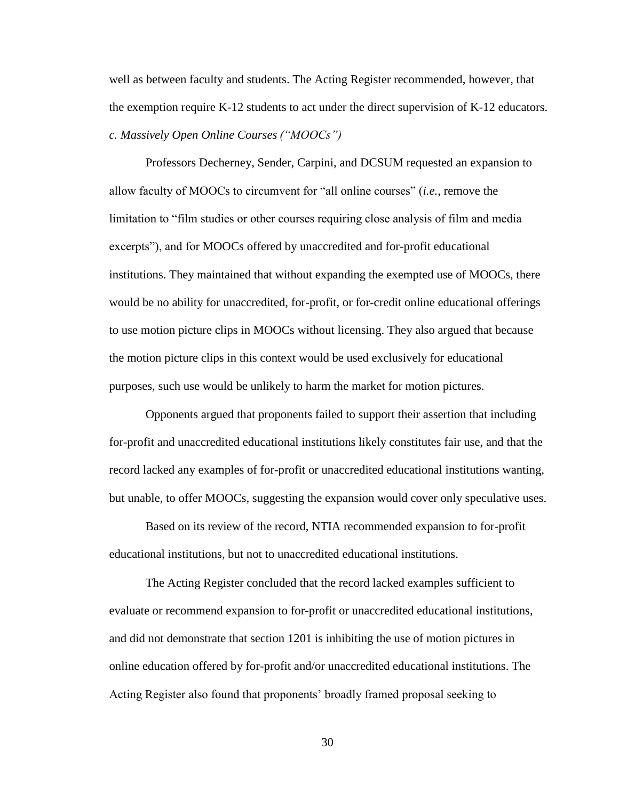well as between faculty and students. The Acting Register recommended, however, that the exemption require K-12 students to act under the direct supervision of K-12 educators. *c. Massively Open Online Courses ("MOOCs")*

Professors Decherney, Sender, Carpini, and DCSUM requested an expansion to allow faculty of MOOCs to circumvent for "all online courses" (*i.e.*, remove the limitation to "film studies or other courses requiring close analysis of film and media excerpts"), and for MOOCs offered by unaccredited and for-profit educational institutions. They maintained that without expanding the exempted use of MOOCs, there would be no ability for unaccredited, for-profit, or for-credit online educational offerings to use motion picture clips in MOOCs without licensing. They also argued that because the motion picture clips in this context would be used exclusively for educational purposes, such use would be unlikely to harm the market for motion pictures.

Opponents argued that proponents failed to support their assertion that including for-profit and unaccredited educational institutions likely constitutes fair use, and that the record lacked any examples of for-profit or unaccredited educational institutions wanting, but unable, to offer MOOCs, suggesting the expansion would cover only speculative uses.

Based on its review of the record, NTIA recommended expansion to for-profit educational institutions, but not to unaccredited educational institutions.

The Acting Register concluded that the record lacked examples sufficient to evaluate or recommend expansion to for-profit or unaccredited educational institutions, and did not demonstrate that section 1201 is inhibiting the use of motion pictures in online education offered by for-profit and/or unaccredited educational institutions. The Acting Register also found that proponents' broadly framed proposal seeking to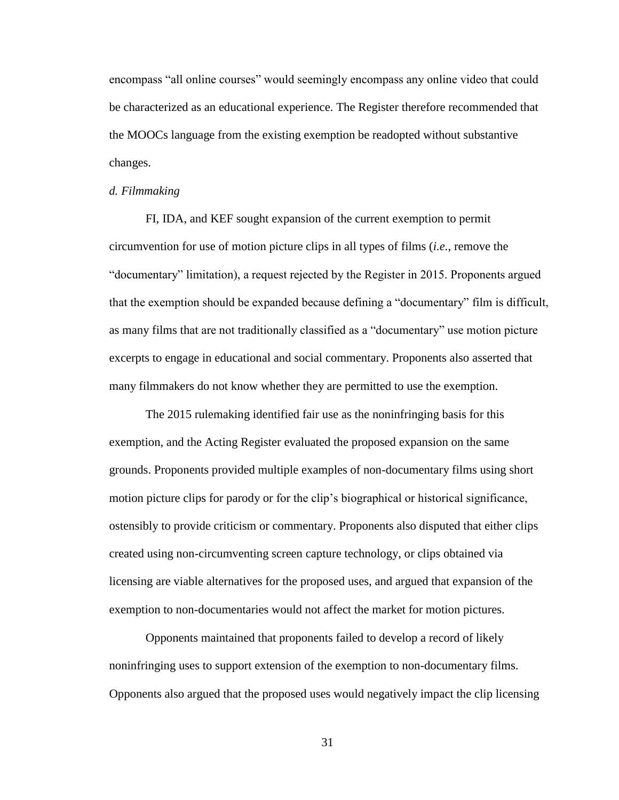encompass "all online courses" would seemingly encompass any online video that could be characterized as an educational experience. The Register therefore recommended that the MOOCs language from the existing exemption be readopted without substantive changes.

### *d. Filmmaking*

FI, IDA, and KEF sought expansion of the current exemption to permit circumvention for use of motion picture clips in all types of films (*i.e.*, remove the "documentary" limitation), a request rejected by the Register in 2015. Proponents argued that the exemption should be expanded because defining a "documentary" film is difficult, as many films that are not traditionally classified as a "documentary" use motion picture excerpts to engage in educational and social commentary. Proponents also asserted that many filmmakers do not know whether they are permitted to use the exemption.

The 2015 rulemaking identified fair use as the noninfringing basis for this exemption, and the Acting Register evaluated the proposed expansion on the same grounds. Proponents provided multiple examples of non-documentary films using short motion picture clips for parody or for the clip's biographical or historical significance, ostensibly to provide criticism or commentary. Proponents also disputed that either clips created using non-circumventing screen capture technology, or clips obtained via licensing are viable alternatives for the proposed uses, and argued that expansion of the exemption to non-documentaries would not affect the market for motion pictures.

Opponents maintained that proponents failed to develop a record of likely noninfringing uses to support extension of the exemption to non-documentary films. Opponents also argued that the proposed uses would negatively impact the clip licensing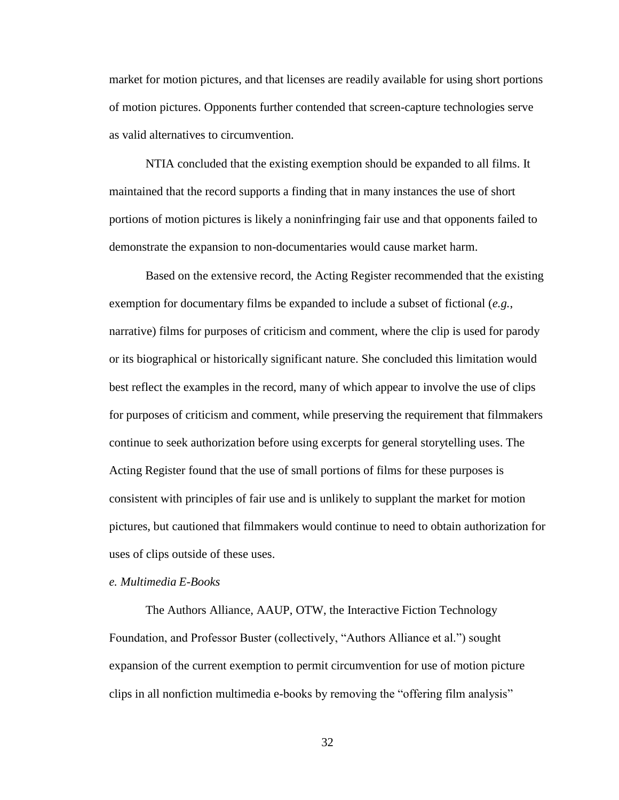market for motion pictures, and that licenses are readily available for using short portions of motion pictures. Opponents further contended that screen-capture technologies serve as valid alternatives to circumvention.

NTIA concluded that the existing exemption should be expanded to all films. It maintained that the record supports a finding that in many instances the use of short portions of motion pictures is likely a noninfringing fair use and that opponents failed to demonstrate the expansion to non-documentaries would cause market harm.

Based on the extensive record, the Acting Register recommended that the existing exemption for documentary films be expanded to include a subset of fictional (*e.g.*, narrative) films for purposes of criticism and comment, where the clip is used for parody or its biographical or historically significant nature. She concluded this limitation would best reflect the examples in the record, many of which appear to involve the use of clips for purposes of criticism and comment, while preserving the requirement that filmmakers continue to seek authorization before using excerpts for general storytelling uses. The Acting Register found that the use of small portions of films for these purposes is consistent with principles of fair use and is unlikely to supplant the market for motion pictures, but cautioned that filmmakers would continue to need to obtain authorization for uses of clips outside of these uses.

### *e. Multimedia E-Books*

The Authors Alliance, AAUP, OTW, the Interactive Fiction Technology Foundation, and Professor Buster (collectively, "Authors Alliance et al.") sought expansion of the current exemption to permit circumvention for use of motion picture clips in all nonfiction multimedia e-books by removing the "offering film analysis"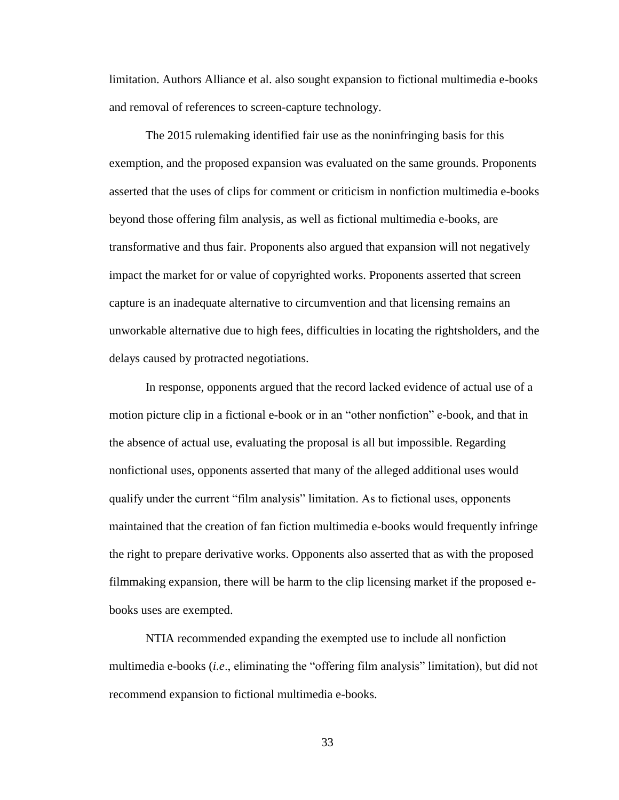limitation. Authors Alliance et al. also sought expansion to fictional multimedia e-books and removal of references to screen-capture technology.

The 2015 rulemaking identified fair use as the noninfringing basis for this exemption, and the proposed expansion was evaluated on the same grounds. Proponents asserted that the uses of clips for comment or criticism in nonfiction multimedia e-books beyond those offering film analysis, as well as fictional multimedia e-books, are transformative and thus fair. Proponents also argued that expansion will not negatively impact the market for or value of copyrighted works. Proponents asserted that screen capture is an inadequate alternative to circumvention and that licensing remains an unworkable alternative due to high fees, difficulties in locating the rightsholders, and the delays caused by protracted negotiations.

In response, opponents argued that the record lacked evidence of actual use of a motion picture clip in a fictional e-book or in an "other nonfiction" e-book, and that in the absence of actual use, evaluating the proposal is all but impossible. Regarding nonfictional uses, opponents asserted that many of the alleged additional uses would qualify under the current "film analysis" limitation. As to fictional uses, opponents maintained that the creation of fan fiction multimedia e-books would frequently infringe the right to prepare derivative works. Opponents also asserted that as with the proposed filmmaking expansion, there will be harm to the clip licensing market if the proposed ebooks uses are exempted.

NTIA recommended expanding the exempted use to include all nonfiction multimedia e-books (*i.e*., eliminating the "offering film analysis" limitation), but did not recommend expansion to fictional multimedia e-books.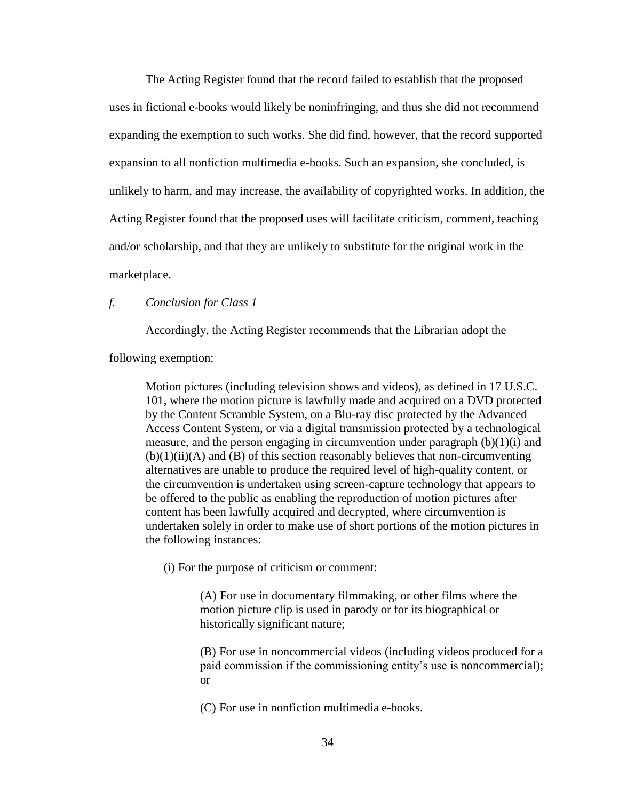The Acting Register found that the record failed to establish that the proposed uses in fictional e-books would likely be noninfringing, and thus she did not recommend expanding the exemption to such works. She did find, however, that the record supported expansion to all nonfiction multimedia e-books. Such an expansion, she concluded, is unlikely to harm, and may increase, the availability of copyrighted works. In addition, the Acting Register found that the proposed uses will facilitate criticism, comment, teaching and/or scholarship, and that they are unlikely to substitute for the original work in the marketplace.

# *f. Conclusion for Class 1*

Accordingly, the Acting Register recommends that the Librarian adopt the

following exemption:

Motion pictures (including television shows and videos), as defined in 17 U.S.C. 101, where the motion picture is lawfully made and acquired on a DVD protected by the Content Scramble System, on a Blu-ray disc protected by the Advanced Access Content System, or via a digital transmission protected by a technological measure, and the person engaging in circumvention under paragraph (b)(1)(i) and  $(b)(1)(ii)(A)$  and  $(B)$  of this section reasonably believes that non-circumventing alternatives are unable to produce the required level of high-quality content, or the circumvention is undertaken using screen-capture technology that appears to be offered to the public as enabling the reproduction of motion pictures after content has been lawfully acquired and decrypted, where circumvention is undertaken solely in order to make use of short portions of the motion pictures in the following instances:

(i) For the purpose of criticism or comment:

(A) For use in documentary filmmaking, or other films where the motion picture clip is used in parody or for its biographical or historically significant nature;

(B) For use in noncommercial videos (including videos produced for a paid commission if the commissioning entity's use is noncommercial); or

(C) For use in nonfiction multimedia e-books.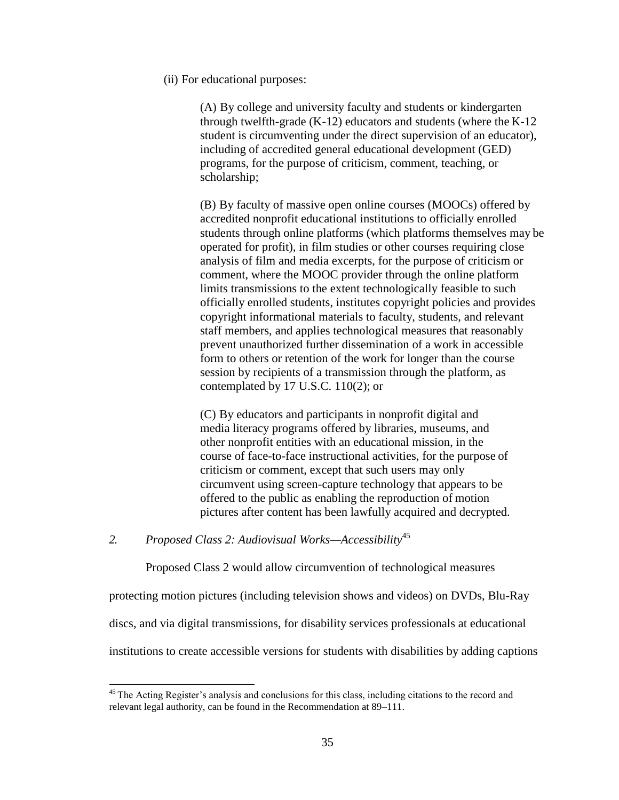(ii) For educational purposes:

(A) By college and university faculty and students or kindergarten through twelfth-grade (K-12) educators and students (where the K-12 student is circumventing under the direct supervision of an educator), including of accredited general educational development (GED) programs, for the purpose of criticism, comment, teaching, or scholarship;

(B) By faculty of massive open online courses (MOOCs) offered by accredited nonprofit educational institutions to officially enrolled students through online platforms (which platforms themselves may be operated for profit), in film studies or other courses requiring close analysis of film and media excerpts, for the purpose of criticism or comment, where the MOOC provider through the online platform limits transmissions to the extent technologically feasible to such officially enrolled students, institutes copyright policies and provides copyright informational materials to faculty, students, and relevant staff members, and applies technological measures that reasonably prevent unauthorized further dissemination of a work in accessible form to others or retention of the work for longer than the course session by recipients of a transmission through the platform, as contemplated by 17 U.S.C. 110(2); or

(C) By educators and participants in nonprofit digital and media literacy programs offered by libraries, museums, and other nonprofit entities with an educational mission, in the course of face-to-face instructional activities, for the purpose of criticism or comment, except that such users may only circumvent using screen-capture technology that appears to be offered to the public as enabling the reproduction of motion pictures after content has been lawfully acquired and decrypted.

# *2. Proposed Class 2: Audiovisual Works—Accessibility*<sup>45</sup>

Proposed Class 2 would allow circumvention of technological measures

protecting motion pictures (including television shows and videos) on DVDs, Blu-Ray discs, and via digital transmissions, for disability services professionals at educational institutions to create accessible versions for students with disabilities by adding captions

<sup>&</sup>lt;sup>45</sup>The Acting Register's analysis and conclusions for this class, including citations to the record and relevant legal authority, can be found in the Recommendation at 89–111.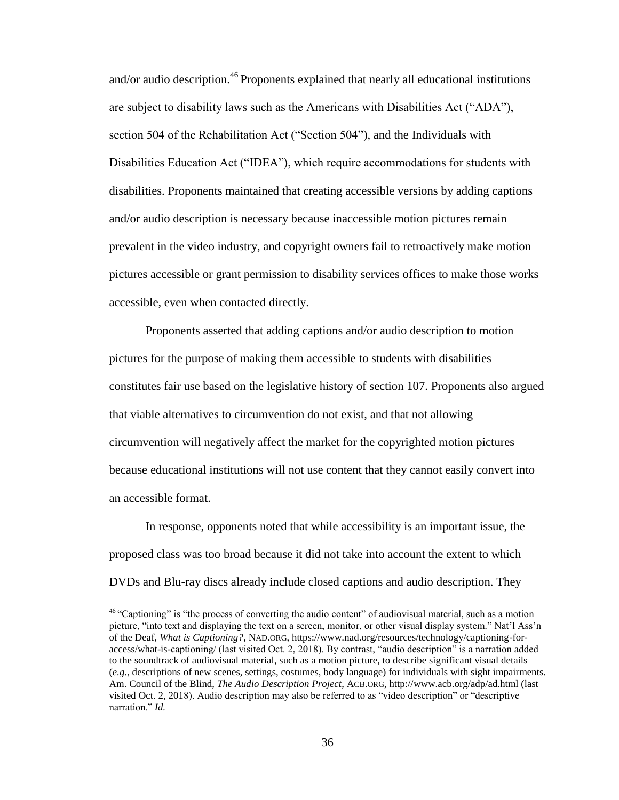and/or audio description.<sup>46</sup> Proponents explained that nearly all educational institutions are subject to disability laws such as the Americans with Disabilities Act ("ADA"), section 504 of the Rehabilitation Act ("Section 504"), and the Individuals with Disabilities Education Act ("IDEA"), which require accommodations for students with disabilities. Proponents maintained that creating accessible versions by adding captions and/or audio description is necessary because inaccessible motion pictures remain prevalent in the video industry, and copyright owners fail to retroactively make motion pictures accessible or grant permission to disability services offices to make those works accessible, even when contacted directly.

Proponents asserted that adding captions and/or audio description to motion pictures for the purpose of making them accessible to students with disabilities constitutes fair use based on the legislative history of section 107. Proponents also argued that viable alternatives to circumvention do not exist, and that not allowing circumvention will negatively affect the market for the copyrighted motion pictures because educational institutions will not use content that they cannot easily convert into an accessible format.

In response, opponents noted that while accessibility is an important issue, the proposed class was too broad because it did not take into account the extent to which DVDs and Blu-ray discs already include closed captions and audio description. They

<sup>&</sup>lt;sup>46</sup> "Captioning" is "the process of converting the audio content" of audiovisual material, such as a motion picture, "into text and displaying the text on a screen, monitor, or other visual display system." Nat'l Ass'n of the Deaf, *What is Captioning?*, NAD.ORG, https://www.nad.org/resources/technology/captioning-foraccess/what-is-captioning/ (last visited Oct. 2, 2018). By contrast, "audio description" is a narration added to the soundtrack of audiovisual material, such as a motion picture, to describe significant visual details (*e.g.*, descriptions of new scenes, settings, costumes, body language) for individuals with sight impairments. Am. Council of the Blind, *The Audio Description Project*, ACB.ORG, http://www.acb.org/adp/ad.html (last visited Oct. 2, 2018). Audio description may also be referred to as "video description" or "descriptive narration." *Id.*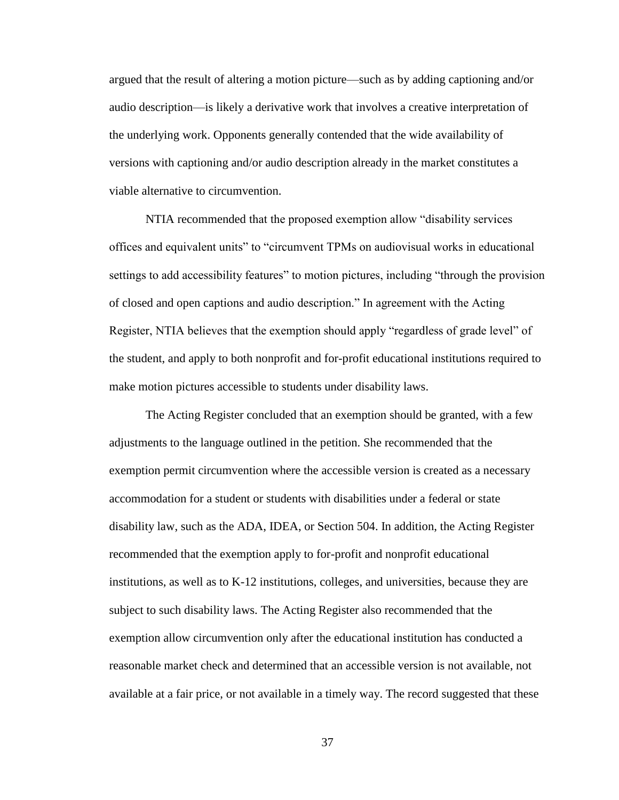argued that the result of altering a motion picture—such as by adding captioning and/or audio description—is likely a derivative work that involves a creative interpretation of the underlying work. Opponents generally contended that the wide availability of versions with captioning and/or audio description already in the market constitutes a viable alternative to circumvention.

NTIA recommended that the proposed exemption allow "disability services offices and equivalent units" to "circumvent TPMs on audiovisual works in educational settings to add accessibility features" to motion pictures, including "through the provision of closed and open captions and audio description." In agreement with the Acting Register, NTIA believes that the exemption should apply "regardless of grade level" of the student, and apply to both nonprofit and for-profit educational institutions required to make motion pictures accessible to students under disability laws.

The Acting Register concluded that an exemption should be granted, with a few adjustments to the language outlined in the petition. She recommended that the exemption permit circumvention where the accessible version is created as a necessary accommodation for a student or students with disabilities under a federal or state disability law, such as the ADA, IDEA, or Section 504. In addition, the Acting Register recommended that the exemption apply to for-profit and nonprofit educational institutions, as well as to K-12 institutions, colleges, and universities, because they are subject to such disability laws. The Acting Register also recommended that the exemption allow circumvention only after the educational institution has conducted a reasonable market check and determined that an accessible version is not available, not available at a fair price, or not available in a timely way. The record suggested that these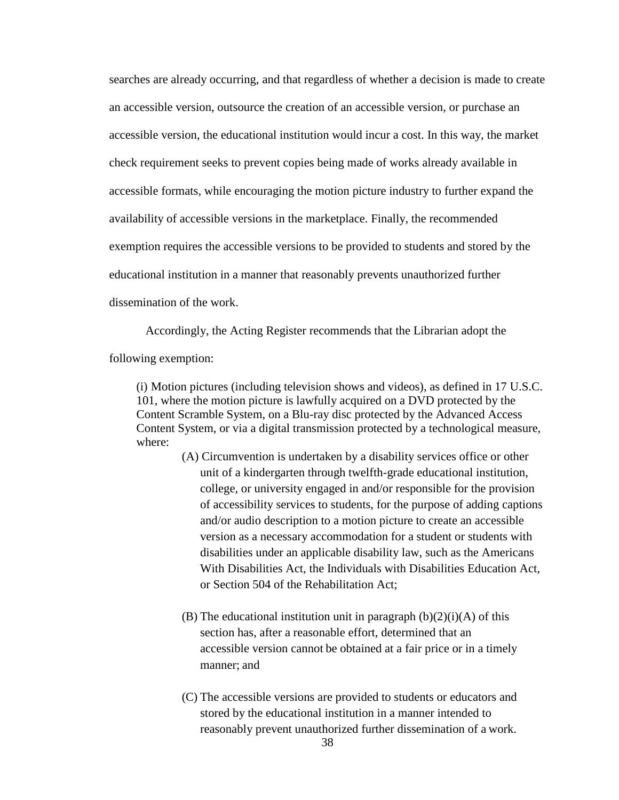searches are already occurring, and that regardless of whether a decision is made to create an accessible version, outsource the creation of an accessible version, or purchase an accessible version, the educational institution would incur a cost. In this way, the market check requirement seeks to prevent copies being made of works already available in accessible formats, while encouraging the motion picture industry to further expand the availability of accessible versions in the marketplace. Finally, the recommended exemption requires the accessible versions to be provided to students and stored by the educational institution in a manner that reasonably prevents unauthorized further dissemination of the work.

Accordingly, the Acting Register recommends that the Librarian adopt the following exemption:

(i) Motion pictures (including television shows and videos), as defined in 17 U.S.C. 101, where the motion picture is lawfully acquired on a DVD protected by the Content Scramble System, on a Blu-ray disc protected by the Advanced Access Content System, or via a digital transmission protected by a technological measure, where:

- (A) Circumvention is undertaken by a disability services office or other unit of a kindergarten through twelfth-grade educational institution, college, or university engaged in and/or responsible for the provision of accessibility services to students, for the purpose of adding captions and/or audio description to a motion picture to create an accessible version as a necessary accommodation for a student or students with disabilities under an applicable disability law, such as the Americans With Disabilities Act, the Individuals with Disabilities Education Act, or Section 504 of the Rehabilitation Act;
- (B) The educational institution unit in paragraph  $(b)(2)(i)(A)$  of this section has, after a reasonable effort, determined that an accessible version cannot be obtained at a fair price or in a timely manner; and
- (C) The accessible versions are provided to students or educators and stored by the educational institution in a manner intended to reasonably prevent unauthorized further dissemination of a work.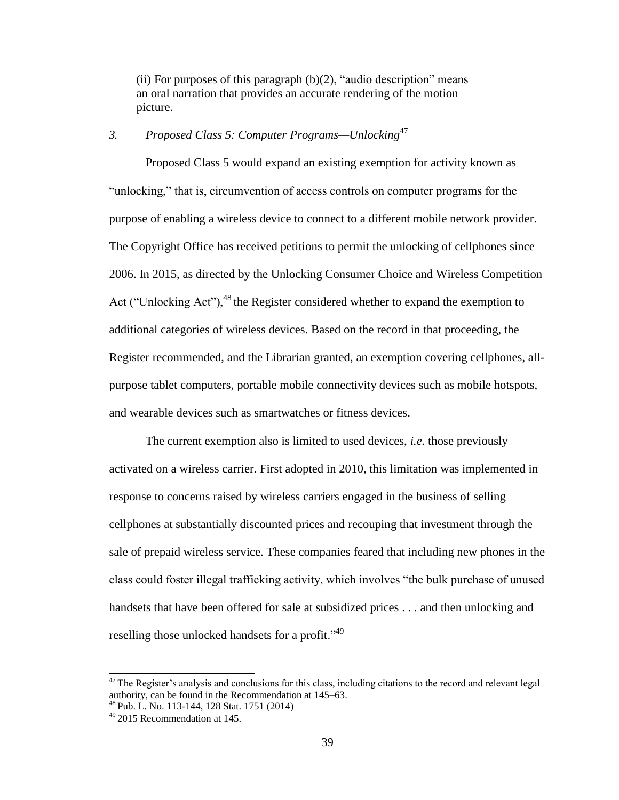(ii) For purposes of this paragraph  $(b)(2)$ , "audio description" means an oral narration that provides an accurate rendering of the motion picture.

# *3. Proposed Class 5: Computer Programs—Unlocking*<sup>47</sup>

Proposed Class 5 would expand an existing exemption for activity known as "unlocking," that is, circumvention of access controls on computer programs for the purpose of enabling a wireless device to connect to a different mobile network provider. The Copyright Office has received petitions to permit the unlocking of cellphones since 2006. In 2015, as directed by the Unlocking Consumer Choice and Wireless Competition Act ("Unlocking Act"),  $^{48}$  the Register considered whether to expand the exemption to additional categories of wireless devices. Based on the record in that proceeding, the Register recommended, and the Librarian granted, an exemption covering cellphones, allpurpose tablet computers, portable mobile connectivity devices such as mobile hotspots, and wearable devices such as smartwatches or fitness devices.

The current exemption also is limited to used devices, *i.e.* those previously activated on a wireless carrier. First adopted in 2010, this limitation was implemented in response to concerns raised by wireless carriers engaged in the business of selling cellphones at substantially discounted prices and recouping that investment through the sale of prepaid wireless service. These companies feared that including new phones in the class could foster illegal trafficking activity, which involves "the bulk purchase of unused handsets that have been offered for sale at subsidized prices . . . and then unlocking and reselling those unlocked handsets for a profit."<sup>49</sup>

<sup>&</sup>lt;sup>47</sup>The Register's analysis and conclusions for this class, including citations to the record and relevant legal authority, can be found in the Recommendation at 145–63.

 $^{48}$  Pub. L. No. 113-144, 128 Stat. 1751 (2014)

 $49$  2015 Recommendation at 145.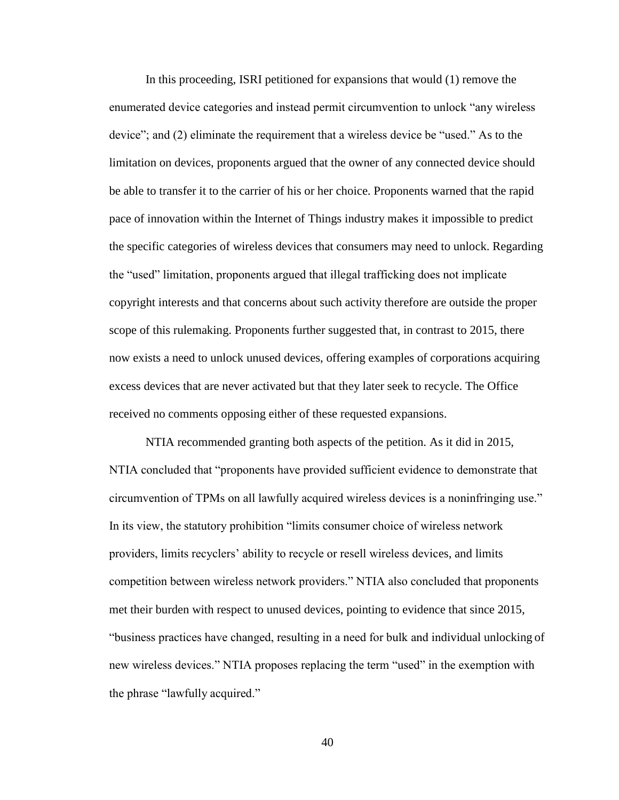In this proceeding, ISRI petitioned for expansions that would (1) remove the enumerated device categories and instead permit circumvention to unlock "any wireless device"; and (2) eliminate the requirement that a wireless device be "used." As to the limitation on devices, proponents argued that the owner of any connected device should be able to transfer it to the carrier of his or her choice. Proponents warned that the rapid pace of innovation within the Internet of Things industry makes it impossible to predict the specific categories of wireless devices that consumers may need to unlock. Regarding the "used" limitation, proponents argued that illegal trafficking does not implicate copyright interests and that concerns about such activity therefore are outside the proper scope of this rulemaking. Proponents further suggested that, in contrast to 2015, there now exists a need to unlock unused devices, offering examples of corporations acquiring excess devices that are never activated but that they later seek to recycle. The Office received no comments opposing either of these requested expansions.

NTIA recommended granting both aspects of the petition. As it did in 2015, NTIA concluded that "proponents have provided sufficient evidence to demonstrate that circumvention of TPMs on all lawfully acquired wireless devices is a noninfringing use." In its view, the statutory prohibition "limits consumer choice of wireless network providers, limits recyclers' ability to recycle or resell wireless devices, and limits competition between wireless network providers." NTIA also concluded that proponents met their burden with respect to unused devices, pointing to evidence that since 2015, "business practices have changed, resulting in a need for bulk and individual unlocking of new wireless devices." NTIA proposes replacing the term "used" in the exemption with the phrase "lawfully acquired."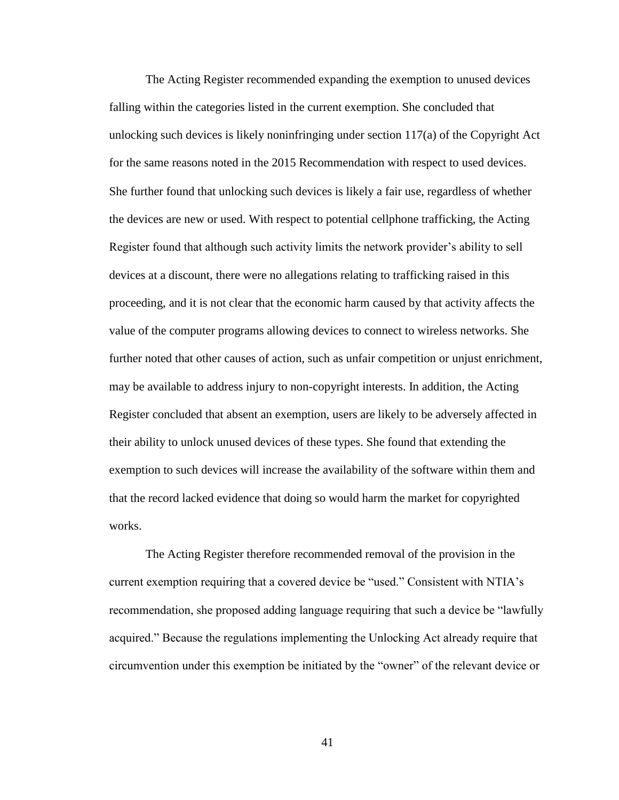The Acting Register recommended expanding the exemption to unused devices falling within the categories listed in the current exemption. She concluded that unlocking such devices is likely noninfringing under section  $117(a)$  of the Copyright Act for the same reasons noted in the 2015 Recommendation with respect to used devices. She further found that unlocking such devices is likely a fair use, regardless of whether the devices are new or used. With respect to potential cellphone trafficking, the Acting Register found that although such activity limits the network provider's ability to sell devices at a discount, there were no allegations relating to trafficking raised in this proceeding, and it is not clear that the economic harm caused by that activity affects the value of the computer programs allowing devices to connect to wireless networks. She further noted that other causes of action, such as unfair competition or unjust enrichment, may be available to address injury to non-copyright interests. In addition, the Acting Register concluded that absent an exemption, users are likely to be adversely affected in their ability to unlock unused devices of these types. She found that extending the exemption to such devices will increase the availability of the software within them and that the record lacked evidence that doing so would harm the market for copyrighted works.

The Acting Register therefore recommended removal of the provision in the current exemption requiring that a covered device be "used." Consistent with NTIA's recommendation, she proposed adding language requiring that such a device be "lawfully acquired." Because the regulations implementing the Unlocking Act already require that circumvention under this exemption be initiated by the "owner" of the relevant device or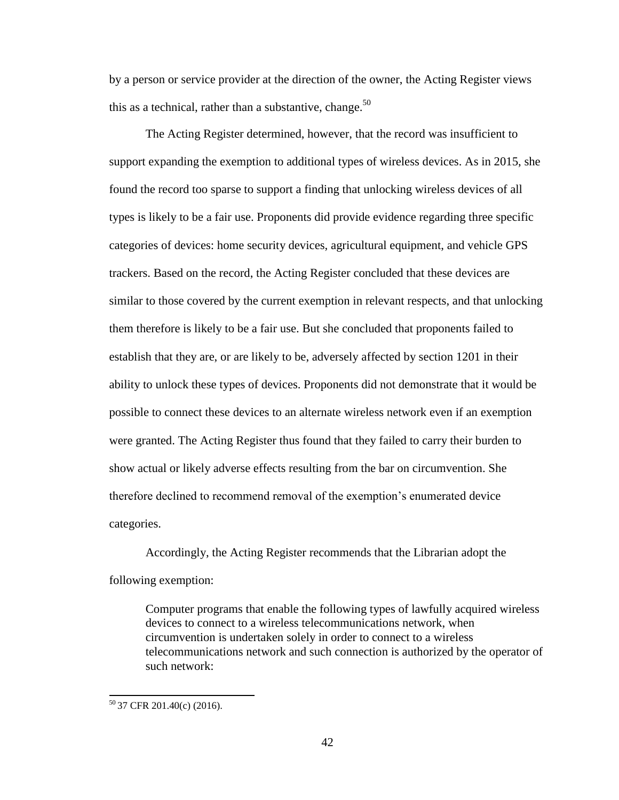by a person or service provider at the direction of the owner, the Acting Register views this as a technical, rather than a substantive, change. $50$ 

The Acting Register determined, however, that the record was insufficient to support expanding the exemption to additional types of wireless devices. As in 2015, she found the record too sparse to support a finding that unlocking wireless devices of all types is likely to be a fair use. Proponents did provide evidence regarding three specific categories of devices: home security devices, agricultural equipment, and vehicle GPS trackers. Based on the record, the Acting Register concluded that these devices are similar to those covered by the current exemption in relevant respects, and that unlocking them therefore is likely to be a fair use. But she concluded that proponents failed to establish that they are, or are likely to be, adversely affected by section 1201 in their ability to unlock these types of devices. Proponents did not demonstrate that it would be possible to connect these devices to an alternate wireless network even if an exemption were granted. The Acting Register thus found that they failed to carry their burden to show actual or likely adverse effects resulting from the bar on circumvention. She therefore declined to recommend removal of the exemption's enumerated device categories.

Accordingly, the Acting Register recommends that the Librarian adopt the following exemption:

Computer programs that enable the following types of lawfully acquired wireless devices to connect to a wireless telecommunications network, when circumvention is undertaken solely in order to connect to a wireless telecommunications network and such connection is authorized by the operator of such network:

 $50$  37 CFR 201.40(c) (2016).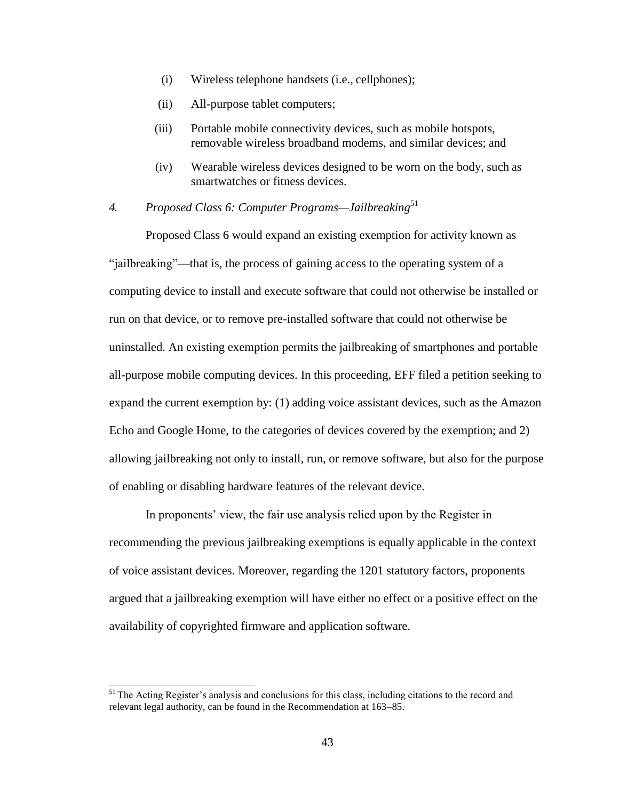- (i) Wireless telephone handsets (i.e., cellphones);
- (ii) All-purpose tablet computers;
- (iii) Portable mobile connectivity devices, such as mobile hotspots, removable wireless broadband modems, and similar devices; and
- (iv) Wearable wireless devices designed to be worn on the body, such as smartwatches or fitness devices.
- *4. Proposed Class 6: Computer Programs—Jailbreaking*<sup>51</sup>

Proposed Class 6 would expand an existing exemption for activity known as "jailbreaking"—that is, the process of gaining access to the operating system of a computing device to install and execute software that could not otherwise be installed or run on that device, or to remove pre-installed software that could not otherwise be uninstalled. An existing exemption permits the jailbreaking of smartphones and portable all-purpose mobile computing devices. In this proceeding, EFF filed a petition seeking to expand the current exemption by: (1) adding voice assistant devices, such as the Amazon Echo and Google Home, to the categories of devices covered by the exemption; and 2) allowing jailbreaking not only to install, run, or remove software, but also for the purpose of enabling or disabling hardware features of the relevant device.

In proponents' view, the fair use analysis relied upon by the Register in recommending the previous jailbreaking exemptions is equally applicable in the context of voice assistant devices. Moreover, regarding the 1201 statutory factors, proponents argued that a jailbreaking exemption will have either no effect or a positive effect on the availability of copyrighted firmware and application software.

<sup>&</sup>lt;sup>51</sup> The Acting Register's analysis and conclusions for this class, including citations to the record and relevant legal authority, can be found in the Recommendation at 163–85.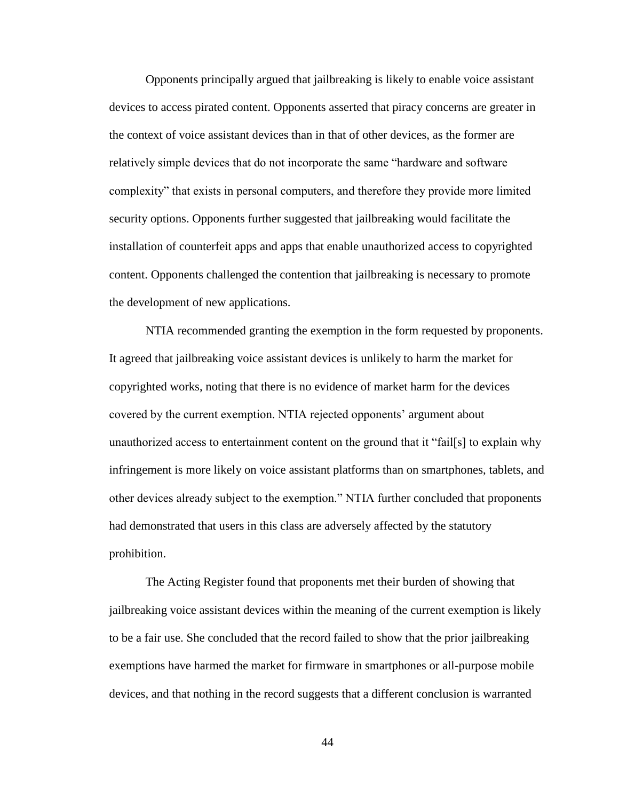Opponents principally argued that jailbreaking is likely to enable voice assistant devices to access pirated content. Opponents asserted that piracy concerns are greater in the context of voice assistant devices than in that of other devices, as the former are relatively simple devices that do not incorporate the same "hardware and software complexity" that exists in personal computers, and therefore they provide more limited security options. Opponents further suggested that jailbreaking would facilitate the installation of counterfeit apps and apps that enable unauthorized access to copyrighted content. Opponents challenged the contention that jailbreaking is necessary to promote the development of new applications.

NTIA recommended granting the exemption in the form requested by proponents. It agreed that jailbreaking voice assistant devices is unlikely to harm the market for copyrighted works, noting that there is no evidence of market harm for the devices covered by the current exemption. NTIA rejected opponents' argument about unauthorized access to entertainment content on the ground that it "fail[s] to explain why infringement is more likely on voice assistant platforms than on smartphones, tablets, and other devices already subject to the exemption." NTIA further concluded that proponents had demonstrated that users in this class are adversely affected by the statutory prohibition.

The Acting Register found that proponents met their burden of showing that jailbreaking voice assistant devices within the meaning of the current exemption is likely to be a fair use. She concluded that the record failed to show that the prior jailbreaking exemptions have harmed the market for firmware in smartphones or all-purpose mobile devices, and that nothing in the record suggests that a different conclusion is warranted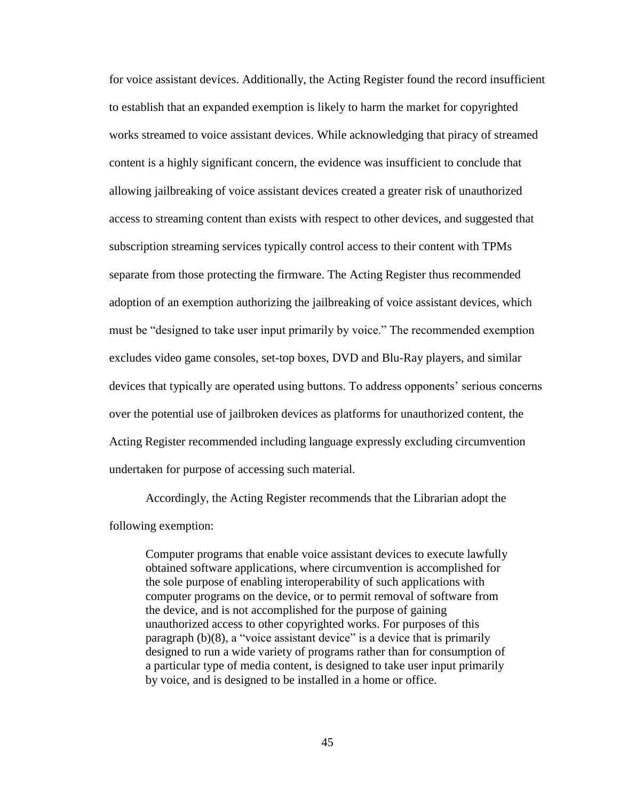for voice assistant devices. Additionally, the Acting Register found the record insufficient to establish that an expanded exemption is likely to harm the market for copyrighted works streamed to voice assistant devices. While acknowledging that piracy of streamed content is a highly significant concern, the evidence was insufficient to conclude that allowing jailbreaking of voice assistant devices created a greater risk of unauthorized access to streaming content than exists with respect to other devices, and suggested that subscription streaming services typically control access to their content with TPMs separate from those protecting the firmware. The Acting Register thus recommended adoption of an exemption authorizing the jailbreaking of voice assistant devices, which must be "designed to take user input primarily by voice." The recommended exemption excludes video game consoles, set-top boxes, DVD and Blu-Ray players, and similar devices that typically are operated using buttons. To address opponents' serious concerns over the potential use of jailbroken devices as platforms for unauthorized content, the Acting Register recommended including language expressly excluding circumvention undertaken for purpose of accessing such material.

Accordingly, the Acting Register recommends that the Librarian adopt the following exemption:

Computer programs that enable voice assistant devices to execute lawfully obtained software applications, where circumvention is accomplished for the sole purpose of enabling interoperability of such applications with computer programs on the device, or to permit removal of software from the device, and is not accomplished for the purpose of gaining unauthorized access to other copyrighted works. For purposes of this paragraph (b)(8), a "voice assistant device" is a device that is primarily designed to run a wide variety of programs rather than for consumption of a particular type of media content, is designed to take user input primarily by voice, and is designed to be installed in a home or office.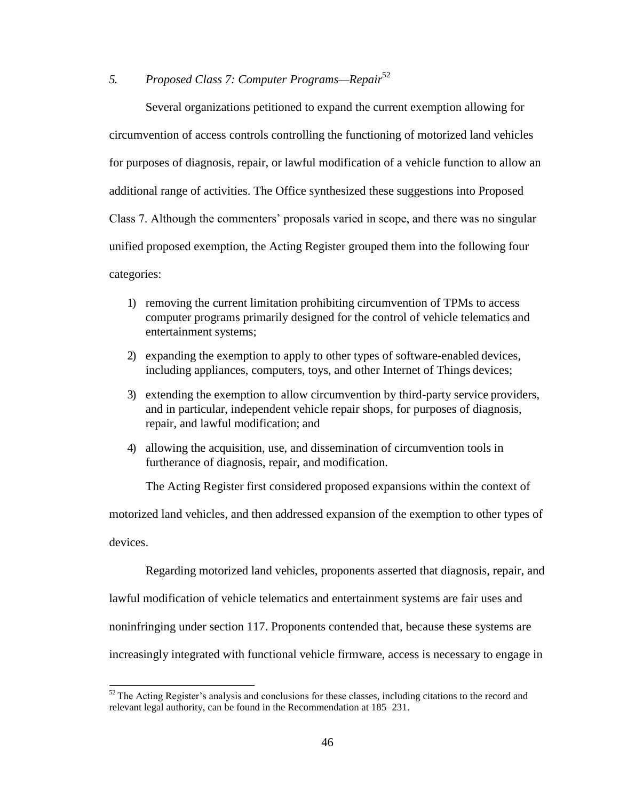# *5. Proposed Class 7: Computer Programs—Repair* 52

Several organizations petitioned to expand the current exemption allowing for circumvention of access controls controlling the functioning of motorized land vehicles for purposes of diagnosis, repair, or lawful modification of a vehicle function to allow an additional range of activities. The Office synthesized these suggestions into Proposed Class 7. Although the commenters' proposals varied in scope, and there was no singular unified proposed exemption, the Acting Register grouped them into the following four categories:

- 1) removing the current limitation prohibiting circumvention of TPMs to access computer programs primarily designed for the control of vehicle telematics and entertainment systems;
- 2) expanding the exemption to apply to other types of software-enabled devices, including appliances, computers, toys, and other Internet of Things devices;
- 3) extending the exemption to allow circumvention by third-party service providers, and in particular, independent vehicle repair shops, for purposes of diagnosis, repair, and lawful modification; and
- 4) allowing the acquisition, use, and dissemination of circumvention tools in furtherance of diagnosis, repair, and modification.

The Acting Register first considered proposed expansions within the context of

motorized land vehicles, and then addressed expansion of the exemption to other types of devices.

Regarding motorized land vehicles, proponents asserted that diagnosis, repair, and lawful modification of vehicle telematics and entertainment systems are fair uses and noninfringing under section 117. Proponents contended that, because these systems are increasingly integrated with functional vehicle firmware, access is necessary to engage in

 $52$  The Acting Register's analysis and conclusions for these classes, including citations to the record and relevant legal authority, can be found in the Recommendation at 185–231.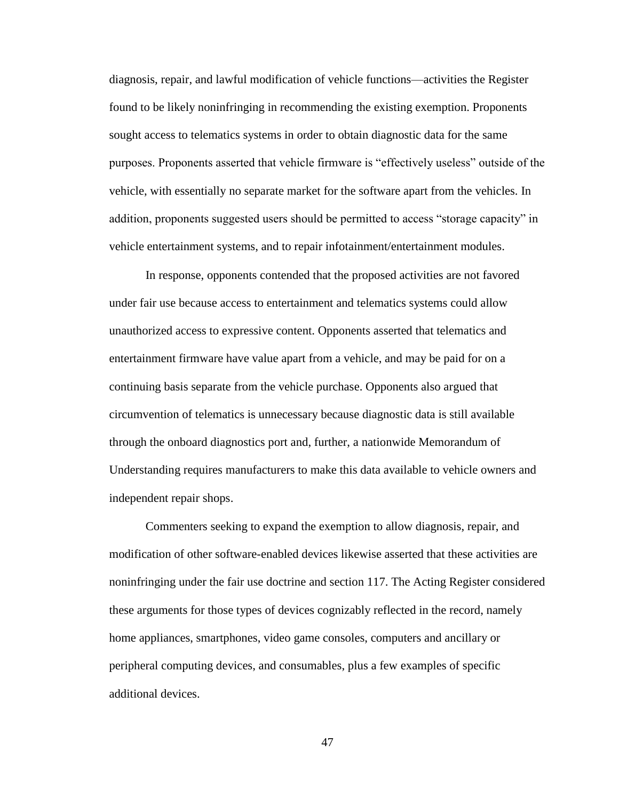diagnosis, repair, and lawful modification of vehicle functions—activities the Register found to be likely noninfringing in recommending the existing exemption. Proponents sought access to telematics systems in order to obtain diagnostic data for the same purposes. Proponents asserted that vehicle firmware is "effectively useless" outside of the vehicle, with essentially no separate market for the software apart from the vehicles. In addition, proponents suggested users should be permitted to access "storage capacity" in vehicle entertainment systems, and to repair infotainment/entertainment modules.

In response, opponents contended that the proposed activities are not favored under fair use because access to entertainment and telematics systems could allow unauthorized access to expressive content. Opponents asserted that telematics and entertainment firmware have value apart from a vehicle, and may be paid for on a continuing basis separate from the vehicle purchase. Opponents also argued that circumvention of telematics is unnecessary because diagnostic data is still available through the onboard diagnostics port and, further, a nationwide Memorandum of Understanding requires manufacturers to make this data available to vehicle owners and independent repair shops.

Commenters seeking to expand the exemption to allow diagnosis, repair, and modification of other software-enabled devices likewise asserted that these activities are noninfringing under the fair use doctrine and section 117. The Acting Register considered these arguments for those types of devices cognizably reflected in the record, namely home appliances, smartphones, video game consoles, computers and ancillary or peripheral computing devices, and consumables, plus a few examples of specific additional devices.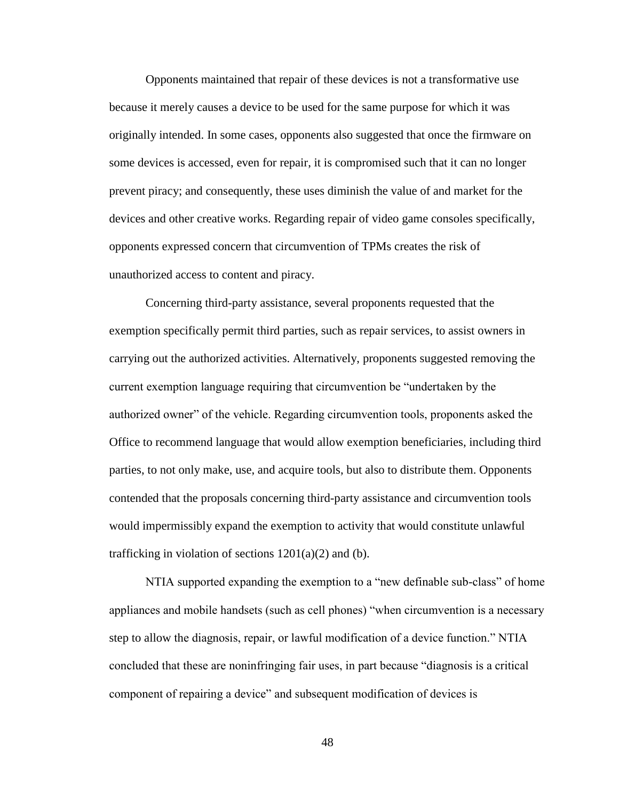Opponents maintained that repair of these devices is not a transformative use because it merely causes a device to be used for the same purpose for which it was originally intended. In some cases, opponents also suggested that once the firmware on some devices is accessed, even for repair, it is compromised such that it can no longer prevent piracy; and consequently, these uses diminish the value of and market for the devices and other creative works. Regarding repair of video game consoles specifically, opponents expressed concern that circumvention of TPMs creates the risk of unauthorized access to content and piracy.

Concerning third-party assistance, several proponents requested that the exemption specifically permit third parties, such as repair services, to assist owners in carrying out the authorized activities. Alternatively, proponents suggested removing the current exemption language requiring that circumvention be "undertaken by the authorized owner" of the vehicle. Regarding circumvention tools, proponents asked the Office to recommend language that would allow exemption beneficiaries, including third parties, to not only make, use, and acquire tools, but also to distribute them. Opponents contended that the proposals concerning third-party assistance and circumvention tools would impermissibly expand the exemption to activity that would constitute unlawful trafficking in violation of sections  $1201(a)(2)$  and (b).

NTIA supported expanding the exemption to a "new definable sub-class" of home appliances and mobile handsets (such as cell phones) "when circumvention is a necessary step to allow the diagnosis, repair, or lawful modification of a device function." NTIA concluded that these are noninfringing fair uses, in part because "diagnosis is a critical component of repairing a device" and subsequent modification of devices is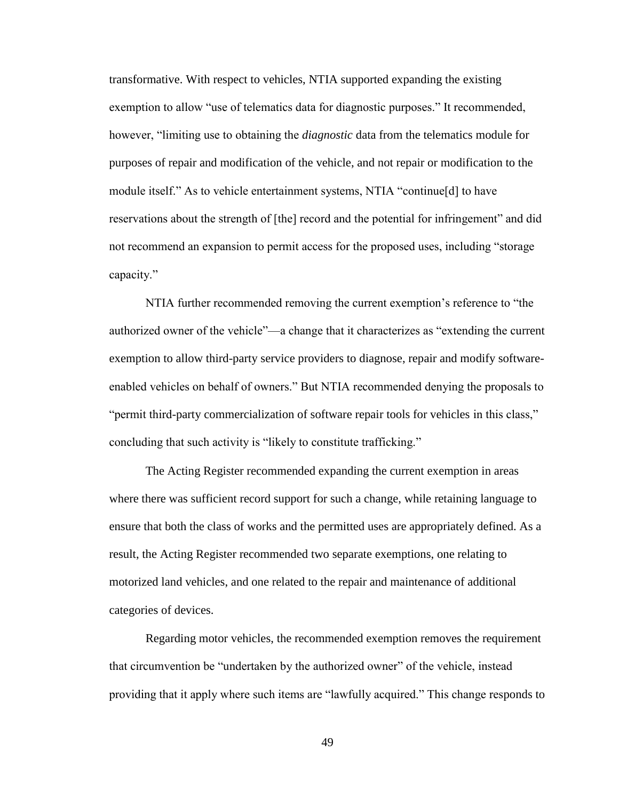transformative. With respect to vehicles, NTIA supported expanding the existing exemption to allow "use of telematics data for diagnostic purposes." It recommended, however, "limiting use to obtaining the *diagnostic* data from the telematics module for purposes of repair and modification of the vehicle, and not repair or modification to the module itself." As to vehicle entertainment systems, NTIA "continue[d] to have reservations about the strength of [the] record and the potential for infringement" and did not recommend an expansion to permit access for the proposed uses, including "storage capacity."

NTIA further recommended removing the current exemption's reference to "the authorized owner of the vehicle"—a change that it characterizes as "extending the current exemption to allow third-party service providers to diagnose, repair and modify softwareenabled vehicles on behalf of owners." But NTIA recommended denying the proposals to "permit third-party commercialization of software repair tools for vehicles in this class," concluding that such activity is "likely to constitute trafficking."

The Acting Register recommended expanding the current exemption in areas where there was sufficient record support for such a change, while retaining language to ensure that both the class of works and the permitted uses are appropriately defined. As a result, the Acting Register recommended two separate exemptions, one relating to motorized land vehicles, and one related to the repair and maintenance of additional categories of devices.

Regarding motor vehicles, the recommended exemption removes the requirement that circumvention be "undertaken by the authorized owner" of the vehicle, instead providing that it apply where such items are "lawfully acquired." This change responds to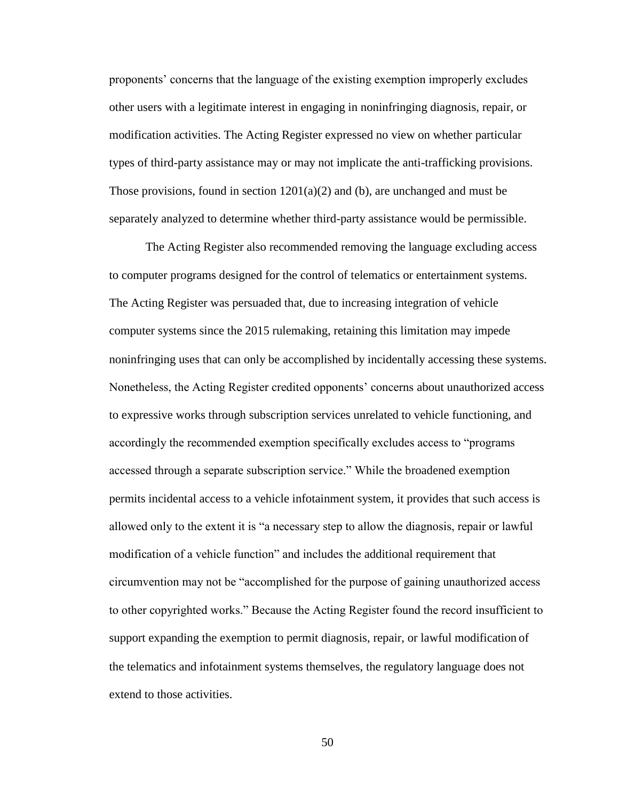proponents' concerns that the language of the existing exemption improperly excludes other users with a legitimate interest in engaging in noninfringing diagnosis, repair, or modification activities. The Acting Register expressed no view on whether particular types of third-party assistance may or may not implicate the anti-trafficking provisions. Those provisions, found in section  $1201(a)(2)$  and (b), are unchanged and must be separately analyzed to determine whether third-party assistance would be permissible.

The Acting Register also recommended removing the language excluding access to computer programs designed for the control of telematics or entertainment systems. The Acting Register was persuaded that, due to increasing integration of vehicle computer systems since the 2015 rulemaking, retaining this limitation may impede noninfringing uses that can only be accomplished by incidentally accessing these systems. Nonetheless, the Acting Register credited opponents' concerns about unauthorized access to expressive works through subscription services unrelated to vehicle functioning, and accordingly the recommended exemption specifically excludes access to "programs accessed through a separate subscription service." While the broadened exemption permits incidental access to a vehicle infotainment system, it provides that such access is allowed only to the extent it is "a necessary step to allow the diagnosis, repair or lawful modification of a vehicle function" and includes the additional requirement that circumvention may not be "accomplished for the purpose of gaining unauthorized access to other copyrighted works." Because the Acting Register found the record insufficient to support expanding the exemption to permit diagnosis, repair, or lawful modification of the telematics and infotainment systems themselves, the regulatory language does not extend to those activities.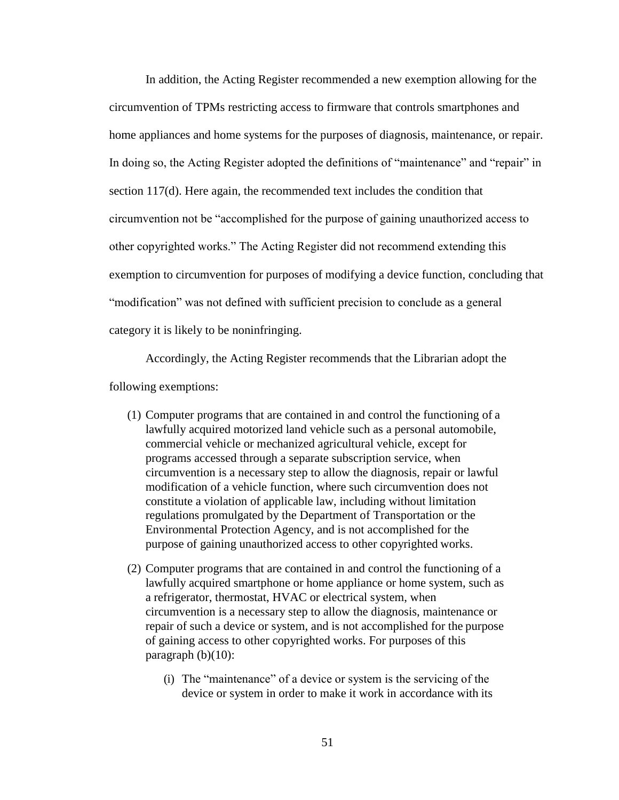In addition, the Acting Register recommended a new exemption allowing for the circumvention of TPMs restricting access to firmware that controls smartphones and home appliances and home systems for the purposes of diagnosis, maintenance, or repair. In doing so, the Acting Register adopted the definitions of "maintenance" and "repair" in section 117(d). Here again, the recommended text includes the condition that circumvention not be "accomplished for the purpose of gaining unauthorized access to other copyrighted works." The Acting Register did not recommend extending this exemption to circumvention for purposes of modifying a device function, concluding that "modification" was not defined with sufficient precision to conclude as a general category it is likely to be noninfringing.

Accordingly, the Acting Register recommends that the Librarian adopt the following exemptions:

- (1) Computer programs that are contained in and control the functioning of a lawfully acquired motorized land vehicle such as a personal automobile, commercial vehicle or mechanized agricultural vehicle, except for programs accessed through a separate subscription service, when circumvention is a necessary step to allow the diagnosis, repair or lawful modification of a vehicle function, where such circumvention does not constitute a violation of applicable law, including without limitation regulations promulgated by the Department of Transportation or the Environmental Protection Agency, and is not accomplished for the purpose of gaining unauthorized access to other copyrighted works.
- (2) Computer programs that are contained in and control the functioning of a lawfully acquired smartphone or home appliance or home system, such as a refrigerator, thermostat, HVAC or electrical system, when circumvention is a necessary step to allow the diagnosis, maintenance or repair of such a device or system, and is not accomplished for the purpose of gaining access to other copyrighted works. For purposes of this paragraph  $(b)(10)$ :
	- (i) The "maintenance" of a device or system is the servicing of the device or system in order to make it work in accordance with its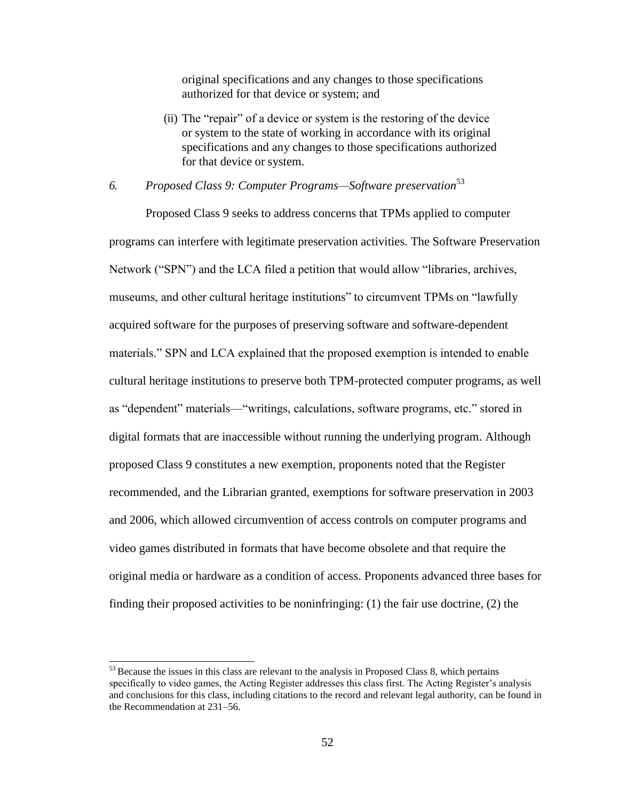original specifications and any changes to those specifications authorized for that device or system; and

(ii) The "repair" of a device or system is the restoring of the device or system to the state of working in accordance with its original specifications and any changes to those specifications authorized for that device or system.

## *6. Proposed Class 9: Computer Programs—Software preservation*<sup>53</sup>

Proposed Class 9 seeks to address concerns that TPMs applied to computer programs can interfere with legitimate preservation activities. The Software Preservation Network ("SPN") and the LCA filed a petition that would allow "libraries, archives, museums, and other cultural heritage institutions" to circumvent TPMs on "lawfully acquired software for the purposes of preserving software and software-dependent materials." SPN and LCA explained that the proposed exemption is intended to enable cultural heritage institutions to preserve both TPM-protected computer programs, as well as "dependent" materials—"writings, calculations, software programs, etc." stored in digital formats that are inaccessible without running the underlying program. Although proposed Class 9 constitutes a new exemption, proponents noted that the Register recommended, and the Librarian granted, exemptions for software preservation in 2003 and 2006, which allowed circumvention of access controls on computer programs and video games distributed in formats that have become obsolete and that require the original media or hardware as a condition of access. Proponents advanced three bases for finding their proposed activities to be noninfringing: (1) the fair use doctrine, (2) the

 $53$  Because the issues in this class are relevant to the analysis in Proposed Class 8, which pertains specifically to video games, the Acting Register addresses this class first. The Acting Register's analysis and conclusions for this class, including citations to the record and relevant legal authority, can be found in the Recommendation at 231–56.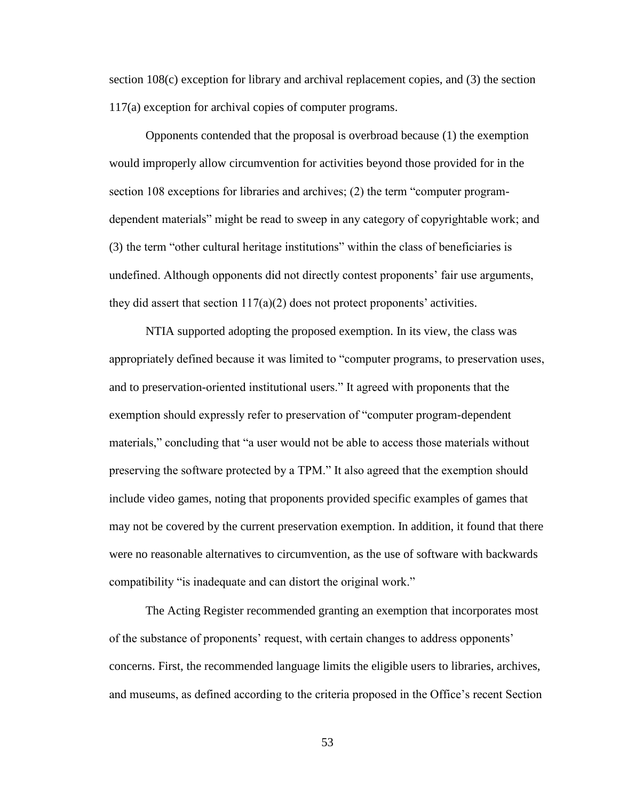section 108(c) exception for library and archival replacement copies, and (3) the section 117(a) exception for archival copies of computer programs.

Opponents contended that the proposal is overbroad because (1) the exemption would improperly allow circumvention for activities beyond those provided for in the section 108 exceptions for libraries and archives; (2) the term "computer programdependent materials" might be read to sweep in any category of copyrightable work; and (3) the term "other cultural heritage institutions" within the class of beneficiaries is undefined. Although opponents did not directly contest proponents' fair use arguments, they did assert that section  $117(a)(2)$  does not protect proponents' activities.

NTIA supported adopting the proposed exemption. In its view, the class was appropriately defined because it was limited to "computer programs, to preservation uses, and to preservation-oriented institutional users." It agreed with proponents that the exemption should expressly refer to preservation of "computer program-dependent materials," concluding that "a user would not be able to access those materials without preserving the software protected by a TPM." It also agreed that the exemption should include video games, noting that proponents provided specific examples of games that may not be covered by the current preservation exemption. In addition, it found that there were no reasonable alternatives to circumvention, as the use of software with backwards compatibility "is inadequate and can distort the original work."

The Acting Register recommended granting an exemption that incorporates most of the substance of proponents' request, with certain changes to address opponents' concerns. First, the recommended language limits the eligible users to libraries, archives, and museums, as defined according to the criteria proposed in the Office's recent Section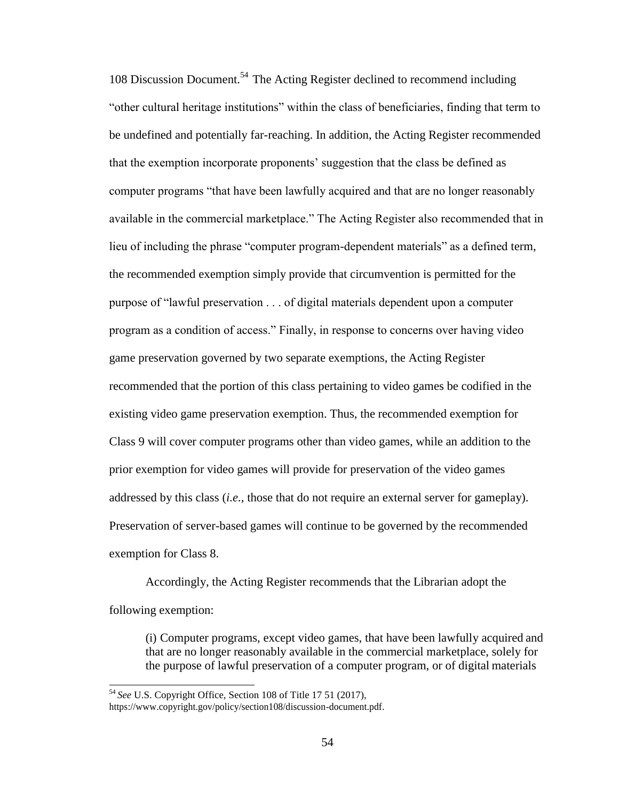108 Discussion Document.<sup>54</sup> The Acting Register declined to recommend including "other cultural heritage institutions" within the class of beneficiaries, finding that term to be undefined and potentially far-reaching. In addition, the Acting Register recommended that the exemption incorporate proponents' suggestion that the class be defined as computer programs "that have been lawfully acquired and that are no longer reasonably available in the commercial marketplace." The Acting Register also recommended that in lieu of including the phrase "computer program-dependent materials" as a defined term, the recommended exemption simply provide that circumvention is permitted for the purpose of "lawful preservation . . . of digital materials dependent upon a computer program as a condition of access." Finally, in response to concerns over having video game preservation governed by two separate exemptions, the Acting Register recommended that the portion of this class pertaining to video games be codified in the existing video game preservation exemption. Thus, the recommended exemption for Class 9 will cover computer programs other than video games, while an addition to the prior exemption for video games will provide for preservation of the video games addressed by this class (*i.e.*, those that do not require an external server for gameplay). Preservation of server-based games will continue to be governed by the recommended exemption for Class 8.

Accordingly, the Acting Register recommends that the Librarian adopt the following exemption:

(i) Computer programs, except video games, that have been lawfully acquired and that are no longer reasonably available in the commercial marketplace, solely for the purpose of lawful preservation of a computer program, or of digital materials

<sup>54</sup>*See* U.S. Copyright Office, Section 108 of Title 17 51 (2017),

https://www.copyright.gov/policy/section108/discussion-document.pdf.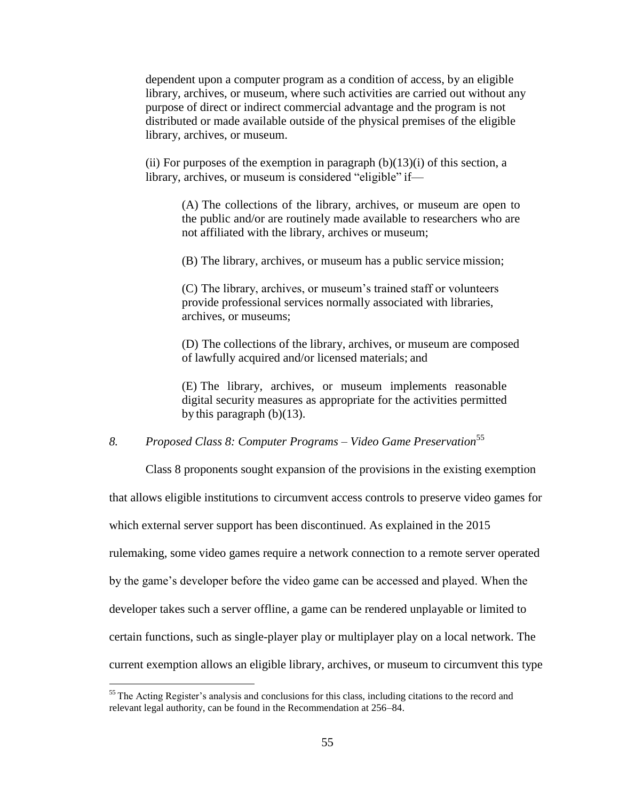dependent upon a computer program as a condition of access, by an eligible library, archives, or museum, where such activities are carried out without any purpose of direct or indirect commercial advantage and the program is not distributed or made available outside of the physical premises of the eligible library, archives, or museum.

(ii) For purposes of the exemption in paragraph  $(b)(13)(i)$  of this section, a library, archives, or museum is considered "eligible" if—

(A) The collections of the library, archives, or museum are open to the public and/or are routinely made available to researchers who are not affiliated with the library, archives or museum;

(B) The library, archives, or museum has a public service mission;

(C) The library, archives, or museum's trained staff or volunteers provide professional services normally associated with libraries, archives, or museums;

(D) The collections of the library, archives, or museum are composed of lawfully acquired and/or licensed materials; and

(E) The library, archives, or museum implements reasonable digital security measures as appropriate for the activities permitted by this paragraph  $(b)(13)$ .

*8. Proposed Class 8: Computer Programs – Video Game Preservation*<sup>55</sup>

Class 8 proponents sought expansion of the provisions in the existing exemption

that allows eligible institutions to circumvent access controls to preserve video games for

which external server support has been discontinued. As explained in the 2015

rulemaking, some video games require a network connection to a remote server operated

by the game's developer before the video game can be accessed and played. When the

developer takes such a server offline, a game can be rendered unplayable or limited to

certain functions, such as single-player play or multiplayer play on a local network. The

current exemption allows an eligible library, archives, or museum to circumvent this type

<sup>&</sup>lt;sup>55</sup>The Acting Register's analysis and conclusions for this class, including citations to the record and relevant legal authority, can be found in the Recommendation at 256–84.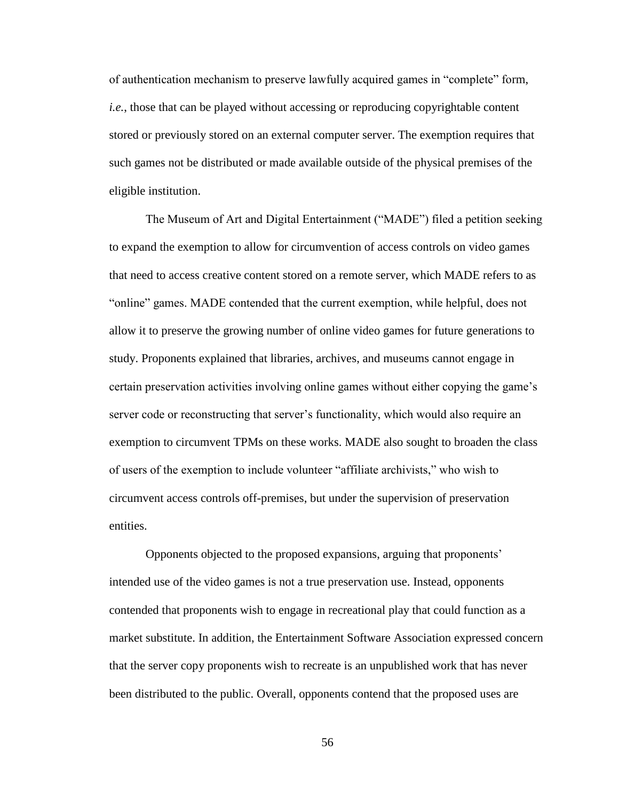of authentication mechanism to preserve lawfully acquired games in "complete" form, *i.e.*, those that can be played without accessing or reproducing copyrightable content stored or previously stored on an external computer server. The exemption requires that such games not be distributed or made available outside of the physical premises of the eligible institution.

The Museum of Art and Digital Entertainment ("MADE") filed a petition seeking to expand the exemption to allow for circumvention of access controls on video games that need to access creative content stored on a remote server, which MADE refers to as "online" games. MADE contended that the current exemption, while helpful, does not allow it to preserve the growing number of online video games for future generations to study. Proponents explained that libraries, archives, and museums cannot engage in certain preservation activities involving online games without either copying the game's server code or reconstructing that server's functionality, which would also require an exemption to circumvent TPMs on these works. MADE also sought to broaden the class of users of the exemption to include volunteer "affiliate archivists," who wish to circumvent access controls off-premises, but under the supervision of preservation entities.

Opponents objected to the proposed expansions, arguing that proponents' intended use of the video games is not a true preservation use. Instead, opponents contended that proponents wish to engage in recreational play that could function as a market substitute. In addition, the Entertainment Software Association expressed concern that the server copy proponents wish to recreate is an unpublished work that has never been distributed to the public. Overall, opponents contend that the proposed uses are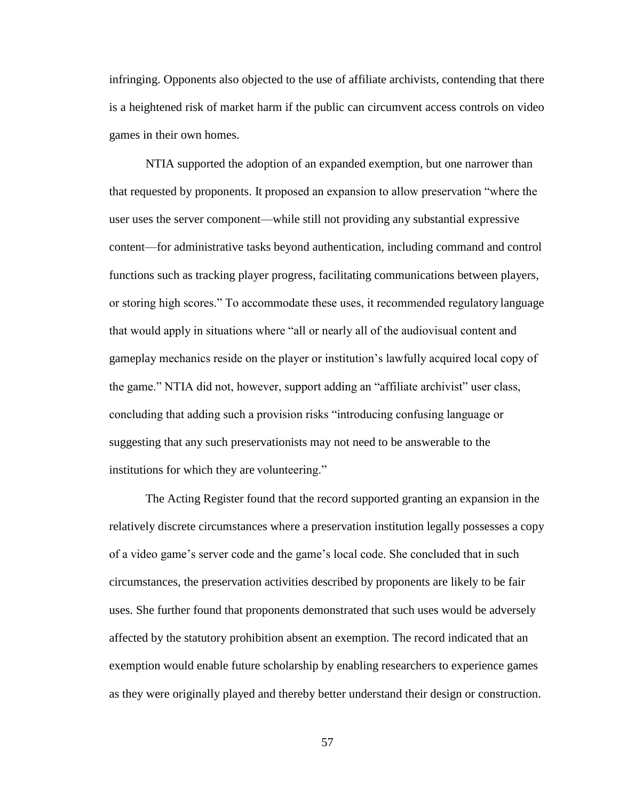infringing. Opponents also objected to the use of affiliate archivists, contending that there is a heightened risk of market harm if the public can circumvent access controls on video games in their own homes.

NTIA supported the adoption of an expanded exemption, but one narrower than that requested by proponents. It proposed an expansion to allow preservation "where the user uses the server component—while still not providing any substantial expressive content—for administrative tasks beyond authentication, including command and control functions such as tracking player progress, facilitating communications between players, or storing high scores." To accommodate these uses, it recommended regulatory language that would apply in situations where "all or nearly all of the audiovisual content and gameplay mechanics reside on the player or institution's lawfully acquired local copy of the game." NTIA did not, however, support adding an "affiliate archivist" user class, concluding that adding such a provision risks "introducing confusing language or suggesting that any such preservationists may not need to be answerable to the institutions for which they are volunteering."

The Acting Register found that the record supported granting an expansion in the relatively discrete circumstances where a preservation institution legally possesses a copy of a video game's server code and the game's local code. She concluded that in such circumstances, the preservation activities described by proponents are likely to be fair uses. She further found that proponents demonstrated that such uses would be adversely affected by the statutory prohibition absent an exemption. The record indicated that an exemption would enable future scholarship by enabling researchers to experience games as they were originally played and thereby better understand their design or construction.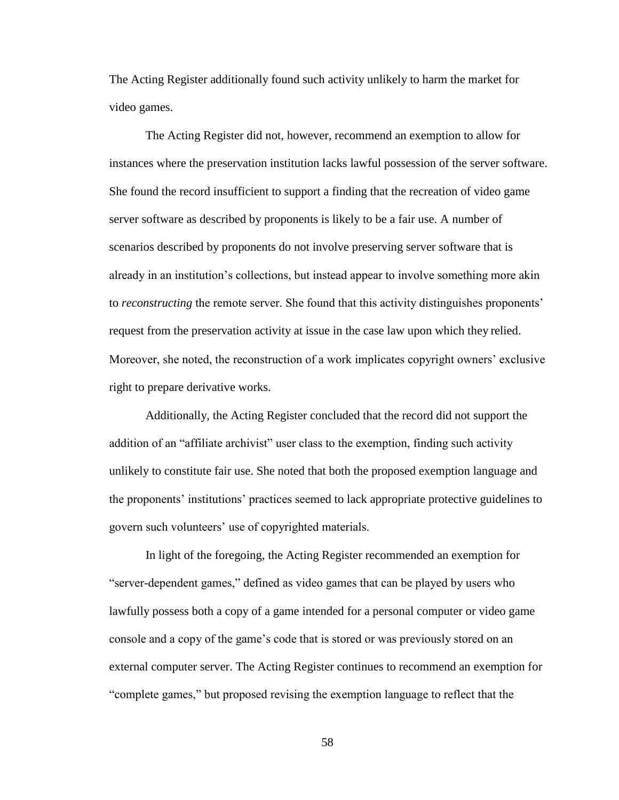The Acting Register additionally found such activity unlikely to harm the market for video games.

The Acting Register did not, however, recommend an exemption to allow for instances where the preservation institution lacks lawful possession of the server software. She found the record insufficient to support a finding that the recreation of video game server software as described by proponents is likely to be a fair use. A number of scenarios described by proponents do not involve preserving server software that is already in an institution's collections, but instead appear to involve something more akin to *reconstructing* the remote server. She found that this activity distinguishes proponents' request from the preservation activity at issue in the case law upon which they relied. Moreover, she noted, the reconstruction of a work implicates copyright owners' exclusive right to prepare derivative works.

Additionally, the Acting Register concluded that the record did not support the addition of an "affiliate archivist" user class to the exemption, finding such activity unlikely to constitute fair use. She noted that both the proposed exemption language and the proponents' institutions' practices seemed to lack appropriate protective guidelines to govern such volunteers' use of copyrighted materials.

In light of the foregoing, the Acting Register recommended an exemption for "server-dependent games," defined as video games that can be played by users who lawfully possess both a copy of a game intended for a personal computer or video game console and a copy of the game's code that is stored or was previously stored on an external computer server. The Acting Register continues to recommend an exemption for "complete games," but proposed revising the exemption language to reflect that the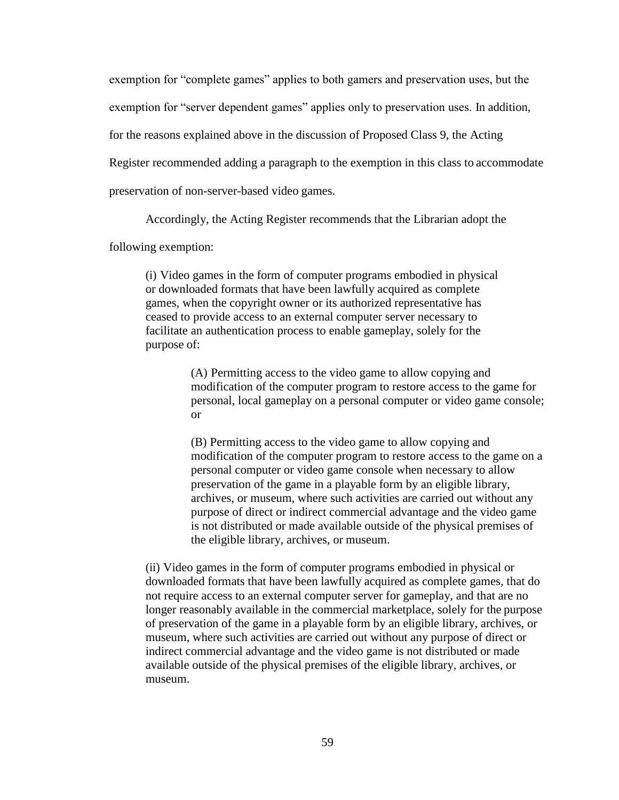exemption for "complete games" applies to both gamers and preservation uses, but the exemption for "server dependent games" applies only to preservation uses. In addition, for the reasons explained above in the discussion of Proposed Class 9, the Acting Register recommended adding a paragraph to the exemption in this class to accommodate preservation of non-server-based video games.

Accordingly, the Acting Register recommends that the Librarian adopt the

following exemption:

(i) Video games in the form of computer programs embodied in physical or downloaded formats that have been lawfully acquired as complete games, when the copyright owner or its authorized representative has ceased to provide access to an external computer server necessary to facilitate an authentication process to enable gameplay, solely for the purpose of:

> (A) Permitting access to the video game to allow copying and modification of the computer program to restore access to the game for personal, local gameplay on a personal computer or video game console; or

> (B) Permitting access to the video game to allow copying and modification of the computer program to restore access to the game on a personal computer or video game console when necessary to allow preservation of the game in a playable form by an eligible library, archives, or museum, where such activities are carried out without any purpose of direct or indirect commercial advantage and the video game is not distributed or made available outside of the physical premises of the eligible library, archives, or museum.

(ii) Video games in the form of computer programs embodied in physical or downloaded formats that have been lawfully acquired as complete games, that do not require access to an external computer server for gameplay, and that are no longer reasonably available in the commercial marketplace, solely for the purpose of preservation of the game in a playable form by an eligible library, archives, or museum, where such activities are carried out without any purpose of direct or indirect commercial advantage and the video game is not distributed or made available outside of the physical premises of the eligible library, archives, or museum.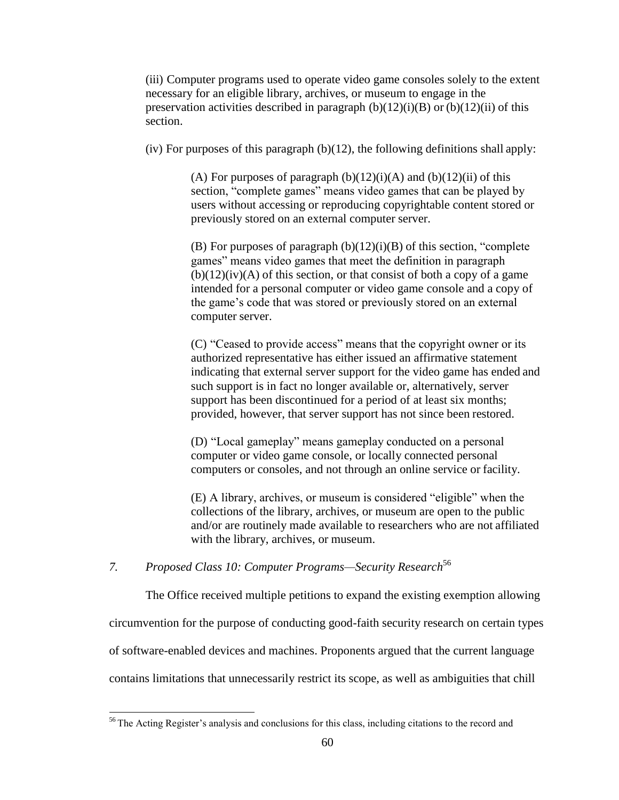(iii) Computer programs used to operate video game consoles solely to the extent necessary for an eligible library, archives, or museum to engage in the preservation activities described in paragraph  $(b)(12)(i)(B)$  or  $(b)(12)(ii)$  of this section.

(iv) For purposes of this paragraph  $(b)(12)$ , the following definitions shall apply:

(A) For purposes of paragraph  $(b)(12)(i)(A)$  and  $(b)(12)(ii)$  of this section, "complete games" means video games that can be played by users without accessing or reproducing copyrightable content stored or previously stored on an external computer server.

(B) For purposes of paragraph  $(b)(12)(i)(B)$  of this section, "complete" games" means video games that meet the definition in paragraph  $(b)(12)(iv)$ (A) of this section, or that consist of both a copy of a game intended for a personal computer or video game console and a copy of the game's code that was stored or previously stored on an external computer server.

(C) "Ceased to provide access" means that the copyright owner or its authorized representative has either issued an affirmative statement indicating that external server support for the video game has ended and such support is in fact no longer available or, alternatively, server support has been discontinued for a period of at least six months; provided, however, that server support has not since been restored.

(D) "Local gameplay" means gameplay conducted on a personal computer or video game console, or locally connected personal computers or consoles, and not through an online service or facility.

(E) A library, archives, or museum is considered "eligible" when the collections of the library, archives, or museum are open to the public and/or are routinely made available to researchers who are not affiliated with the library, archives, or museum.

## *7. Proposed Class 10: Computer Programs—Security Research*<sup>56</sup>

The Office received multiple petitions to expand the existing exemption allowing

circumvention for the purpose of conducting good-faith security research on certain types

of software-enabled devices and machines. Proponents argued that the current language

contains limitations that unnecessarily restrict its scope, as well as ambiguities that chill

<sup>&</sup>lt;sup>56</sup>The Acting Register's analysis and conclusions for this class, including citations to the record and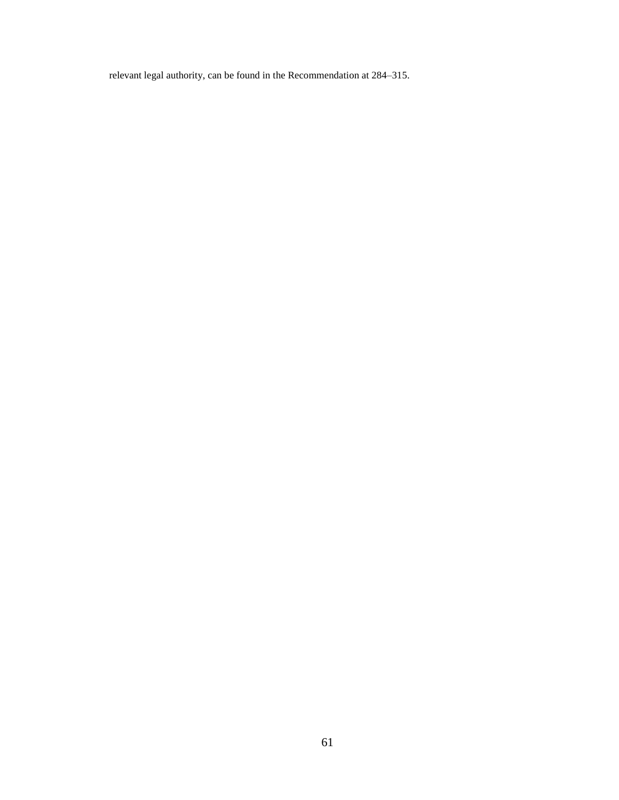relevant legal authority, can be found in the Recommendation at 284–315.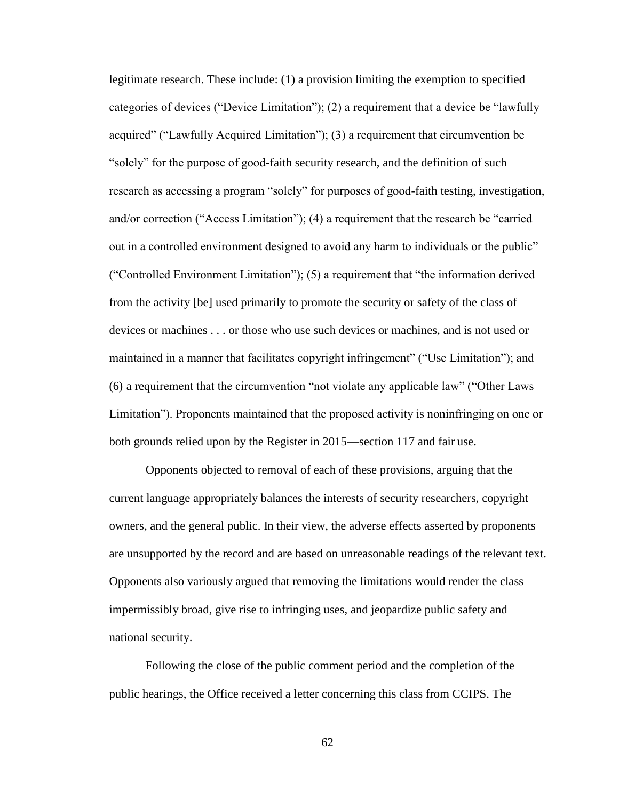legitimate research. These include: (1) a provision limiting the exemption to specified categories of devices ("Device Limitation"); (2) a requirement that a device be "lawfully acquired" ("Lawfully Acquired Limitation"); (3) a requirement that circumvention be "solely" for the purpose of good-faith security research, and the definition of such research as accessing a program "solely" for purposes of good-faith testing, investigation, and/or correction ("Access Limitation"); (4) a requirement that the research be "carried out in a controlled environment designed to avoid any harm to individuals or the public" ("Controlled Environment Limitation"); (5) a requirement that "the information derived from the activity [be] used primarily to promote the security or safety of the class of devices or machines . . . or those who use such devices or machines, and is not used or maintained in a manner that facilitates copyright infringement" ("Use Limitation"); and (6) a requirement that the circumvention "not violate any applicable law" ("Other Laws Limitation"). Proponents maintained that the proposed activity is noninfringing on one or both grounds relied upon by the Register in 2015—section 117 and fair use.

Opponents objected to removal of each of these provisions, arguing that the current language appropriately balances the interests of security researchers, copyright owners, and the general public. In their view, the adverse effects asserted by proponents are unsupported by the record and are based on unreasonable readings of the relevant text. Opponents also variously argued that removing the limitations would render the class impermissibly broad, give rise to infringing uses, and jeopardize public safety and national security.

Following the close of the public comment period and the completion of the public hearings, the Office received a letter concerning this class from CCIPS. The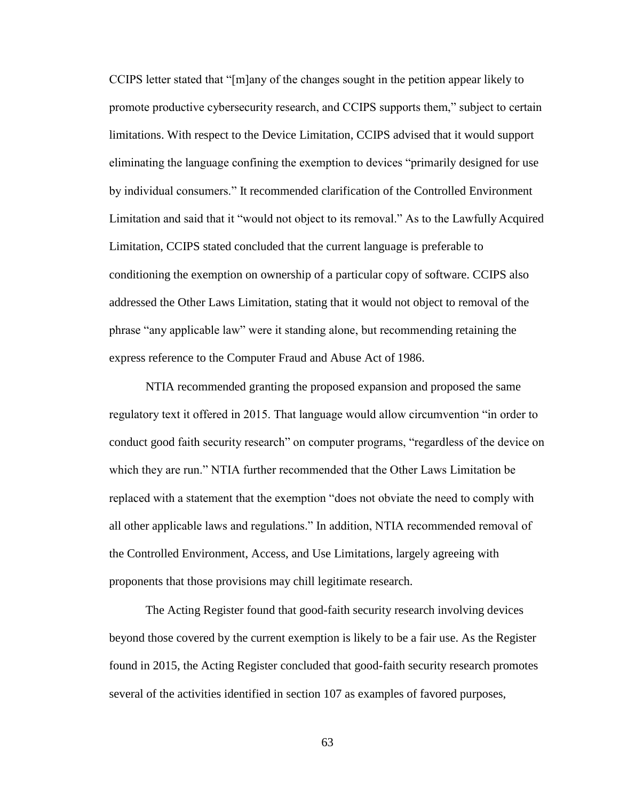CCIPS letter stated that "[m]any of the changes sought in the petition appear likely to promote productive cybersecurity research, and CCIPS supports them," subject to certain limitations. With respect to the Device Limitation, CCIPS advised that it would support eliminating the language confining the exemption to devices "primarily designed for use by individual consumers." It recommended clarification of the Controlled Environment Limitation and said that it "would not object to its removal." As to the Lawfully Acquired Limitation, CCIPS stated concluded that the current language is preferable to conditioning the exemption on ownership of a particular copy of software. CCIPS also addressed the Other Laws Limitation, stating that it would not object to removal of the phrase "any applicable law" were it standing alone, but recommending retaining the express reference to the Computer Fraud and Abuse Act of 1986.

NTIA recommended granting the proposed expansion and proposed the same regulatory text it offered in 2015. That language would allow circumvention "in order to conduct good faith security research" on computer programs, "regardless of the device on which they are run." NTIA further recommended that the Other Laws Limitation be replaced with a statement that the exemption "does not obviate the need to comply with all other applicable laws and regulations." In addition, NTIA recommended removal of the Controlled Environment, Access, and Use Limitations, largely agreeing with proponents that those provisions may chill legitimate research.

The Acting Register found that good-faith security research involving devices beyond those covered by the current exemption is likely to be a fair use. As the Register found in 2015, the Acting Register concluded that good-faith security research promotes several of the activities identified in section 107 as examples of favored purposes,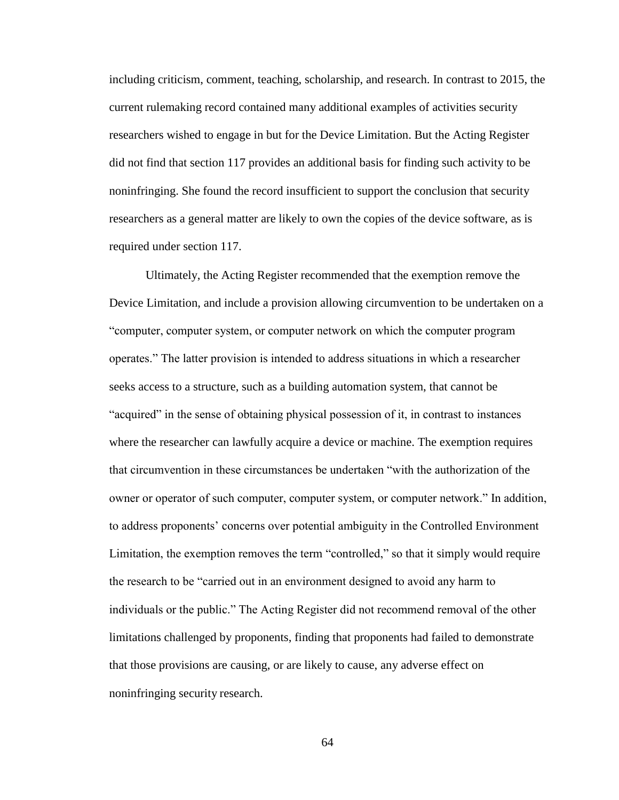including criticism, comment, teaching, scholarship, and research. In contrast to 2015, the current rulemaking record contained many additional examples of activities security researchers wished to engage in but for the Device Limitation. But the Acting Register did not find that section 117 provides an additional basis for finding such activity to be noninfringing. She found the record insufficient to support the conclusion that security researchers as a general matter are likely to own the copies of the device software, as is required under section 117.

Ultimately, the Acting Register recommended that the exemption remove the Device Limitation, and include a provision allowing circumvention to be undertaken on a "computer, computer system, or computer network on which the computer program operates." The latter provision is intended to address situations in which a researcher seeks access to a structure, such as a building automation system, that cannot be "acquired" in the sense of obtaining physical possession of it, in contrast to instances where the researcher can lawfully acquire a device or machine. The exemption requires that circumvention in these circumstances be undertaken "with the authorization of the owner or operator of such computer, computer system, or computer network." In addition, to address proponents' concerns over potential ambiguity in the Controlled Environment Limitation, the exemption removes the term "controlled," so that it simply would require the research to be "carried out in an environment designed to avoid any harm to individuals or the public." The Acting Register did not recommend removal of the other limitations challenged by proponents, finding that proponents had failed to demonstrate that those provisions are causing, or are likely to cause, any adverse effect on noninfringing security research.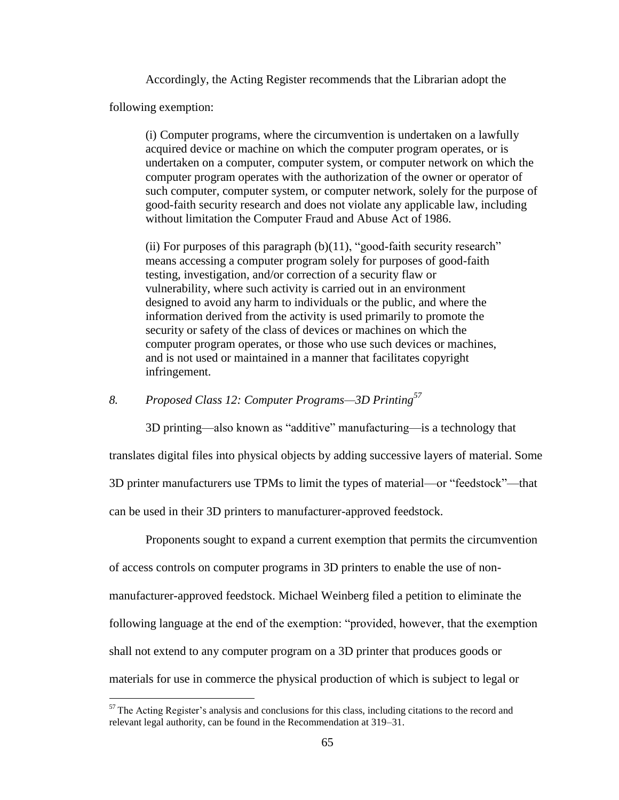Accordingly, the Acting Register recommends that the Librarian adopt the

following exemption:

(i) Computer programs, where the circumvention is undertaken on a lawfully acquired device or machine on which the computer program operates, or is undertaken on a computer, computer system, or computer network on which the computer program operates with the authorization of the owner or operator of such computer, computer system, or computer network, solely for the purpose of good-faith security research and does not violate any applicable law, including without limitation the Computer Fraud and Abuse Act of 1986.

(ii) For purposes of this paragraph  $(b)(11)$ , "good-faith security research" means accessing a computer program solely for purposes of good-faith testing, investigation, and/or correction of a security flaw or vulnerability, where such activity is carried out in an environment designed to avoid any harm to individuals or the public, and where the information derived from the activity is used primarily to promote the security or safety of the class of devices or machines on which the computer program operates, or those who use such devices or machines, and is not used or maintained in a manner that facilitates copyright infringement.

*8. Proposed Class 12: Computer Programs—3D Printing<sup>57</sup>*

3D printing—also known as "additive" manufacturing—is a technology that translates digital files into physical objects by adding successive layers of material. Some 3D printer manufacturers use TPMs to limit the types of material—or "feedstock"—that can be used in their 3D printers to manufacturer-approved feedstock.

Proponents sought to expand a current exemption that permits the circumvention of access controls on computer programs in 3D printers to enable the use of nonmanufacturer-approved feedstock. Michael Weinberg filed a petition to eliminate the following language at the end of the exemption: "provided, however, that the exemption shall not extend to any computer program on a 3D printer that produces goods or materials for use in commerce the physical production of which is subject to legal or

<sup>&</sup>lt;sup>57</sup>The Acting Register's analysis and conclusions for this class, including citations to the record and relevant legal authority, can be found in the Recommendation at 319–31.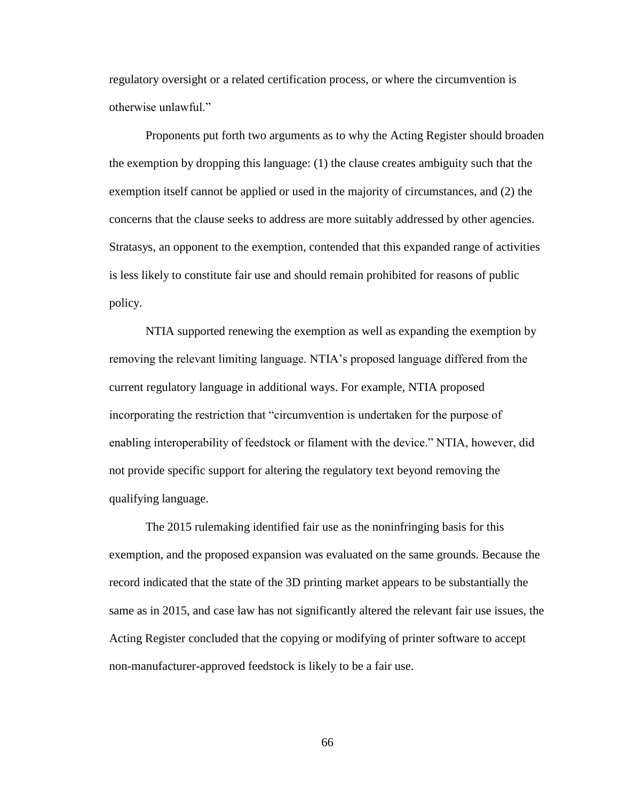regulatory oversight or a related certification process, or where the circumvention is otherwise unlawful."

Proponents put forth two arguments as to why the Acting Register should broaden the exemption by dropping this language: (1) the clause creates ambiguity such that the exemption itself cannot be applied or used in the majority of circumstances, and (2) the concerns that the clause seeks to address are more suitably addressed by other agencies. Stratasys, an opponent to the exemption, contended that this expanded range of activities is less likely to constitute fair use and should remain prohibited for reasons of public policy.

NTIA supported renewing the exemption as well as expanding the exemption by removing the relevant limiting language. NTIA's proposed language differed from the current regulatory language in additional ways. For example, NTIA proposed incorporating the restriction that "circumvention is undertaken for the purpose of enabling interoperability of feedstock or filament with the device." NTIA, however, did not provide specific support for altering the regulatory text beyond removing the qualifying language.

The 2015 rulemaking identified fair use as the noninfringing basis for this exemption, and the proposed expansion was evaluated on the same grounds. Because the record indicated that the state of the 3D printing market appears to be substantially the same as in 2015, and case law has not significantly altered the relevant fair use issues, the Acting Register concluded that the copying or modifying of printer software to accept non-manufacturer-approved feedstock is likely to be a fair use.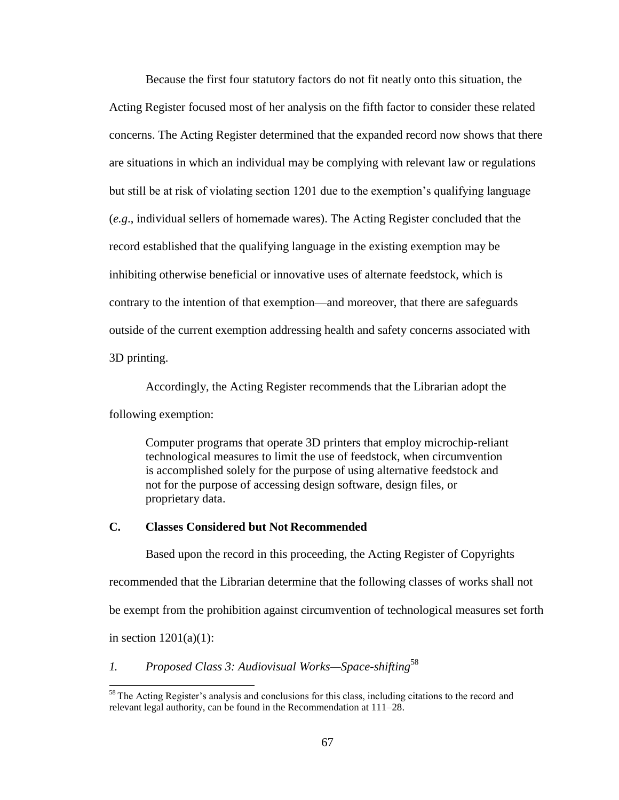Because the first four statutory factors do not fit neatly onto this situation, the Acting Register focused most of her analysis on the fifth factor to consider these related concerns. The Acting Register determined that the expanded record now shows that there are situations in which an individual may be complying with relevant law or regulations but still be at risk of violating section 1201 due to the exemption's qualifying language (*e.g*., individual sellers of homemade wares). The Acting Register concluded that the record established that the qualifying language in the existing exemption may be inhibiting otherwise beneficial or innovative uses of alternate feedstock, which is contrary to the intention of that exemption—and moreover, that there are safeguards outside of the current exemption addressing health and safety concerns associated with 3D printing.

Accordingly, the Acting Register recommends that the Librarian adopt the following exemption:

Computer programs that operate 3D printers that employ microchip-reliant technological measures to limit the use of feedstock, when circumvention is accomplished solely for the purpose of using alternative feedstock and not for the purpose of accessing design software, design files, or proprietary data.

### **C. Classes Considered but Not Recommended**

Based upon the record in this proceeding, the Acting Register of Copyrights recommended that the Librarian determine that the following classes of works shall not be exempt from the prohibition against circumvention of technological measures set forth in section  $1201(a)(1)$ :

*1. Proposed Class 3: Audiovisual Works—Space-shifting*<sup>58</sup>

<sup>&</sup>lt;sup>58</sup>The Acting Register's analysis and conclusions for this class, including citations to the record and relevant legal authority, can be found in the Recommendation at 111–28.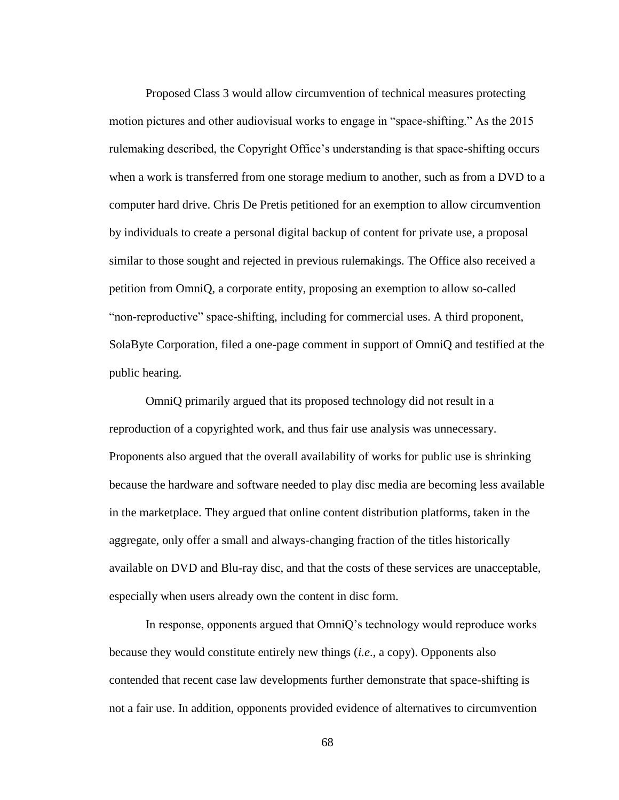Proposed Class 3 would allow circumvention of technical measures protecting motion pictures and other audiovisual works to engage in "space-shifting." As the 2015 rulemaking described, the Copyright Office's understanding is that space-shifting occurs when a work is transferred from one storage medium to another, such as from a DVD to a computer hard drive. Chris De Pretis petitioned for an exemption to allow circumvention by individuals to create a personal digital backup of content for private use, a proposal similar to those sought and rejected in previous rulemakings. The Office also received a petition from OmniQ, a corporate entity, proposing an exemption to allow so-called "non-reproductive" space-shifting, including for commercial uses. A third proponent, SolaByte Corporation, filed a one-page comment in support of OmniQ and testified at the public hearing.

OmniQ primarily argued that its proposed technology did not result in a reproduction of a copyrighted work, and thus fair use analysis was unnecessary. Proponents also argued that the overall availability of works for public use is shrinking because the hardware and software needed to play disc media are becoming less available in the marketplace. They argued that online content distribution platforms, taken in the aggregate, only offer a small and always-changing fraction of the titles historically available on DVD and Blu-ray disc, and that the costs of these services are unacceptable, especially when users already own the content in disc form.

In response, opponents argued that OmniQ's technology would reproduce works because they would constitute entirely new things (*i.e*., a copy). Opponents also contended that recent case law developments further demonstrate that space-shifting is not a fair use. In addition, opponents provided evidence of alternatives to circumvention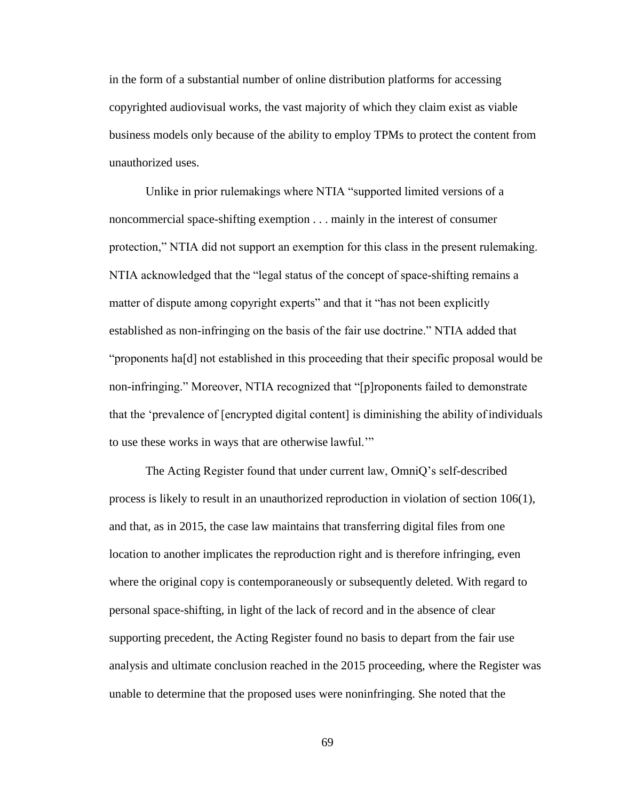in the form of a substantial number of online distribution platforms for accessing copyrighted audiovisual works, the vast majority of which they claim exist as viable business models only because of the ability to employ TPMs to protect the content from unauthorized uses.

Unlike in prior rulemakings where NTIA "supported limited versions of a noncommercial space-shifting exemption . . . mainly in the interest of consumer protection," NTIA did not support an exemption for this class in the present rulemaking. NTIA acknowledged that the "legal status of the concept of space-shifting remains a matter of dispute among copyright experts" and that it "has not been explicitly established as non-infringing on the basis of the fair use doctrine." NTIA added that "proponents ha[d] not established in this proceeding that their specific proposal would be non-infringing." Moreover, NTIA recognized that "[p]roponents failed to demonstrate that the 'prevalence of [encrypted digital content] is diminishing the ability of individuals to use these works in ways that are otherwise lawful.'"

The Acting Register found that under current law, OmniQ's self-described process is likely to result in an unauthorized reproduction in violation of section 106(1), and that, as in 2015, the case law maintains that transferring digital files from one location to another implicates the reproduction right and is therefore infringing, even where the original copy is contemporaneously or subsequently deleted. With regard to personal space-shifting, in light of the lack of record and in the absence of clear supporting precedent, the Acting Register found no basis to depart from the fair use analysis and ultimate conclusion reached in the 2015 proceeding, where the Register was unable to determine that the proposed uses were noninfringing. She noted that the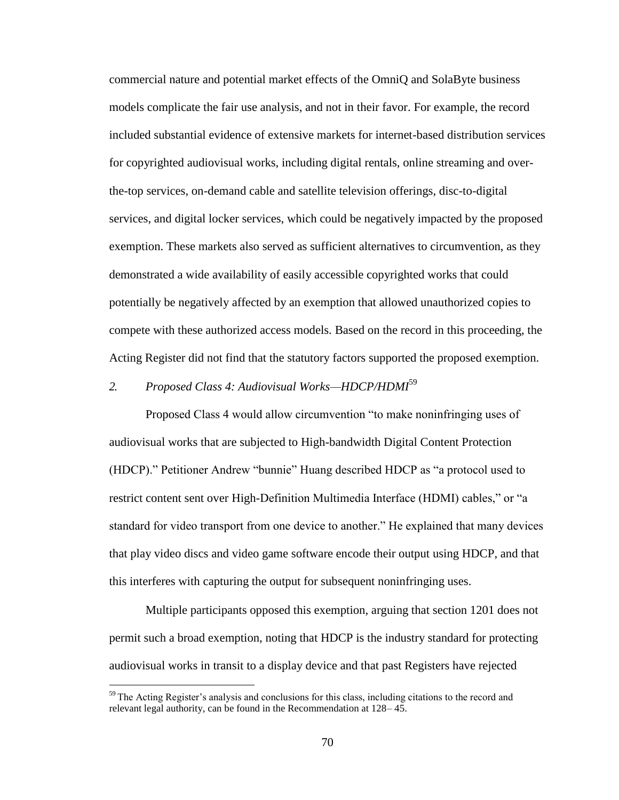commercial nature and potential market effects of the OmniQ and SolaByte business models complicate the fair use analysis, and not in their favor. For example, the record included substantial evidence of extensive markets for internet-based distribution services for copyrighted audiovisual works, including digital rentals, online streaming and overthe-top services, on-demand cable and satellite television offerings, disc-to-digital services, and digital locker services, which could be negatively impacted by the proposed exemption. These markets also served as sufficient alternatives to circumvention, as they demonstrated a wide availability of easily accessible copyrighted works that could potentially be negatively affected by an exemption that allowed unauthorized copies to compete with these authorized access models. Based on the record in this proceeding, the Acting Register did not find that the statutory factors supported the proposed exemption.

# *2. Proposed Class 4: Audiovisual Works—HDCP/HDMI*<sup>59</sup>

Proposed Class 4 would allow circumvention "to make noninfringing uses of audiovisual works that are subjected to High-bandwidth Digital Content Protection (HDCP)." Petitioner Andrew "bunnie" Huang described HDCP as "a protocol used to restrict content sent over High-Definition Multimedia Interface (HDMI) cables," or "a standard for video transport from one device to another." He explained that many devices that play video discs and video game software encode their output using HDCP, and that this interferes with capturing the output for subsequent noninfringing uses.

Multiple participants opposed this exemption, arguing that section 1201 does not permit such a broad exemption, noting that HDCP is the industry standard for protecting audiovisual works in transit to a display device and that past Registers have rejected

 $59$  The Acting Register's analysis and conclusions for this class, including citations to the record and relevant legal authority, can be found in the Recommendation at 128– 45.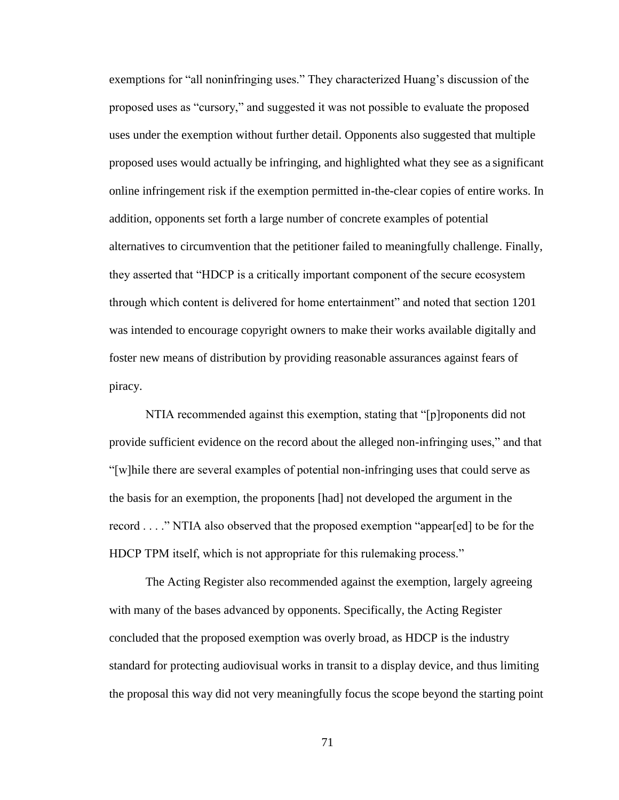exemptions for "all noninfringing uses." They characterized Huang's discussion of the proposed uses as "cursory," and suggested it was not possible to evaluate the proposed uses under the exemption without further detail. Opponents also suggested that multiple proposed uses would actually be infringing, and highlighted what they see as a significant online infringement risk if the exemption permitted in-the-clear copies of entire works. In addition, opponents set forth a large number of concrete examples of potential alternatives to circumvention that the petitioner failed to meaningfully challenge. Finally, they asserted that "HDCP is a critically important component of the secure ecosystem through which content is delivered for home entertainment" and noted that section 1201 was intended to encourage copyright owners to make their works available digitally and foster new means of distribution by providing reasonable assurances against fears of piracy.

NTIA recommended against this exemption, stating that "[p]roponents did not provide sufficient evidence on the record about the alleged non-infringing uses," and that "[w]hile there are several examples of potential non-infringing uses that could serve as the basis for an exemption, the proponents [had] not developed the argument in the record . . . ." NTIA also observed that the proposed exemption "appear[ed] to be for the HDCP TPM itself, which is not appropriate for this rulemaking process."

The Acting Register also recommended against the exemption, largely agreeing with many of the bases advanced by opponents. Specifically, the Acting Register concluded that the proposed exemption was overly broad, as HDCP is the industry standard for protecting audiovisual works in transit to a display device, and thus limiting the proposal this way did not very meaningfully focus the scope beyond the starting point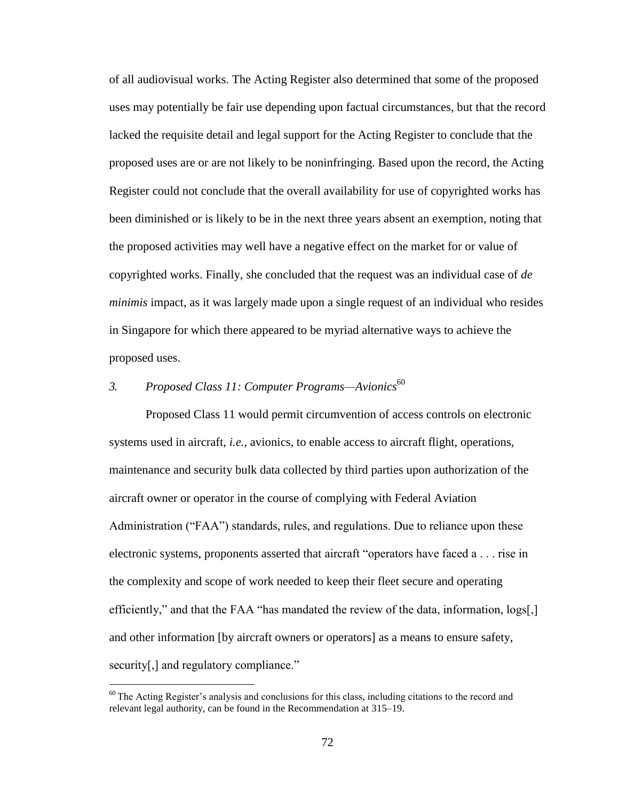of all audiovisual works. The Acting Register also determined that some of the proposed uses may potentially be fair use depending upon factual circumstances, but that the record lacked the requisite detail and legal support for the Acting Register to conclude that the proposed uses are or are not likely to be noninfringing. Based upon the record, the Acting Register could not conclude that the overall availability for use of copyrighted works has been diminished or is likely to be in the next three years absent an exemption, noting that the proposed activities may well have a negative effect on the market for or value of copyrighted works. Finally, she concluded that the request was an individual case of *de minimis* impact, as it was largely made upon a single request of an individual who resides in Singapore for which there appeared to be myriad alternative ways to achieve the proposed uses.

### *3. Proposed Class 11: Computer Programs—Avionics*<sup>60</sup>

Proposed Class 11 would permit circumvention of access controls on electronic systems used in aircraft, *i.e.*, avionics, to enable access to aircraft flight, operations, maintenance and security bulk data collected by third parties upon authorization of the aircraft owner or operator in the course of complying with Federal Aviation Administration ("FAA") standards, rules, and regulations. Due to reliance upon these electronic systems, proponents asserted that aircraft "operators have faced a . . . rise in the complexity and scope of work needed to keep their fleet secure and operating efficiently," and that the FAA "has mandated the review of the data, information, logs[,] and other information [by aircraft owners or operators] as a means to ensure safety, security[,] and regulatory compliance."

 $60$  The Acting Register's analysis and conclusions for this class, including citations to the record and relevant legal authority, can be found in the Recommendation at 315–19.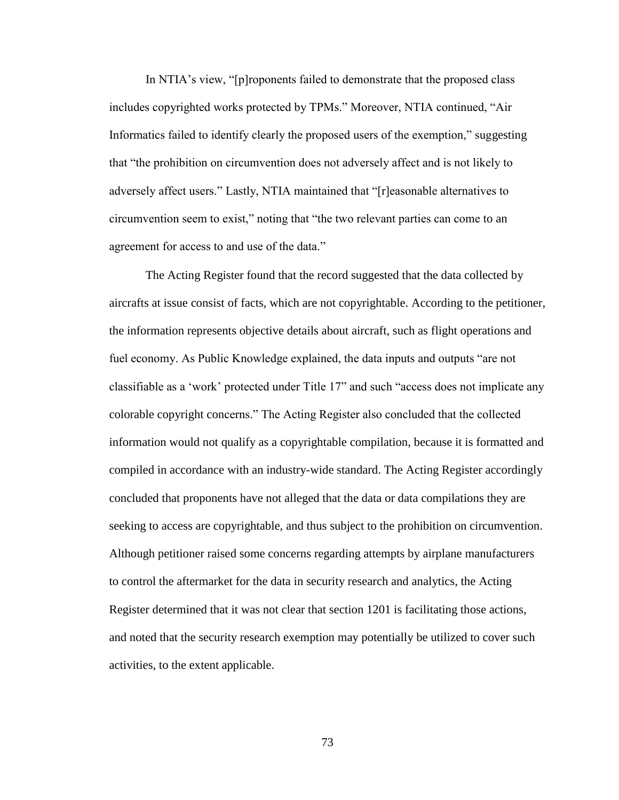In NTIA's view, "[p]roponents failed to demonstrate that the proposed class includes copyrighted works protected by TPMs." Moreover, NTIA continued, "Air Informatics failed to identify clearly the proposed users of the exemption," suggesting that "the prohibition on circumvention does not adversely affect and is not likely to adversely affect users." Lastly, NTIA maintained that "[r]easonable alternatives to circumvention seem to exist," noting that "the two relevant parties can come to an agreement for access to and use of the data."

The Acting Register found that the record suggested that the data collected by aircrafts at issue consist of facts, which are not copyrightable. According to the petitioner, the information represents objective details about aircraft, such as flight operations and fuel economy. As Public Knowledge explained, the data inputs and outputs "are not classifiable as a 'work' protected under Title 17" and such "access does not implicate any colorable copyright concerns." The Acting Register also concluded that the collected information would not qualify as a copyrightable compilation, because it is formatted and compiled in accordance with an industry-wide standard. The Acting Register accordingly concluded that proponents have not alleged that the data or data compilations they are seeking to access are copyrightable, and thus subject to the prohibition on circumvention. Although petitioner raised some concerns regarding attempts by airplane manufacturers to control the aftermarket for the data in security research and analytics, the Acting Register determined that it was not clear that section 1201 is facilitating those actions, and noted that the security research exemption may potentially be utilized to cover such activities, to the extent applicable.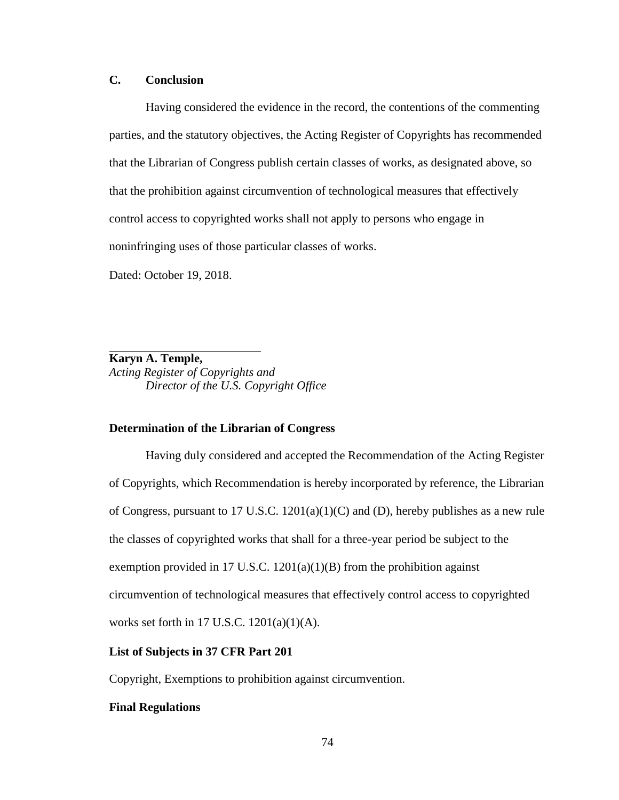# **C. Conclusion**

Having considered the evidence in the record, the contentions of the commenting parties, and the statutory objectives, the Acting Register of Copyrights has recommended that the Librarian of Congress publish certain classes of works, as designated above, so that the prohibition against circumvention of technological measures that effectively control access to copyrighted works shall not apply to persons who engage in noninfringing uses of those particular classes of works.

Dated: October 19, 2018.

**Karyn A. Temple,** *Acting Register of Copyrights and*

*Director of the U.S. Copyright Office*

## **Determination of the Librarian of Congress**

Having duly considered and accepted the Recommendation of the Acting Register of Copyrights, which Recommendation is hereby incorporated by reference, the Librarian of Congress, pursuant to 17 U.S.C. 1201(a)(1)(C) and (D), hereby publishes as a new rule the classes of copyrighted works that shall for a three-year period be subject to the exemption provided in 17 U.S.C.  $1201(a)(1)(B)$  from the prohibition against circumvention of technological measures that effectively control access to copyrighted works set forth in 17 U.S.C. 1201(a)(1)(A).

### **List of Subjects in 37 CFR Part 201**

Copyright, Exemptions to prohibition against circumvention.

#### **Final Regulations**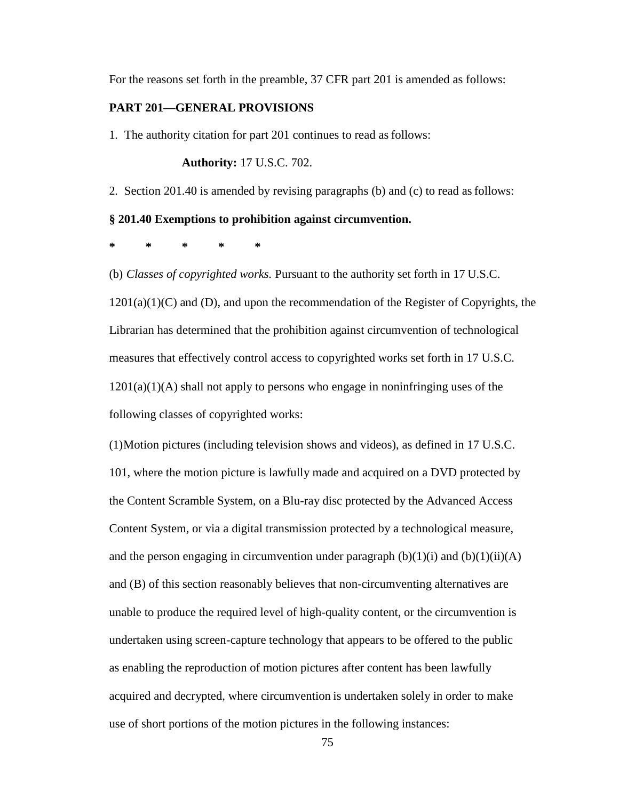For the reasons set forth in the preamble, 37 CFR part 201 is amended as follows:

#### **PART 201—GENERAL PROVISIONS**

1. The authority citation for part 201 continues to read as follows:

**Authority:** 17 U.S.C. 702.

2. Section 201.40 is amended by revising paragraphs (b) and (c) to read asfollows:

#### **§ 201.40 Exemptions to prohibition against circumvention.**

**\* \* \* \* \***

(b) *Classes of copyrighted works.* Pursuant to the authority set forth in 17 U.S.C.  $1201(a)(1)(C)$  and (D), and upon the recommendation of the Register of Copyrights, the Librarian has determined that the prohibition against circumvention of technological measures that effectively control access to copyrighted works set forth in 17 U.S.C.  $1201(a)(1)(A)$  shall not apply to persons who engage in noninfringing uses of the following classes of copyrighted works:

(1)Motion pictures (including television shows and videos), as defined in 17 U.S.C. 101, where the motion picture is lawfully made and acquired on a DVD protected by the Content Scramble System, on a Blu-ray disc protected by the Advanced Access Content System, or via a digital transmission protected by a technological measure, and the person engaging in circumvention under paragraph  $(b)(1)(i)$  and  $(b)(1)(ii)(A)$ and (B) of this section reasonably believes that non-circumventing alternatives are unable to produce the required level of high-quality content, or the circumvention is undertaken using screen-capture technology that appears to be offered to the public as enabling the reproduction of motion pictures after content has been lawfully acquired and decrypted, where circumvention is undertaken solely in order to make use of short portions of the motion pictures in the following instances: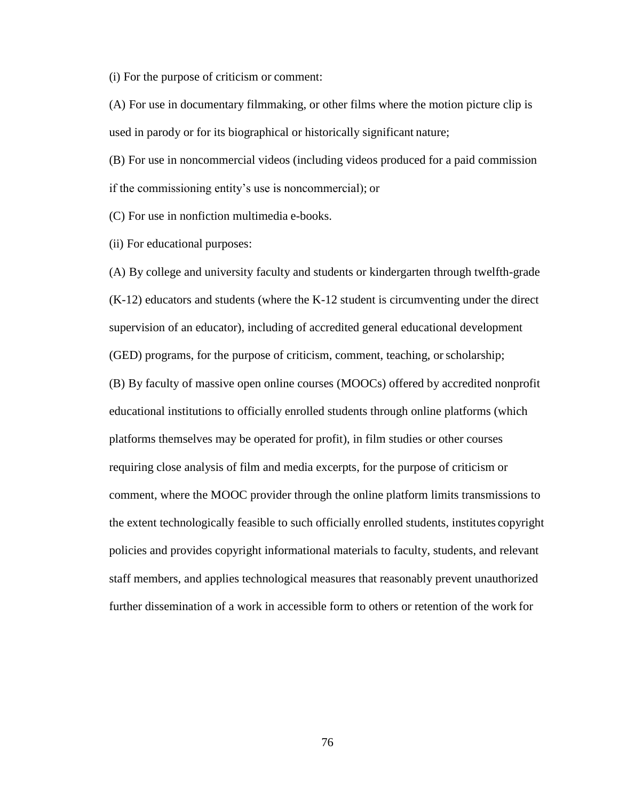(i) For the purpose of criticism or comment:

(A) For use in documentary filmmaking, or other films where the motion picture clip is used in parody or for its biographical or historically significant nature;

(B) For use in noncommercial videos (including videos produced for a paid commission if the commissioning entity's use is noncommercial); or

(C) For use in nonfiction multimedia e-books.

(ii) For educational purposes:

(A) By college and university faculty and students or kindergarten through twelfth-grade (K-12) educators and students (where the K-12 student is circumventing under the direct supervision of an educator), including of accredited general educational development (GED) programs, for the purpose of criticism, comment, teaching, orscholarship; (B) By faculty of massive open online courses (MOOCs) offered by accredited nonprofit educational institutions to officially enrolled students through online platforms (which platforms themselves may be operated for profit), in film studies or other courses requiring close analysis of film and media excerpts, for the purpose of criticism or comment, where the MOOC provider through the online platform limits transmissions to the extent technologically feasible to such officially enrolled students, institutes copyright policies and provides copyright informational materials to faculty, students, and relevant staff members, and applies technological measures that reasonably prevent unauthorized further dissemination of a work in accessible form to others or retention of the work for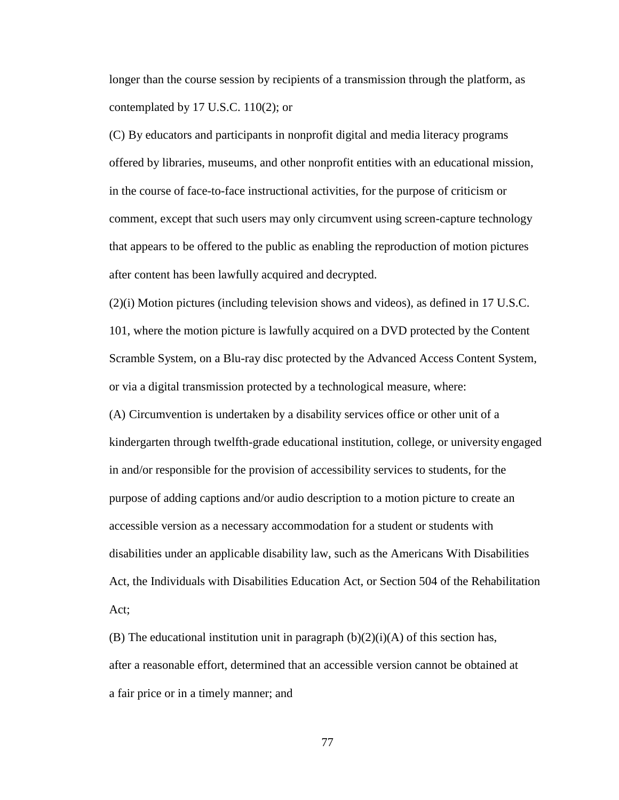longer than the course session by recipients of a transmission through the platform, as contemplated by 17 U.S.C. 110(2); or

(C) By educators and participants in nonprofit digital and media literacy programs offered by libraries, museums, and other nonprofit entities with an educational mission, in the course of face-to-face instructional activities, for the purpose of criticism or comment, except that such users may only circumvent using screen-capture technology that appears to be offered to the public as enabling the reproduction of motion pictures after content has been lawfully acquired and decrypted.

(2)(i) Motion pictures (including television shows and videos), as defined in 17 U.S.C. 101, where the motion picture is lawfully acquired on a DVD protected by the Content Scramble System, on a Blu-ray disc protected by the Advanced Access Content System, or via a digital transmission protected by a technological measure, where:

(A) Circumvention is undertaken by a disability services office or other unit of a kindergarten through twelfth-grade educational institution, college, or university engaged in and/or responsible for the provision of accessibility services to students, for the purpose of adding captions and/or audio description to a motion picture to create an accessible version as a necessary accommodation for a student or students with disabilities under an applicable disability law, such as the Americans With Disabilities Act, the Individuals with Disabilities Education Act, or Section 504 of the Rehabilitation Act;

(B) The educational institution unit in paragraph  $(b)(2)(i)(A)$  of this section has, after a reasonable effort, determined that an accessible version cannot be obtained at a fair price or in a timely manner; and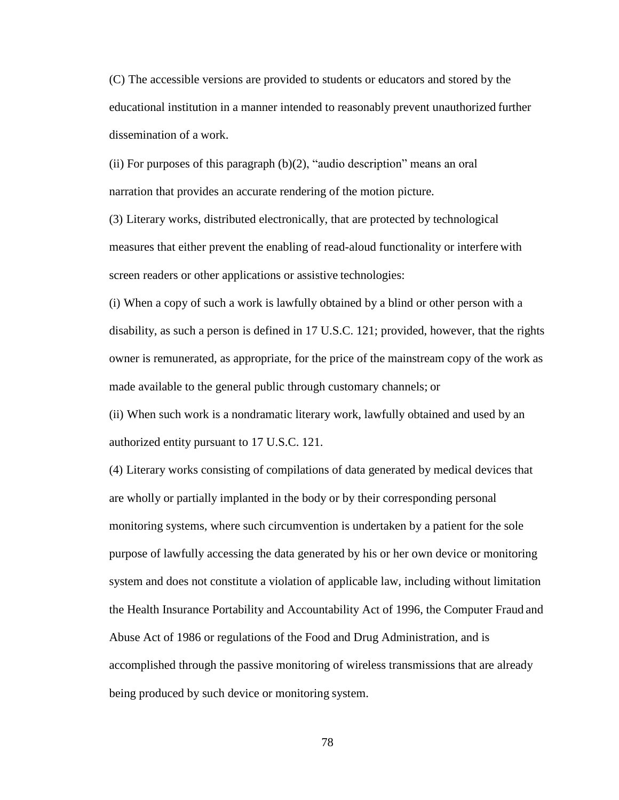(C) The accessible versions are provided to students or educators and stored by the educational institution in a manner intended to reasonably prevent unauthorized further dissemination of a work.

(ii) For purposes of this paragraph  $(b)(2)$ , "audio description" means an oral narration that provides an accurate rendering of the motion picture.

(3) Literary works, distributed electronically, that are protected by technological measures that either prevent the enabling of read-aloud functionality or interfere with screen readers or other applications or assistive technologies:

(i) When a copy of such a work is lawfully obtained by a blind or other person with a disability, as such a person is defined in 17 U.S.C. 121; provided, however, that the rights owner is remunerated, as appropriate, for the price of the mainstream copy of the work as made available to the general public through customary channels; or

(ii) When such work is a nondramatic literary work, lawfully obtained and used by an authorized entity pursuant to 17 U.S.C. 121.

(4) Literary works consisting of compilations of data generated by medical devices that are wholly or partially implanted in the body or by their corresponding personal monitoring systems, where such circumvention is undertaken by a patient for the sole purpose of lawfully accessing the data generated by his or her own device or monitoring system and does not constitute a violation of applicable law, including without limitation the Health Insurance Portability and Accountability Act of 1996, the Computer Fraud and Abuse Act of 1986 or regulations of the Food and Drug Administration, and is accomplished through the passive monitoring of wireless transmissions that are already being produced by such device or monitoring system.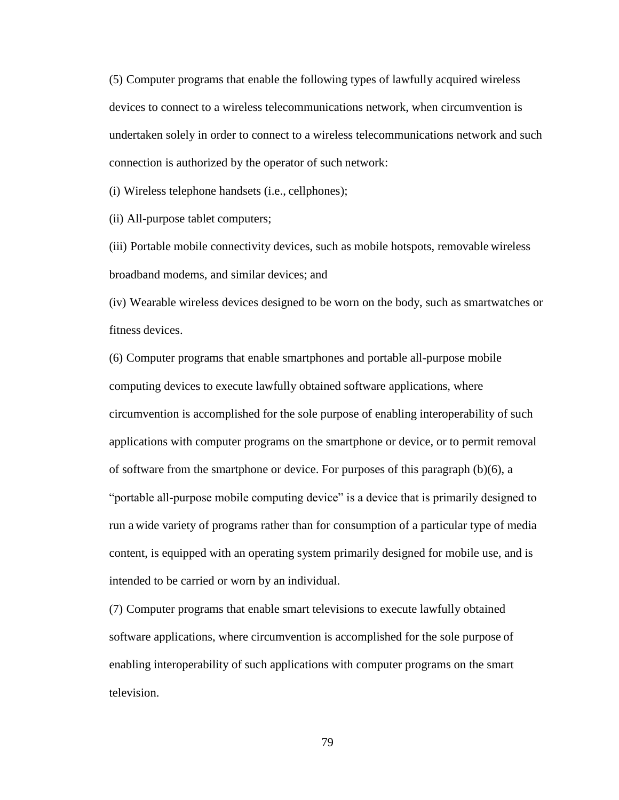(5) Computer programs that enable the following types of lawfully acquired wireless devices to connect to a wireless telecommunications network, when circumvention is undertaken solely in order to connect to a wireless telecommunications network and such connection is authorized by the operator of such network:

(i) Wireless telephone handsets (i.e., cellphones);

(ii) All-purpose tablet computers;

(iii) Portable mobile connectivity devices, such as mobile hotspots, removable wireless broadband modems, and similar devices; and

(iv) Wearable wireless devices designed to be worn on the body, such as smartwatches or fitness devices.

(6) Computer programs that enable smartphones and portable all-purpose mobile computing devices to execute lawfully obtained software applications, where circumvention is accomplished for the sole purpose of enabling interoperability of such applications with computer programs on the smartphone or device, or to permit removal of software from the smartphone or device. For purposes of this paragraph  $(b)(6)$ , a "portable all-purpose mobile computing device" is a device that is primarily designed to run a wide variety of programs rather than for consumption of a particular type of media content, is equipped with an operating system primarily designed for mobile use, and is intended to be carried or worn by an individual.

(7) Computer programs that enable smart televisions to execute lawfully obtained software applications, where circumvention is accomplished for the sole purpose of enabling interoperability of such applications with computer programs on the smart television.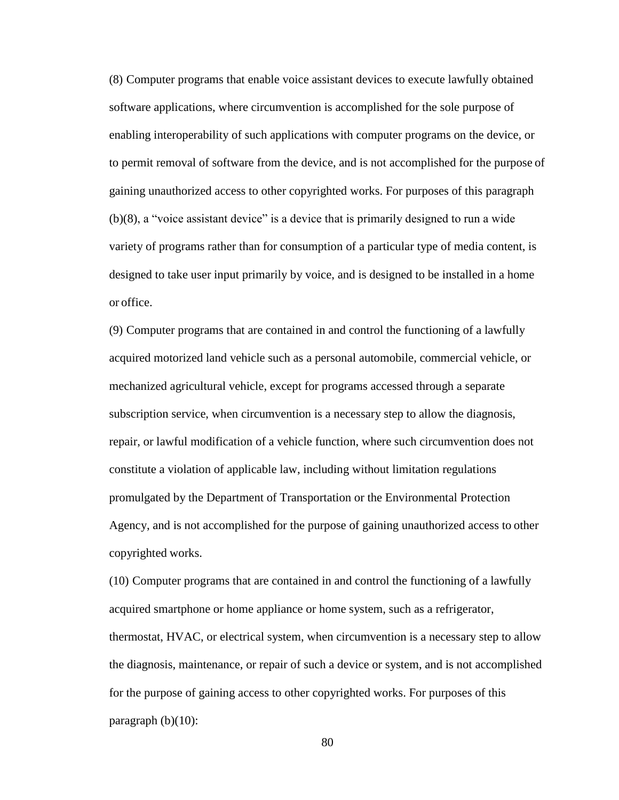(8) Computer programs that enable voice assistant devices to execute lawfully obtained software applications, where circumvention is accomplished for the sole purpose of enabling interoperability of such applications with computer programs on the device, or to permit removal of software from the device, and is not accomplished for the purpose of gaining unauthorized access to other copyrighted works. For purposes of this paragraph (b)(8), a "voice assistant device" is a device that is primarily designed to run a wide variety of programs rather than for consumption of a particular type of media content, is designed to take user input primarily by voice, and is designed to be installed in a home or office.

(9) Computer programs that are contained in and control the functioning of a lawfully acquired motorized land vehicle such as a personal automobile, commercial vehicle, or mechanized agricultural vehicle, except for programs accessed through a separate subscription service, when circumvention is a necessary step to allow the diagnosis, repair, or lawful modification of a vehicle function, where such circumvention does not constitute a violation of applicable law, including without limitation regulations promulgated by the Department of Transportation or the Environmental Protection Agency, and is not accomplished for the purpose of gaining unauthorized access to other copyrighted works.

(10) Computer programs that are contained in and control the functioning of a lawfully acquired smartphone or home appliance or home system, such as a refrigerator, thermostat, HVAC, or electrical system, when circumvention is a necessary step to allow the diagnosis, maintenance, or repair of such a device or system, and is not accomplished for the purpose of gaining access to other copyrighted works. For purposes of this paragraph  $(b)(10)$ :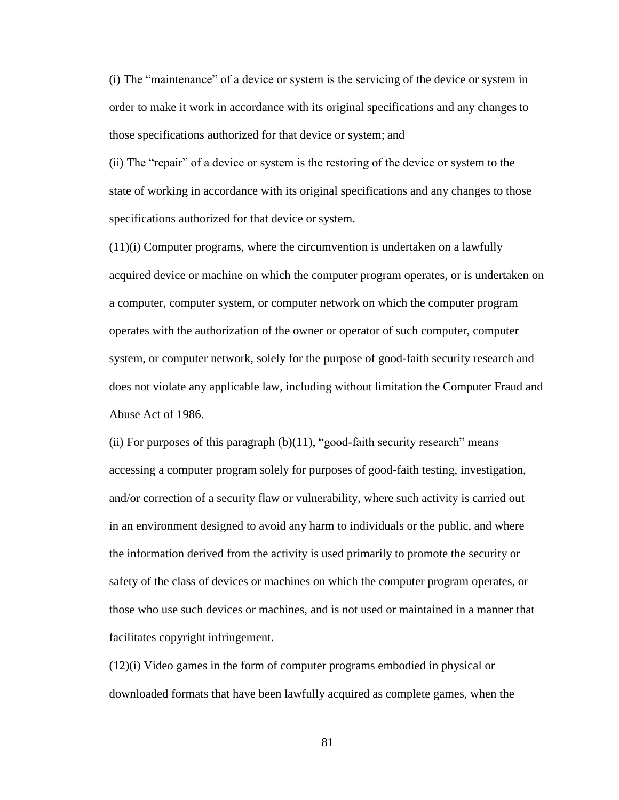(i) The "maintenance" of a device or system is the servicing of the device or system in order to make it work in accordance with its original specifications and any changesto those specifications authorized for that device or system; and

(ii) The "repair" of a device or system is the restoring of the device or system to the state of working in accordance with its original specifications and any changes to those specifications authorized for that device or system.

(11)(i) Computer programs, where the circumvention is undertaken on a lawfully acquired device or machine on which the computer program operates, or is undertaken on a computer, computer system, or computer network on which the computer program operates with the authorization of the owner or operator of such computer, computer system, or computer network, solely for the purpose of good-faith security research and does not violate any applicable law, including without limitation the Computer Fraud and Abuse Act of 1986.

(ii) For purposes of this paragraph  $(b)(11)$ , "good-faith security research" means accessing a computer program solely for purposes of good-faith testing, investigation, and/or correction of a security flaw or vulnerability, where such activity is carried out in an environment designed to avoid any harm to individuals or the public, and where the information derived from the activity is used primarily to promote the security or safety of the class of devices or machines on which the computer program operates, or those who use such devices or machines, and is not used or maintained in a manner that facilitates copyright infringement.

(12)(i) Video games in the form of computer programs embodied in physical or downloaded formats that have been lawfully acquired as complete games, when the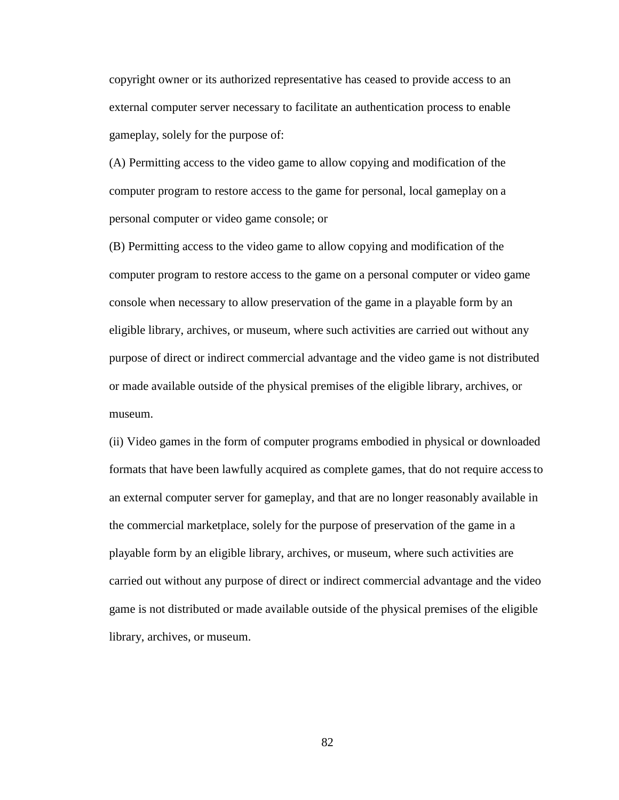copyright owner or its authorized representative has ceased to provide access to an external computer server necessary to facilitate an authentication process to enable gameplay, solely for the purpose of:

(A) Permitting access to the video game to allow copying and modification of the computer program to restore access to the game for personal, local gameplay on a personal computer or video game console; or

(B) Permitting access to the video game to allow copying and modification of the computer program to restore access to the game on a personal computer or video game console when necessary to allow preservation of the game in a playable form by an eligible library, archives, or museum, where such activities are carried out without any purpose of direct or indirect commercial advantage and the video game is not distributed or made available outside of the physical premises of the eligible library, archives, or museum.

(ii) Video games in the form of computer programs embodied in physical or downloaded formats that have been lawfully acquired as complete games, that do not require accessto an external computer server for gameplay, and that are no longer reasonably available in the commercial marketplace, solely for the purpose of preservation of the game in a playable form by an eligible library, archives, or museum, where such activities are carried out without any purpose of direct or indirect commercial advantage and the video game is not distributed or made available outside of the physical premises of the eligible library, archives, or museum.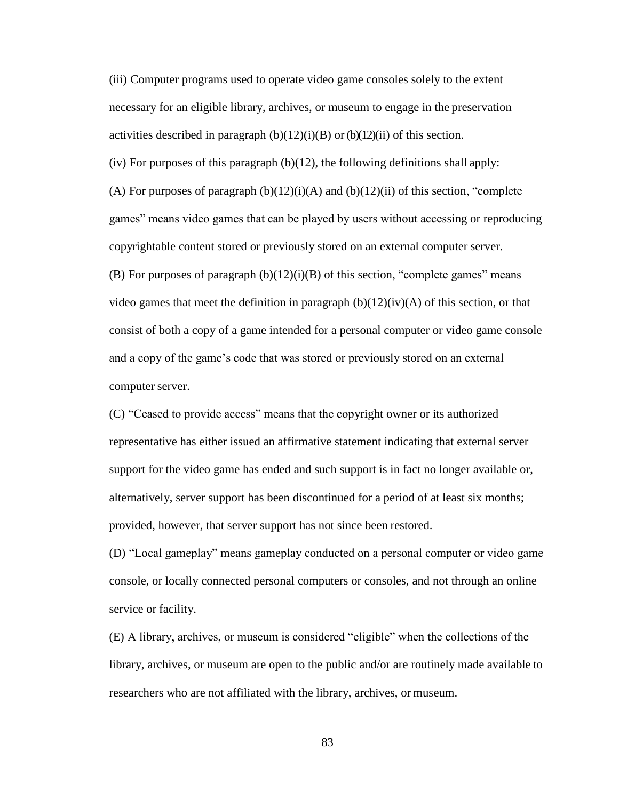(iii) Computer programs used to operate video game consoles solely to the extent necessary for an eligible library, archives, or museum to engage in the preservation activities described in paragraph  $(b)(12)(i)(B)$  or  $(b)(12)(ii)$  of this section. (iv) For purposes of this paragraph  $(b)(12)$ , the following definitions shall apply: (A) For purposes of paragraph  $(b)(12)(i)(A)$  and  $(b)(12)(ii)$  of this section, "complete games" means video games that can be played by users without accessing or reproducing copyrightable content stored or previously stored on an external computer server. (B) For purposes of paragraph  $(b)(12)(i)(B)$  of this section, "complete games" means video games that meet the definition in paragraph  $(b)(12)(iv)(A)$  of this section, or that consist of both a copy of a game intended for a personal computer or video game console and a copy of the game's code that was stored or previously stored on an external computer server.

(C) "Ceased to provide access" means that the copyright owner or its authorized representative has either issued an affirmative statement indicating that external server support for the video game has ended and such support is in fact no longer available or, alternatively, server support has been discontinued for a period of at least six months; provided, however, that server support has not since been restored.

(D) "Local gameplay" means gameplay conducted on a personal computer or video game console, or locally connected personal computers or consoles, and not through an online service or facility.

(E) A library, archives, or museum is considered "eligible" when the collections of the library, archives, or museum are open to the public and/or are routinely made available to researchers who are not affiliated with the library, archives, or museum.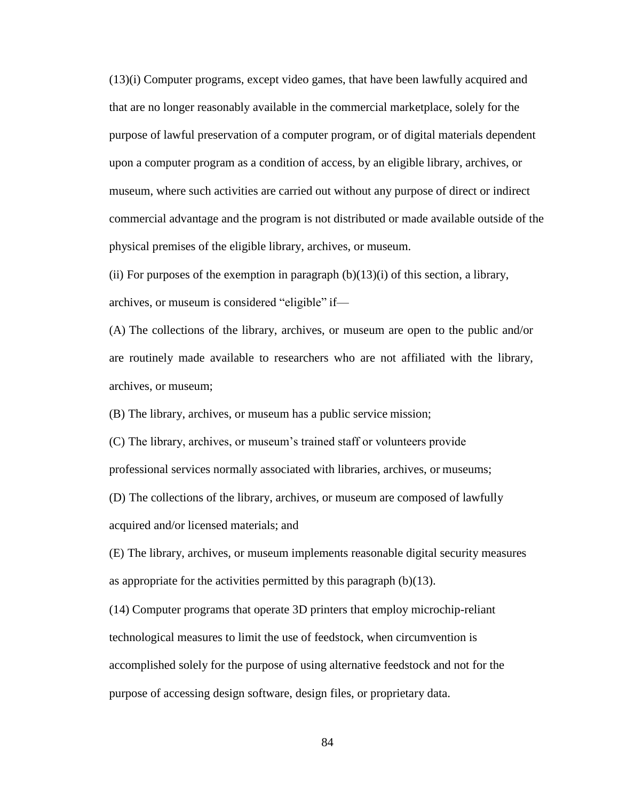(13)(i) Computer programs, except video games, that have been lawfully acquired and that are no longer reasonably available in the commercial marketplace, solely for the purpose of lawful preservation of a computer program, or of digital materials dependent upon a computer program as a condition of access, by an eligible library, archives, or museum, where such activities are carried out without any purpose of direct or indirect commercial advantage and the program is not distributed or made available outside of the physical premises of the eligible library, archives, or museum.

(ii) For purposes of the exemption in paragraph  $(b)(13)(i)$  of this section, a library, archives, or museum is considered "eligible" if—

(A) The collections of the library, archives, or museum are open to the public and/or are routinely made available to researchers who are not affiliated with the library, archives, or museum;

(B) The library, archives, or museum has a public service mission;

(C) The library, archives, or museum's trained staff or volunteers provide professional services normally associated with libraries, archives, or museums;

(D) The collections of the library, archives, or museum are composed of lawfully acquired and/or licensed materials; and

(E) The library, archives, or museum implements reasonable digital security measures as appropriate for the activities permitted by this paragraph (b)(13).

(14) Computer programs that operate 3D printers that employ microchip-reliant technological measures to limit the use of feedstock, when circumvention is accomplished solely for the purpose of using alternative feedstock and not for the purpose of accessing design software, design files, or proprietary data.